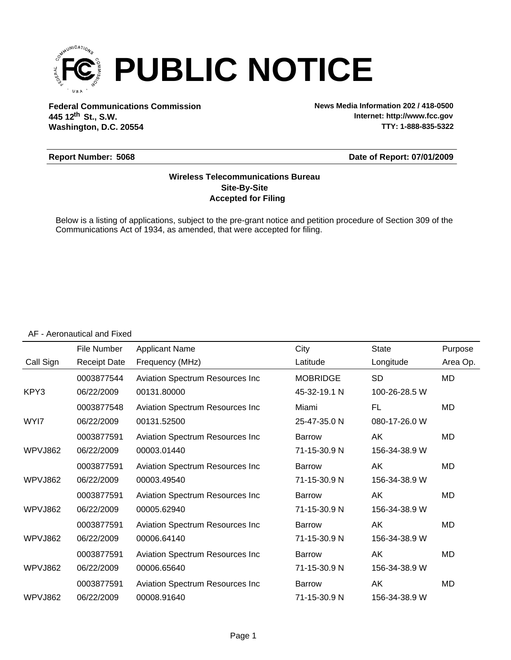

**Federal Communications Commission News Media Information 202 / 418-0500 Washington, D.C. 20554 th 445 12 St., S.W.**

**Internet: http://www.fcc.gov TTY: 1-888-835-5322**

#### **Report Number: 5068**

#### **Date of Report: 07/01/2009**

#### **Accepted for Filing Site-By-Site Wireless Telecommunications Bureau**

Below is a listing of applications, subject to the pre-grant notice and petition procedure of Section 309 of the Communications Act of 1934, as amended, that were accepted for filing.

|           | File Number         | <b>Applicant Name</b>                   | City            | <b>State</b>  | Purpose   |
|-----------|---------------------|-----------------------------------------|-----------------|---------------|-----------|
| Call Sign | <b>Receipt Date</b> | Frequency (MHz)                         | Latitude        | Longitude     | Area Op.  |
|           | 0003877544          | <b>Aviation Spectrum Resources Inc</b>  | <b>MOBRIDGE</b> | <b>SD</b>     | MD        |
| KPY3      | 06/22/2009          | 00131.80000                             | 45-32-19.1 N    | 100-26-28.5 W |           |
|           | 0003877548          | <b>Aviation Spectrum Resources Inc</b>  | Miami           | FL            | MD        |
| WYI7      | 06/22/2009          | 00131.52500                             | 25-47-35.0 N    | 080-17-26.0 W |           |
|           | 0003877591          | <b>Aviation Spectrum Resources Inc</b>  | <b>Barrow</b>   | AK            | MD        |
| WPVJ862   | 06/22/2009          | 00003.01440                             | 71-15-30.9 N    | 156-34-38.9 W |           |
|           | 0003877591          | Aviation Spectrum Resources Inc         | <b>Barrow</b>   | AK            | MD        |
| WPVJ862   | 06/22/2009          | 00003.49540                             | 71-15-30.9 N    | 156-34-38.9 W |           |
|           | 0003877591          | Aviation Spectrum Resources Inc         | <b>Barrow</b>   | AK            | MD        |
| WPVJ862   | 06/22/2009          | 00005.62940                             | 71-15-30.9 N    | 156-34-38.9 W |           |
|           | 0003877591          | <b>Aviation Spectrum Resources Inc</b>  | <b>Barrow</b>   | AK            | MD        |
| WPVJ862   | 06/22/2009          | 00006.64140                             | 71-15-30.9 N    | 156-34-38.9 W |           |
|           | 0003877591          | Aviation Spectrum Resources Inc         | <b>Barrow</b>   | AK            | MD        |
| WPVJ862   | 06/22/2009          | 00006.65640                             | 71-15-30.9 N    | 156-34-38.9 W |           |
|           | 0003877591          | <b>Aviation Spectrum Resources Inc.</b> | <b>Barrow</b>   | AK            | <b>MD</b> |
| WPVJ862   | 06/22/2009          | 00008.91640                             | 71-15-30.9 N    | 156-34-38.9 W |           |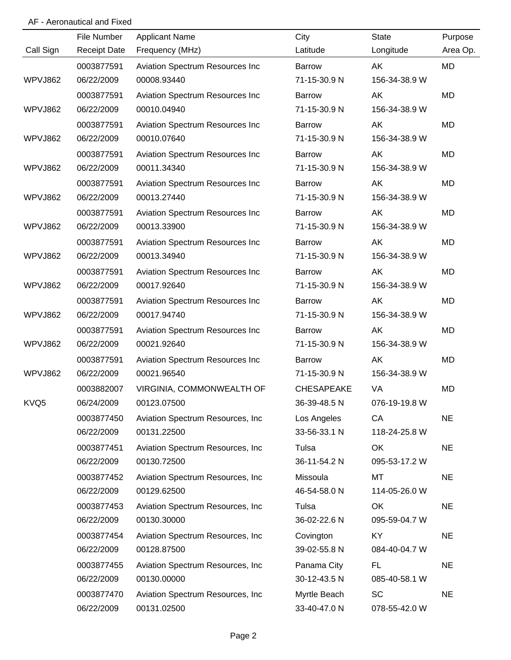|           | File Number         | <b>Applicant Name</b>             | City              | <b>State</b>  | Purpose   |
|-----------|---------------------|-----------------------------------|-------------------|---------------|-----------|
| Call Sign | <b>Receipt Date</b> | Frequency (MHz)                   | Latitude          | Longitude     | Area Op.  |
|           | 0003877591          | Aviation Spectrum Resources Inc   | Barrow            | AK            | <b>MD</b> |
| WPVJ862   | 06/22/2009          | 00008.93440                       | 71-15-30.9 N      | 156-34-38.9 W |           |
|           | 0003877591          | Aviation Spectrum Resources Inc   | Barrow            | AK            | <b>MD</b> |
| WPVJ862   | 06/22/2009          | 00010.04940                       | 71-15-30.9 N      | 156-34-38.9 W |           |
|           | 0003877591          | Aviation Spectrum Resources Inc   | Barrow            | AK            | <b>MD</b> |
| WPVJ862   | 06/22/2009          | 00010.07640                       | 71-15-30.9 N      | 156-34-38.9 W |           |
|           | 0003877591          | Aviation Spectrum Resources Inc   | <b>Barrow</b>     | AK            | <b>MD</b> |
| WPVJ862   | 06/22/2009          | 00011.34340                       | 71-15-30.9 N      | 156-34-38.9 W |           |
|           | 0003877591          | Aviation Spectrum Resources Inc   | <b>Barrow</b>     | AK            | <b>MD</b> |
| WPVJ862   | 06/22/2009          | 00013.27440                       | 71-15-30.9 N      | 156-34-38.9 W |           |
|           | 0003877591          | Aviation Spectrum Resources Inc   | Barrow            | AK            | MD        |
| WPVJ862   | 06/22/2009          | 00013.33900                       | 71-15-30.9 N      | 156-34-38.9 W |           |
|           | 0003877591          | Aviation Spectrum Resources Inc   | Barrow            | AK            | <b>MD</b> |
| WPVJ862   | 06/22/2009          | 00013.34940                       | 71-15-30.9 N      | 156-34-38.9 W |           |
|           | 0003877591          | Aviation Spectrum Resources Inc   | Barrow            | AK            | <b>MD</b> |
| WPVJ862   | 06/22/2009          | 00017.92640                       | 71-15-30.9 N      | 156-34-38.9 W |           |
|           | 0003877591          | Aviation Spectrum Resources Inc   | Barrow            | AK            | <b>MD</b> |
| WPVJ862   | 06/22/2009          | 00017.94740                       | 71-15-30.9 N      | 156-34-38.9 W |           |
|           | 0003877591          | Aviation Spectrum Resources Inc   | Barrow            | AK            | MD        |
| WPVJ862   | 06/22/2009          | 00021.92640                       | 71-15-30.9 N      | 156-34-38.9 W |           |
|           | 0003877591          | Aviation Spectrum Resources Inc   | Barrow            | AK            | <b>MD</b> |
| WPVJ862   | 06/22/2009          | 00021.96540                       | 71-15-30.9 N      | 156-34-38.9 W |           |
|           | 0003882007          | VIRGINIA, COMMONWEALTH OF         | <b>CHESAPEAKE</b> | VA            | <b>MD</b> |
| KVQ5      | 06/24/2009          | 00123.07500                       | 36-39-48.5 N      | 076-19-19.8 W |           |
|           | 0003877450          | Aviation Spectrum Resources, Inc. | Los Angeles       | CA            | <b>NE</b> |
|           | 06/22/2009          | 00131.22500                       | 33-56-33.1 N      | 118-24-25.8 W |           |
|           | 0003877451          | Aviation Spectrum Resources, Inc. | Tulsa             | OK            | <b>NE</b> |
|           | 06/22/2009          | 00130.72500                       | 36-11-54.2 N      | 095-53-17.2 W |           |
|           | 0003877452          | Aviation Spectrum Resources, Inc. | Missoula          | MT            | <b>NE</b> |
|           | 06/22/2009          | 00129.62500                       | 46-54-58.0 N      | 114-05-26.0 W |           |
|           | 0003877453          | Aviation Spectrum Resources, Inc. | Tulsa             | OK            | <b>NE</b> |
|           | 06/22/2009          | 00130.30000                       | 36-02-22.6 N      | 095-59-04.7 W |           |
|           | 0003877454          | Aviation Spectrum Resources, Inc. | Covington         | KY            | <b>NE</b> |
|           | 06/22/2009          | 00128.87500                       | 39-02-55.8 N      | 084-40-04.7 W |           |
|           | 0003877455          | Aviation Spectrum Resources, Inc  | Panama City       | FL.           | <b>NE</b> |
|           | 06/22/2009          | 00130.00000                       | 30-12-43.5 N      | 085-40-58.1 W |           |
|           | 0003877470          | Aviation Spectrum Resources, Inc  | Myrtle Beach      | SC            | <b>NE</b> |
|           | 06/22/2009          | 00131.02500                       | 33-40-47.0 N      | 078-55-42.0 W |           |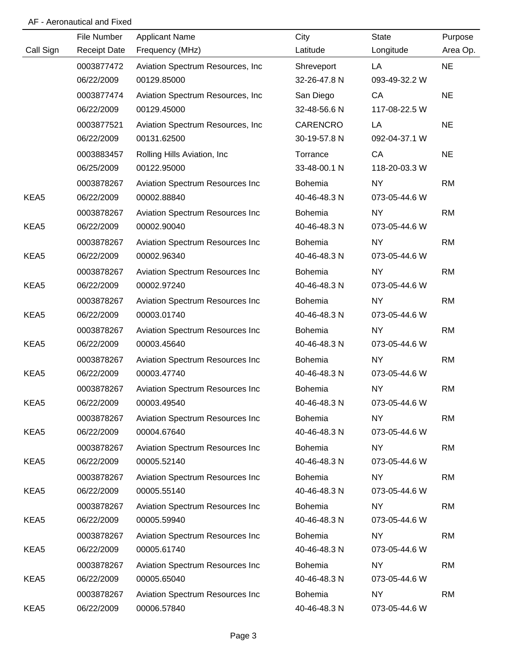|                  | File Number         | <b>Applicant Name</b>             | City           | <b>State</b>  | Purpose   |
|------------------|---------------------|-----------------------------------|----------------|---------------|-----------|
| Call Sign        | <b>Receipt Date</b> | Frequency (MHz)                   | Latitude       | Longitude     | Area Op.  |
|                  | 0003877472          | Aviation Spectrum Resources, Inc. | Shreveport     | LA            | <b>NE</b> |
|                  | 06/22/2009          | 00129.85000                       | 32-26-47.8 N   | 093-49-32.2 W |           |
|                  | 0003877474          | Aviation Spectrum Resources, Inc. | San Diego      | CA            | <b>NE</b> |
|                  | 06/22/2009          | 00129.45000                       | 32-48-56.6 N   | 117-08-22.5 W |           |
|                  | 0003877521          | Aviation Spectrum Resources, Inc. | CARENCRO       | LA            | <b>NE</b> |
|                  | 06/22/2009          | 00131.62500                       | 30-19-57.8 N   | 092-04-37.1 W |           |
|                  | 0003883457          | Rolling Hills Aviation, Inc.      | Torrance       | CA            | <b>NE</b> |
|                  | 06/25/2009          | 00122.95000                       | 33-48-00.1 N   | 118-20-03.3 W |           |
|                  | 0003878267          | Aviation Spectrum Resources Inc   | Bohemia        | <b>NY</b>     | <b>RM</b> |
| KEA5             | 06/22/2009          | 00002.88840                       | 40-46-48.3 N   | 073-05-44.6 W |           |
|                  | 0003878267          | Aviation Spectrum Resources Inc   | Bohemia        | <b>NY</b>     | <b>RM</b> |
| KEA5             | 06/22/2009          | 00002.90040                       | 40-46-48.3 N   | 073-05-44.6 W |           |
|                  | 0003878267          | Aviation Spectrum Resources Inc   | Bohemia        | <b>NY</b>     | <b>RM</b> |
| KEA5             | 06/22/2009          | 00002.96340                       | 40-46-48.3 N   | 073-05-44.6 W |           |
|                  | 0003878267          | Aviation Spectrum Resources Inc   | <b>Bohemia</b> | <b>NY</b>     | <b>RM</b> |
| KEA5             | 06/22/2009          | 00002.97240                       | 40-46-48.3 N   | 073-05-44.6 W |           |
|                  | 0003878267          | Aviation Spectrum Resources Inc   | Bohemia        | <b>NY</b>     | <b>RM</b> |
| KEA5             | 06/22/2009          | 00003.01740                       | 40-46-48.3 N   | 073-05-44.6 W |           |
|                  | 0003878267          | Aviation Spectrum Resources Inc   | Bohemia        | <b>NY</b>     | <b>RM</b> |
| KEA <sub>5</sub> | 06/22/2009          | 00003.45640                       | 40-46-48.3 N   | 073-05-44.6 W |           |
|                  | 0003878267          | Aviation Spectrum Resources Inc   | Bohemia        | <b>NY</b>     | <b>RM</b> |
| KEA5             | 06/22/2009          | 00003.47740                       | 40-46-48.3 N   | 073-05-44.6 W |           |
|                  | 0003878267          | Aviation Spectrum Resources Inc   | Bohemia        | <b>NY</b>     | <b>RM</b> |
| KEA5             | 06/22/2009          | 00003.49540                       | 40-46-48.3 N   | 073-05-44.6 W |           |
|                  | 0003878267          | Aviation Spectrum Resources Inc   | Bohemia        | NY            | <b>RM</b> |
| KEA5             | 06/22/2009          | 00004.67640                       | 40-46-48.3 N   | 073-05-44.6 W |           |
|                  | 0003878267          | Aviation Spectrum Resources Inc   | <b>Bohemia</b> | NY            | <b>RM</b> |
| KEA5             | 06/22/2009          | 00005.52140                       | 40-46-48.3 N   | 073-05-44.6 W |           |
|                  | 0003878267          | Aviation Spectrum Resources Inc   | Bohemia        | <b>NY</b>     | <b>RM</b> |
| KEA5             | 06/22/2009          | 00005.55140                       | 40-46-48.3 N   | 073-05-44.6 W |           |
|                  | 0003878267          | Aviation Spectrum Resources Inc   | Bohemia        | <b>NY</b>     | <b>RM</b> |
| KEA5             | 06/22/2009          | 00005.59940                       | 40-46-48.3 N   | 073-05-44.6 W |           |
|                  | 0003878267          | Aviation Spectrum Resources Inc   | Bohemia        | <b>NY</b>     | <b>RM</b> |
| KEA5             | 06/22/2009          | 00005.61740                       | 40-46-48.3 N   | 073-05-44.6 W |           |
|                  | 0003878267          | Aviation Spectrum Resources Inc   | Bohemia        | <b>NY</b>     | <b>RM</b> |
| KEA5             | 06/22/2009          | 00005.65040                       | 40-46-48.3 N   | 073-05-44.6 W |           |
|                  | 0003878267          | Aviation Spectrum Resources Inc   | <b>Bohemia</b> | <b>NY</b>     | <b>RM</b> |
| KEA5             | 06/22/2009          | 00006.57840                       | 40-46-48.3 N   | 073-05-44.6 W |           |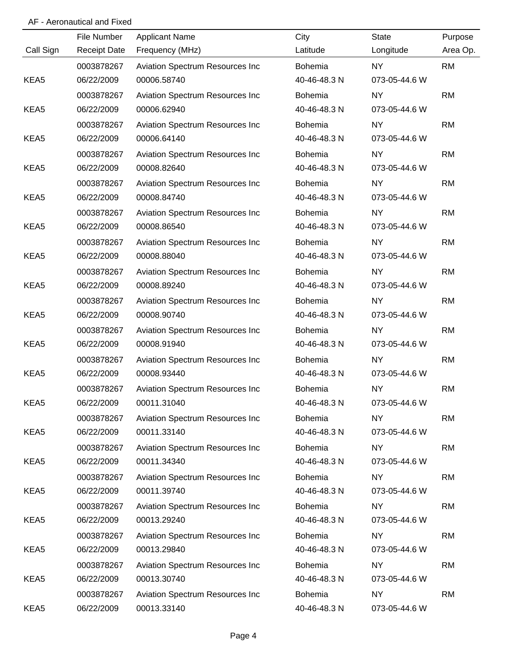|           | File Number         | <b>Applicant Name</b>           | City           | <b>State</b>  | Purpose   |
|-----------|---------------------|---------------------------------|----------------|---------------|-----------|
| Call Sign | <b>Receipt Date</b> | Frequency (MHz)                 | Latitude       | Longitude     | Area Op.  |
|           | 0003878267          | Aviation Spectrum Resources Inc | Bohemia        | <b>NY</b>     | <b>RM</b> |
| KEA5      | 06/22/2009          | 00006.58740                     | 40-46-48.3 N   | 073-05-44.6 W |           |
|           | 0003878267          | Aviation Spectrum Resources Inc | Bohemia        | <b>NY</b>     | <b>RM</b> |
| KEA5      | 06/22/2009          | 00006.62940                     | 40-46-48.3 N   | 073-05-44.6 W |           |
|           | 0003878267          | Aviation Spectrum Resources Inc | <b>Bohemia</b> | <b>NY</b>     | <b>RM</b> |
| KEA5      | 06/22/2009          | 00006.64140                     | 40-46-48.3 N   | 073-05-44.6 W |           |
|           | 0003878267          | Aviation Spectrum Resources Inc | Bohemia        | <b>NY</b>     | <b>RM</b> |
| KEA5      | 06/22/2009          | 00008.82640                     | 40-46-48.3 N   | 073-05-44.6 W |           |
|           | 0003878267          | Aviation Spectrum Resources Inc | Bohemia        | <b>NY</b>     | <b>RM</b> |
| KEA5      | 06/22/2009          | 00008.84740                     | 40-46-48.3 N   | 073-05-44.6 W |           |
|           | 0003878267          | Aviation Spectrum Resources Inc | Bohemia        | <b>NY</b>     | <b>RM</b> |
| KEA5      | 06/22/2009          | 00008.86540                     | 40-46-48.3 N   | 073-05-44.6 W |           |
|           | 0003878267          | Aviation Spectrum Resources Inc | Bohemia        | <b>NY</b>     | <b>RM</b> |
| KEA5      | 06/22/2009          | 00008.88040                     | 40-46-48.3 N   | 073-05-44.6 W |           |
|           | 0003878267          | Aviation Spectrum Resources Inc | Bohemia        | <b>NY</b>     | <b>RM</b> |
| KEA5      | 06/22/2009          | 00008.89240                     | 40-46-48.3 N   | 073-05-44.6 W |           |
|           | 0003878267          | Aviation Spectrum Resources Inc | Bohemia        | <b>NY</b>     | <b>RM</b> |
| KEA5      | 06/22/2009          | 00008.90740                     | 40-46-48.3 N   | 073-05-44.6 W |           |
|           | 0003878267          | Aviation Spectrum Resources Inc | Bohemia        | <b>NY</b>     | <b>RM</b> |
| KEA5      | 06/22/2009          | 00008.91940                     | 40-46-48.3 N   | 073-05-44.6 W |           |
|           | 0003878267          | Aviation Spectrum Resources Inc | Bohemia        | <b>NY</b>     | <b>RM</b> |
| KEA5      | 06/22/2009          | 00008.93440                     | 40-46-48.3 N   | 073-05-44.6 W |           |
|           | 0003878267          | Aviation Spectrum Resources Inc | Bohemia        | <b>NY</b>     | <b>RM</b> |
| KEA5      | 06/22/2009          | 00011.31040                     | 40-46-48.3 N   | 073-05-44.6 W |           |
|           | 0003878267          | Aviation Spectrum Resources Inc | Bohemia        | <b>NY</b>     | <b>RM</b> |
| KEA5      | 06/22/2009          | 00011.33140                     | 40-46-48.3 N   | 073-05-44.6 W |           |
|           | 0003878267          | Aviation Spectrum Resources Inc | <b>Bohemia</b> | <b>NY</b>     | <b>RM</b> |
| KEA5      | 06/22/2009          | 00011.34340                     | 40-46-48.3 N   | 073-05-44.6 W |           |
|           | 0003878267          | Aviation Spectrum Resources Inc | <b>Bohemia</b> | <b>NY</b>     | <b>RM</b> |
| KEA5      | 06/22/2009          | 00011.39740                     | 40-46-48.3 N   | 073-05-44.6 W |           |
|           | 0003878267          | Aviation Spectrum Resources Inc | Bohemia        | <b>NY</b>     | <b>RM</b> |
| KEA5      | 06/22/2009          | 00013.29240                     | 40-46-48.3 N   | 073-05-44.6 W |           |
|           | 0003878267          | Aviation Spectrum Resources Inc | <b>Bohemia</b> | <b>NY</b>     | <b>RM</b> |
| KEA5      | 06/22/2009          | 00013.29840                     | 40-46-48.3 N   | 073-05-44.6 W |           |
|           | 0003878267          | Aviation Spectrum Resources Inc | <b>Bohemia</b> | <b>NY</b>     | <b>RM</b> |
| KEA5      | 06/22/2009          | 00013.30740                     | 40-46-48.3 N   | 073-05-44.6 W |           |
|           | 0003878267          | Aviation Spectrum Resources Inc | Bohemia        | <b>NY</b>     | <b>RM</b> |
| KEA5      | 06/22/2009          | 00013.33140                     | 40-46-48.3 N   | 073-05-44.6 W |           |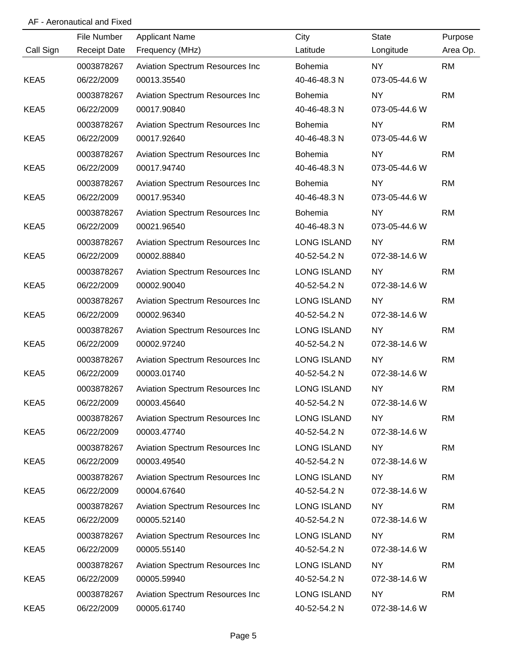|           | File Number         | <b>Applicant Name</b>           | City               | <b>State</b>  | Purpose   |
|-----------|---------------------|---------------------------------|--------------------|---------------|-----------|
| Call Sign | <b>Receipt Date</b> | Frequency (MHz)                 | Latitude           | Longitude     | Area Op.  |
|           | 0003878267          | Aviation Spectrum Resources Inc | Bohemia            | NY.           | <b>RM</b> |
| KEA5      | 06/22/2009          | 00013.35540                     | 40-46-48.3 N       | 073-05-44.6 W |           |
|           | 0003878267          | Aviation Spectrum Resources Inc | Bohemia            | NY.           | <b>RM</b> |
| KEA5      | 06/22/2009          | 00017.90840                     | 40-46-48.3 N       | 073-05-44.6 W |           |
|           | 0003878267          | Aviation Spectrum Resources Inc | Bohemia            | <b>NY</b>     | <b>RM</b> |
| KEA5      | 06/22/2009          | 00017.92640                     | 40-46-48.3 N       | 073-05-44.6 W |           |
|           | 0003878267          | Aviation Spectrum Resources Inc | Bohemia            | <b>NY</b>     | <b>RM</b> |
| KEA5      | 06/22/2009          | 00017.94740                     | 40-46-48.3 N       | 073-05-44.6 W |           |
|           | 0003878267          | Aviation Spectrum Resources Inc | <b>Bohemia</b>     | <b>NY</b>     | <b>RM</b> |
| KEA5      | 06/22/2009          | 00017.95340                     | 40-46-48.3 N       | 073-05-44.6 W |           |
|           | 0003878267          | Aviation Spectrum Resources Inc | Bohemia            | NY.           | <b>RM</b> |
| KEA5      | 06/22/2009          | 00021.96540                     | 40-46-48.3 N       | 073-05-44.6 W |           |
|           | 0003878267          | Aviation Spectrum Resources Inc | <b>LONG ISLAND</b> | NY.           | <b>RM</b> |
| KEA5      | 06/22/2009          | 00002.88840                     | 40-52-54.2 N       | 072-38-14.6 W |           |
|           | 0003878267          | Aviation Spectrum Resources Inc | <b>LONG ISLAND</b> | NY.           | <b>RM</b> |
| KEA5      | 06/22/2009          | 00002.90040                     | 40-52-54.2 N       | 072-38-14.6 W |           |
|           | 0003878267          | Aviation Spectrum Resources Inc | <b>LONG ISLAND</b> | <b>NY</b>     | <b>RM</b> |
| KEA5      | 06/22/2009          | 00002.96340                     | 40-52-54.2 N       | 072-38-14.6 W |           |
|           | 0003878267          | Aviation Spectrum Resources Inc | LONG ISLAND        | <b>NY</b>     | <b>RM</b> |
| KEA5      | 06/22/2009          | 00002.97240                     | 40-52-54.2 N       | 072-38-14.6 W |           |
|           | 0003878267          | Aviation Spectrum Resources Inc | LONG ISLAND        | <b>NY</b>     | <b>RM</b> |
| KEA5      | 06/22/2009          | 00003.01740                     | 40-52-54.2 N       | 072-38-14.6 W |           |
|           | 0003878267          | Aviation Spectrum Resources Inc | <b>LONG ISLAND</b> | <b>NY</b>     | <b>RM</b> |
| KEA5      | 06/22/2009          | 00003.45640                     | 40-52-54.2 N       | 072-38-14.6 W |           |
|           | 0003878267          | Aviation Spectrum Resources Inc | <b>LONG ISLAND</b> | <b>NY</b>     | <b>RM</b> |
| KEA5      | 06/22/2009          | 00003.47740                     | 40-52-54.2 N       | 072-38-14.6 W |           |
|           | 0003878267          | Aviation Spectrum Resources Inc | LONG ISLAND        | NY.           | <b>RM</b> |
| KEA5      | 06/22/2009          | 00003.49540                     | 40-52-54.2 N       | 072-38-14.6 W |           |
|           | 0003878267          | Aviation Spectrum Resources Inc | LONG ISLAND        | NY            | <b>RM</b> |
| KEA5      | 06/22/2009          | 00004.67640                     | 40-52-54.2 N       | 072-38-14.6 W |           |
|           | 0003878267          | Aviation Spectrum Resources Inc | LONG ISLAND        | NY            | <b>RM</b> |
| KEA5      | 06/22/2009          | 00005.52140                     | 40-52-54.2 N       | 072-38-14.6 W |           |
|           | 0003878267          | Aviation Spectrum Resources Inc | LONG ISLAND        | NY            | <b>RM</b> |
| KEA5      | 06/22/2009          | 00005.55140                     | 40-52-54.2 N       | 072-38-14.6 W |           |
|           | 0003878267          | Aviation Spectrum Resources Inc | LONG ISLAND        | <b>NY</b>     | <b>RM</b> |
| KEA5      | 06/22/2009          | 00005.59940                     | 40-52-54.2 N       | 072-38-14.6 W |           |
|           | 0003878267          | Aviation Spectrum Resources Inc | LONG ISLAND        | <b>NY</b>     | <b>RM</b> |
| KEA5      | 06/22/2009          | 00005.61740                     | 40-52-54.2 N       | 072-38-14.6 W |           |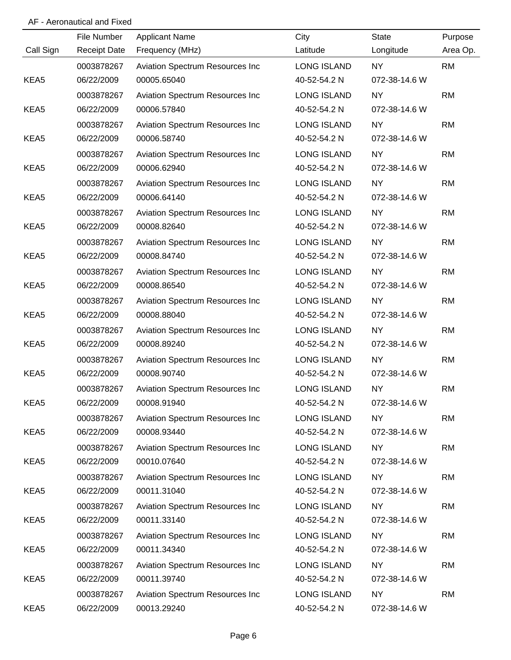|           | File Number         | <b>Applicant Name</b>           | City               | <b>State</b>  | Purpose   |
|-----------|---------------------|---------------------------------|--------------------|---------------|-----------|
| Call Sign | <b>Receipt Date</b> | Frequency (MHz)                 | Latitude           | Longitude     | Area Op.  |
|           | 0003878267          | Aviation Spectrum Resources Inc | <b>LONG ISLAND</b> | NY.           | <b>RM</b> |
| KEA5      | 06/22/2009          | 00005.65040                     | 40-52-54.2 N       | 072-38-14.6 W |           |
|           | 0003878267          | Aviation Spectrum Resources Inc | LONG ISLAND        | <b>NY</b>     | <b>RM</b> |
| KEA5      | 06/22/2009          | 00006.57840                     | 40-52-54.2 N       | 072-38-14.6 W |           |
|           | 0003878267          | Aviation Spectrum Resources Inc | LONG ISLAND        | <b>NY</b>     | <b>RM</b> |
| KEA5      | 06/22/2009          | 00006.58740                     | 40-52-54.2 N       | 072-38-14.6 W |           |
|           | 0003878267          | Aviation Spectrum Resources Inc | LONG ISLAND        | <b>NY</b>     | <b>RM</b> |
| KEA5      | 06/22/2009          | 00006.62940                     | 40-52-54.2 N       | 072-38-14.6 W |           |
|           | 0003878267          | Aviation Spectrum Resources Inc | LONG ISLAND        | <b>NY</b>     | <b>RM</b> |
| KEA5      | 06/22/2009          | 00006.64140                     | 40-52-54.2 N       | 072-38-14.6 W |           |
|           | 0003878267          | Aviation Spectrum Resources Inc | LONG ISLAND        | NY.           | <b>RM</b> |
| KEA5      | 06/22/2009          | 00008.82640                     | 40-52-54.2 N       | 072-38-14.6 W |           |
|           | 0003878267          | Aviation Spectrum Resources Inc | <b>LONG ISLAND</b> | NY.           | <b>RM</b> |
| KEA5      | 06/22/2009          | 00008.84740                     | 40-52-54.2 N       | 072-38-14.6 W |           |
|           | 0003878267          | Aviation Spectrum Resources Inc | LONG ISLAND        | NY.           | <b>RM</b> |
| KEA5      | 06/22/2009          | 00008.86540                     | 40-52-54.2 N       | 072-38-14.6 W |           |
|           | 0003878267          | Aviation Spectrum Resources Inc | LONG ISLAND        | NY.           | <b>RM</b> |
| KEA5      | 06/22/2009          | 00008.88040                     | 40-52-54.2 N       | 072-38-14.6 W |           |
|           | 0003878267          | Aviation Spectrum Resources Inc | LONG ISLAND        | <b>NY</b>     | <b>RM</b> |
| KEA5      | 06/22/2009          | 00008.89240                     | 40-52-54.2 N       | 072-38-14.6 W |           |
|           | 0003878267          | Aviation Spectrum Resources Inc | <b>LONG ISLAND</b> | <b>NY</b>     | <b>RM</b> |
| KEA5      | 06/22/2009          | 00008.90740                     | 40-52-54.2 N       | 072-38-14.6 W |           |
|           | 0003878267          | Aviation Spectrum Resources Inc | <b>LONG ISLAND</b> | <b>NY</b>     | <b>RM</b> |
| KEA5      | 06/22/2009          | 00008.91940                     | 40-52-54.2 N       | 072-38-14.6 W |           |
|           | 0003878267          | Aviation Spectrum Resources Inc | <b>LONG ISLAND</b> | NY            | <b>RM</b> |
| KEA5      | 06/22/2009          | 00008.93440                     | 40-52-54.2 N       | 072-38-14.6 W |           |
|           | 0003878267          | Aviation Spectrum Resources Inc | <b>LONG ISLAND</b> | NY.           | <b>RM</b> |
| KEA5      | 06/22/2009          | 00010.07640                     | 40-52-54.2 N       | 072-38-14.6 W |           |
|           | 0003878267          | Aviation Spectrum Resources Inc | <b>LONG ISLAND</b> | NY            | <b>RM</b> |
| KEA5      | 06/22/2009          | 00011.31040                     | 40-52-54.2 N       | 072-38-14.6 W |           |
|           | 0003878267          | Aviation Spectrum Resources Inc | LONG ISLAND        | NY.           | <b>RM</b> |
| KEA5      | 06/22/2009          | 00011.33140                     | 40-52-54.2 N       | 072-38-14.6 W |           |
|           | 0003878267          | Aviation Spectrum Resources Inc | LONG ISLAND        | <b>NY</b>     | <b>RM</b> |
| KEA5      | 06/22/2009          | 00011.34340                     | 40-52-54.2 N       | 072-38-14.6 W |           |
|           | 0003878267          | Aviation Spectrum Resources Inc | LONG ISLAND        | NY            | <b>RM</b> |
| KEA5      | 06/22/2009          | 00011.39740                     | 40-52-54.2 N       | 072-38-14.6 W |           |
|           | 0003878267          | Aviation Spectrum Resources Inc | LONG ISLAND        | NY            | <b>RM</b> |
| KEA5      | 06/22/2009          | 00013.29240                     | 40-52-54.2 N       | 072-38-14.6 W |           |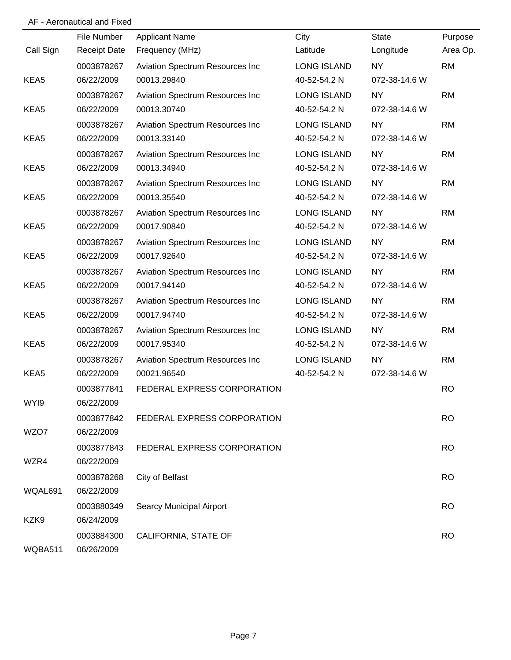|           | File Number         | <b>Applicant Name</b>           | City               | <b>State</b>  | Purpose   |
|-----------|---------------------|---------------------------------|--------------------|---------------|-----------|
| Call Sign | <b>Receipt Date</b> | Frequency (MHz)                 | Latitude           | Longitude     | Area Op.  |
|           | 0003878267          | Aviation Spectrum Resources Inc | <b>LONG ISLAND</b> | NY.           | <b>RM</b> |
| KEA5      | 06/22/2009          | 00013.29840                     | 40-52-54.2 N       | 072-38-14.6 W |           |
|           | 0003878267          | Aviation Spectrum Resources Inc | LONG ISLAND        | NY.           | <b>RM</b> |
| KEA5      | 06/22/2009          | 00013.30740                     | 40-52-54.2 N       | 072-38-14.6 W |           |
|           | 0003878267          | Aviation Spectrum Resources Inc | LONG ISLAND        | <b>NY</b>     | <b>RM</b> |
| KEA5      | 06/22/2009          | 00013.33140                     | 40-52-54.2 N       | 072-38-14.6 W |           |
|           | 0003878267          | Aviation Spectrum Resources Inc | LONG ISLAND        | <b>NY</b>     | <b>RM</b> |
| KEA5      | 06/22/2009          | 00013.34940                     | 40-52-54.2 N       | 072-38-14.6 W |           |
|           | 0003878267          | Aviation Spectrum Resources Inc | LONG ISLAND        | <b>NY</b>     | <b>RM</b> |
| KEA5      | 06/22/2009          | 00013.35540                     | 40-52-54.2 N       | 072-38-14.6 W |           |
|           | 0003878267          | Aviation Spectrum Resources Inc | LONG ISLAND        | NY.           | <b>RM</b> |
| KEA5      | 06/22/2009          | 00017.90840                     | 40-52-54.2 N       | 072-38-14.6 W |           |
|           | 0003878267          | Aviation Spectrum Resources Inc | LONG ISLAND        | <b>NY</b>     | <b>RM</b> |
| KEA5      | 06/22/2009          | 00017.92640                     | 40-52-54.2 N       | 072-38-14.6 W |           |
|           | 0003878267          | Aviation Spectrum Resources Inc | <b>LONG ISLAND</b> | <b>NY</b>     | <b>RM</b> |
| KEA5      | 06/22/2009          | 00017.94140                     | 40-52-54.2 N       | 072-38-14.6 W |           |
|           | 0003878267          | Aviation Spectrum Resources Inc | <b>LONG ISLAND</b> | <b>NY</b>     | <b>RM</b> |
| KEA5      | 06/22/2009          | 00017.94740                     | 40-52-54.2 N       | 072-38-14.6 W |           |
|           | 0003878267          | Aviation Spectrum Resources Inc | LONG ISLAND        | <b>NY</b>     | <b>RM</b> |
| KEA5      | 06/22/2009          | 00017.95340                     | 40-52-54.2 N       | 072-38-14.6 W |           |
|           | 0003878267          | Aviation Spectrum Resources Inc | LONG ISLAND        | <b>NY</b>     | <b>RM</b> |
| KEA5      | 06/22/2009          | 00021.96540                     | 40-52-54.2 N       | 072-38-14.6 W |           |
|           | 0003877841          | FEDERAL EXPRESS CORPORATION     |                    |               | <b>RO</b> |
| WYI9      | 06/22/2009          |                                 |                    |               |           |
|           | 0003877842          | FEDERAL EXPRESS CORPORATION     |                    |               | <b>RO</b> |
| WZO7      | 06/22/2009          |                                 |                    |               |           |
|           | 0003877843          | FEDERAL EXPRESS CORPORATION     |                    |               | <b>RO</b> |
| WZR4      | 06/22/2009          |                                 |                    |               |           |
|           | 0003878268          | City of Belfast                 |                    |               | <b>RO</b> |
| WQAL691   | 06/22/2009          |                                 |                    |               |           |
|           | 0003880349          | Searcy Municipal Airport        |                    |               | <b>RO</b> |
| KZK9      | 06/24/2009          |                                 |                    |               |           |
|           | 0003884300          | CALIFORNIA, STATE OF            |                    |               | <b>RO</b> |
| WQBA511   | 06/26/2009          |                                 |                    |               |           |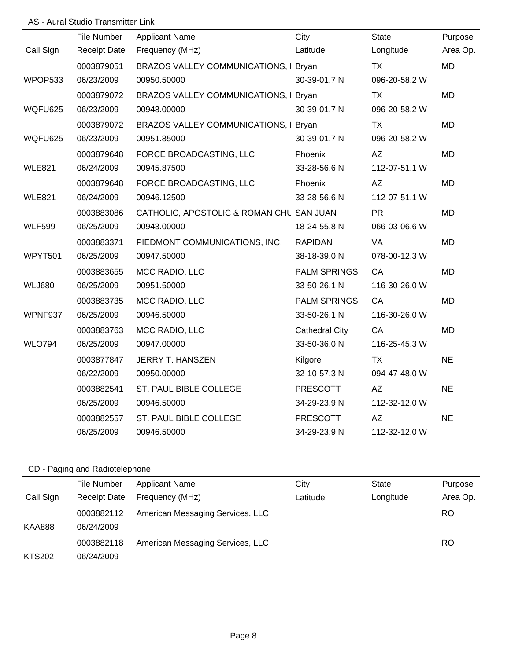### AS - Aural Studio Transmitter Link

| File Number | <b>Applicant Name</b>         | City                  | <b>State</b>                                                                                                                                                        | Purpose   |
|-------------|-------------------------------|-----------------------|---------------------------------------------------------------------------------------------------------------------------------------------------------------------|-----------|
|             |                               |                       |                                                                                                                                                                     |           |
|             | Frequency (MHz)               | Latitude              | Longitude                                                                                                                                                           | Area Op.  |
| 0003879051  |                               |                       | <b>TX</b>                                                                                                                                                           | <b>MD</b> |
| 06/23/2009  | 00950.50000                   | 30-39-01.7 N          | 096-20-58.2 W                                                                                                                                                       |           |
| 0003879072  |                               |                       | <b>TX</b>                                                                                                                                                           | <b>MD</b> |
| 06/23/2009  | 00948.00000                   | 30-39-01.7 N          | 096-20-58.2 W                                                                                                                                                       |           |
| 0003879072  |                               |                       | <b>TX</b>                                                                                                                                                           | <b>MD</b> |
| 06/23/2009  | 00951.85000                   | 30-39-01.7 N          | 096-20-58.2 W                                                                                                                                                       |           |
| 0003879648  | FORCE BROADCASTING, LLC       | Phoenix               | AZ                                                                                                                                                                  | <b>MD</b> |
| 06/24/2009  | 00945.87500                   | 33-28-56.6 N          | 112-07-51.1 W                                                                                                                                                       |           |
| 0003879648  | FORCE BROADCASTING, LLC       | Phoenix               | <b>AZ</b>                                                                                                                                                           | <b>MD</b> |
| 06/24/2009  | 00946.12500                   | 33-28-56.6 N          | 112-07-51.1 W                                                                                                                                                       |           |
| 0003883086  |                               |                       | <b>PR</b>                                                                                                                                                           | <b>MD</b> |
| 06/25/2009  | 00943.00000                   | 18-24-55.8 N          | 066-03-06.6 W                                                                                                                                                       |           |
| 0003883371  | PIEDMONT COMMUNICATIONS, INC. | <b>RAPIDAN</b>        | <b>VA</b>                                                                                                                                                           | <b>MD</b> |
| 06/25/2009  | 00947.50000                   | 38-18-39.0 N          | 078-00-12.3 W                                                                                                                                                       |           |
| 0003883655  | MCC RADIO, LLC                | <b>PALM SPRINGS</b>   | CA                                                                                                                                                                  | <b>MD</b> |
| 06/25/2009  | 00951.50000                   | 33-50-26.1 N          | 116-30-26.0 W                                                                                                                                                       |           |
| 0003883735  | MCC RADIO, LLC                | <b>PALM SPRINGS</b>   | CA                                                                                                                                                                  | <b>MD</b> |
| 06/25/2009  | 00946.50000                   | 33-50-26.1 N          | 116-30-26.0 W                                                                                                                                                       |           |
| 0003883763  | MCC RADIO, LLC                | <b>Cathedral City</b> | CA                                                                                                                                                                  | <b>MD</b> |
| 06/25/2009  | 00947.00000                   | 33-50-36.0 N          | 116-25-45.3 W                                                                                                                                                       |           |
| 0003877847  | <b>JERRY T. HANSZEN</b>       | Kilgore               | <b>TX</b>                                                                                                                                                           | <b>NE</b> |
| 06/22/2009  | 00950.00000                   | 32-10-57.3 N          | 094-47-48.0 W                                                                                                                                                       |           |
| 0003882541  | ST. PAUL BIBLE COLLEGE        | <b>PRESCOTT</b>       | AZ                                                                                                                                                                  | <b>NE</b> |
| 06/25/2009  | 00946.50000                   | 34-29-23.9 N          | 112-32-12.0 W                                                                                                                                                       |           |
| 0003882557  | ST. PAUL BIBLE COLLEGE        | <b>PRESCOTT</b>       | AZ                                                                                                                                                                  | <b>NE</b> |
| 06/25/2009  | 00946.50000                   | 34-29-23.9 N          | 112-32-12.0 W                                                                                                                                                       |           |
|             | <b>Receipt Date</b>           |                       | BRAZOS VALLEY COMMUNICATIONS, I Bryan<br>BRAZOS VALLEY COMMUNICATIONS, I Bryan<br>BRAZOS VALLEY COMMUNICATIONS, I Bryan<br>CATHOLIC, APOSTOLIC & ROMAN CHL SAN JUAN |           |

# CD - Paging and Radiotelephone

|               | File Number              | <b>Applicant Name</b>            | City     | <b>State</b> | Purpose   |
|---------------|--------------------------|----------------------------------|----------|--------------|-----------|
| Call Sign     | <b>Receipt Date</b>      | Frequency (MHz)                  | Latitude | Longitude    | Area Op.  |
| <b>KAA888</b> | 0003882112<br>06/24/2009 | American Messaging Services, LLC |          |              | <b>RO</b> |
|               | 0003882118               | American Messaging Services, LLC |          |              | <b>RO</b> |
| <b>KTS202</b> | 06/24/2009               |                                  |          |              |           |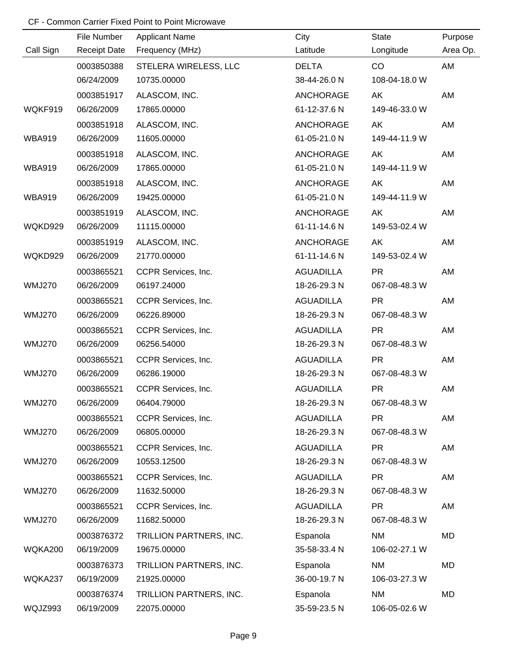|               | File Number         | <b>Applicant Name</b>   | City             | <b>State</b>  | Purpose  |
|---------------|---------------------|-------------------------|------------------|---------------|----------|
| Call Sign     | <b>Receipt Date</b> | Frequency (MHz)         | Latitude         | Longitude     | Area Op. |
|               | 0003850388          | STELERA WIRELESS, LLC   | <b>DELTA</b>     | CO            | AM       |
|               | 06/24/2009          | 10735.00000             | 38-44-26.0 N     | 108-04-18.0 W |          |
|               | 0003851917          | ALASCOM, INC.           | <b>ANCHORAGE</b> | AK            | AM       |
| WQKF919       | 06/26/2009          | 17865.00000             | 61-12-37.6 N     | 149-46-33.0 W |          |
|               | 0003851918          | ALASCOM, INC.           | <b>ANCHORAGE</b> | AK            | AM       |
| <b>WBA919</b> | 06/26/2009          | 11605.00000             | 61-05-21.0 N     | 149-44-11.9 W |          |
|               | 0003851918          | ALASCOM, INC.           | <b>ANCHORAGE</b> | AK            | AM       |
| <b>WBA919</b> | 06/26/2009          | 17865.00000             | 61-05-21.0 N     | 149-44-11.9 W |          |
|               | 0003851918          | ALASCOM, INC.           | <b>ANCHORAGE</b> | AK            | AM       |
| <b>WBA919</b> | 06/26/2009          | 19425.00000             | 61-05-21.0 N     | 149-44-11.9 W |          |
|               | 0003851919          | ALASCOM, INC.           | <b>ANCHORAGE</b> | AK            | AM       |
| WQKD929       | 06/26/2009          | 11115.00000             | 61-11-14.6 N     | 149-53-02.4 W |          |
|               | 0003851919          | ALASCOM, INC.           | <b>ANCHORAGE</b> | AK            | AM       |
| WQKD929       | 06/26/2009          | 21770.00000             | 61-11-14.6 N     | 149-53-02.4 W |          |
|               | 0003865521          | CCPR Services, Inc.     | <b>AGUADILLA</b> | <b>PR</b>     | AM       |
| <b>WMJ270</b> | 06/26/2009          | 06197.24000             | 18-26-29.3 N     | 067-08-48.3 W |          |
|               | 0003865521          | CCPR Services, Inc.     | <b>AGUADILLA</b> | <b>PR</b>     | AM       |
| <b>WMJ270</b> | 06/26/2009          | 06226.89000             | 18-26-29.3 N     | 067-08-48.3 W |          |
|               | 0003865521          | CCPR Services, Inc.     | <b>AGUADILLA</b> | <b>PR</b>     | AM       |
| <b>WMJ270</b> | 06/26/2009          | 06256.54000             | 18-26-29.3 N     | 067-08-48.3 W |          |
|               | 0003865521          | CCPR Services, Inc.     | <b>AGUADILLA</b> | <b>PR</b>     | AM       |
| <b>WMJ270</b> | 06/26/2009          | 06286.19000             | 18-26-29.3 N     | 067-08-48.3 W |          |
|               | 0003865521          | CCPR Services, Inc.     | <b>AGUADILLA</b> | <b>PR</b>     | AM       |
| <b>WMJ270</b> | 06/26/2009          | 06404.79000             | 18-26-29.3 N     | 067-08-48.3 W |          |
|               | 0003865521          | CCPR Services, Inc.     | <b>AGUADILLA</b> | <b>PR</b>     | AM       |
| <b>WMJ270</b> | 06/26/2009          | 06805.00000             | 18-26-29.3 N     | 067-08-48.3 W |          |
|               | 0003865521          | CCPR Services, Inc.     | <b>AGUADILLA</b> | <b>PR</b>     | AM       |
| <b>WMJ270</b> | 06/26/2009          | 10553.12500             | 18-26-29.3 N     | 067-08-48.3 W |          |
|               | 0003865521          | CCPR Services, Inc.     | <b>AGUADILLA</b> | <b>PR</b>     | AM       |
| <b>WMJ270</b> | 06/26/2009          | 11632.50000             | 18-26-29.3 N     | 067-08-48.3 W |          |
|               | 0003865521          | CCPR Services, Inc.     | <b>AGUADILLA</b> | <b>PR</b>     | AM       |
| <b>WMJ270</b> | 06/26/2009          | 11682.50000             | 18-26-29.3 N     | 067-08-48.3 W |          |
|               | 0003876372          | TRILLION PARTNERS, INC. | Espanola         | <b>NM</b>     | MD       |
| WQKA200       | 06/19/2009          | 19675.00000             | 35-58-33.4 N     | 106-02-27.1 W |          |
|               | 0003876373          | TRILLION PARTNERS, INC. | Espanola         | <b>NM</b>     | MD       |
| WQKA237       | 06/19/2009          | 21925.00000             | 36-00-19.7 N     | 106-03-27.3 W |          |
|               | 0003876374          | TRILLION PARTNERS, INC. | Espanola         | <b>NM</b>     | MD       |
| WQJZ993       | 06/19/2009          | 22075.00000             | 35-59-23.5 N     | 106-05-02.6 W |          |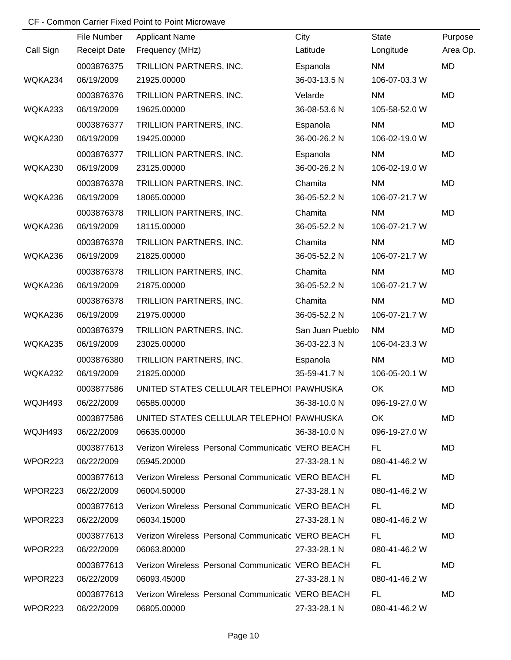|           | File Number         | <b>Applicant Name</b>                             | City            | <b>State</b>  | Purpose   |
|-----------|---------------------|---------------------------------------------------|-----------------|---------------|-----------|
| Call Sign | <b>Receipt Date</b> | Frequency (MHz)                                   | Latitude        | Longitude     | Area Op.  |
|           | 0003876375          | TRILLION PARTNERS, INC.                           | Espanola        | <b>NM</b>     | MD        |
| WQKA234   | 06/19/2009          | 21925.00000                                       | 36-03-13.5 N    | 106-07-03.3 W |           |
|           | 0003876376          | TRILLION PARTNERS, INC.                           | Velarde         | <b>NM</b>     | MD        |
| WQKA233   | 06/19/2009          | 19625.00000                                       | 36-08-53.6 N    | 105-58-52.0 W |           |
|           | 0003876377          | TRILLION PARTNERS, INC.                           | Espanola        | <b>NM</b>     | MD        |
| WQKA230   | 06/19/2009          | 19425.00000                                       | 36-00-26.2 N    | 106-02-19.0 W |           |
|           | 0003876377          | TRILLION PARTNERS, INC.                           | Espanola        | <b>NM</b>     | MD        |
| WQKA230   | 06/19/2009          | 23125.00000                                       | 36-00-26.2 N    | 106-02-19.0 W |           |
|           | 0003876378          | TRILLION PARTNERS, INC.                           | Chamita         | <b>NM</b>     | MD        |
| WQKA236   | 06/19/2009          | 18065.00000                                       | 36-05-52.2 N    | 106-07-21.7 W |           |
|           | 0003876378          | TRILLION PARTNERS, INC.                           | Chamita         | <b>NM</b>     | MD        |
| WQKA236   | 06/19/2009          | 18115.00000                                       | 36-05-52.2 N    | 106-07-21.7 W |           |
|           | 0003876378          | TRILLION PARTNERS, INC.                           | Chamita         | <b>NM</b>     | MD        |
| WQKA236   | 06/19/2009          | 21825.00000                                       | 36-05-52.2 N    | 106-07-21.7 W |           |
|           | 0003876378          | TRILLION PARTNERS, INC.                           | Chamita         | <b>NM</b>     | MD        |
| WQKA236   | 06/19/2009          | 21875.00000                                       | 36-05-52.2 N    | 106-07-21.7 W |           |
|           | 0003876378          | TRILLION PARTNERS, INC.                           | Chamita         | <b>NM</b>     | MD        |
| WQKA236   | 06/19/2009          | 21975.00000                                       | 36-05-52.2 N    | 106-07-21.7 W |           |
|           | 0003876379          | TRILLION PARTNERS, INC.                           | San Juan Pueblo | <b>NM</b>     | MD        |
| WQKA235   | 06/19/2009          | 23025.00000                                       | 36-03-22.3 N    | 106-04-23.3 W |           |
|           | 0003876380          | TRILLION PARTNERS, INC.                           | Espanola        | <b>NM</b>     | <b>MD</b> |
| WQKA232   | 06/19/2009          | 21825.00000                                       | 35-59-41.7 N    | 106-05-20.1 W |           |
|           | 0003877586          | UNITED STATES CELLULAR TELEPHOI PAWHUSKA          |                 | OK            | MD        |
| WQJH493   | 06/22/2009          | 06585.00000                                       | 36-38-10.0 N    | 096-19-27.0 W |           |
|           | 0003877586          | UNITED STATES CELLULAR TELEPHOI PAWHUSKA          |                 | OK            | MD        |
| WQJH493   | 06/22/2009          | 06635.00000                                       | 36-38-10.0 N    | 096-19-27.0 W |           |
|           | 0003877613          | Verizon Wireless Personal Communicatic VERO BEACH |                 | FL.           | MD        |
| WPOR223   | 06/22/2009          | 05945.20000                                       | 27-33-28.1 N    | 080-41-46.2 W |           |
|           | 0003877613          | Verizon Wireless Personal Communicatic VERO BEACH |                 | FL.           | MD        |
| WPOR223   | 06/22/2009          | 06004.50000                                       | 27-33-28.1 N    | 080-41-46.2 W |           |
|           | 0003877613          | Verizon Wireless Personal Communicatic VERO BEACH |                 | FL.           | MD        |
| WPOR223   | 06/22/2009          | 06034.15000                                       | 27-33-28.1 N    | 080-41-46.2 W |           |
|           | 0003877613          | Verizon Wireless Personal Communicatic VERO BEACH |                 | FL.           | MD        |
| WPOR223   | 06/22/2009          | 06063.80000                                       | 27-33-28.1 N    | 080-41-46.2 W |           |
|           | 0003877613          | Verizon Wireless Personal Communicatic VERO BEACH |                 | FL.           | MD        |
| WPOR223   | 06/22/2009          | 06093.45000                                       | 27-33-28.1 N    | 080-41-46.2 W |           |
|           | 0003877613          | Verizon Wireless Personal Communicatic VERO BEACH |                 | FL.           | MD        |
| WPOR223   | 06/22/2009          | 06805.00000                                       | 27-33-28.1 N    | 080-41-46.2 W |           |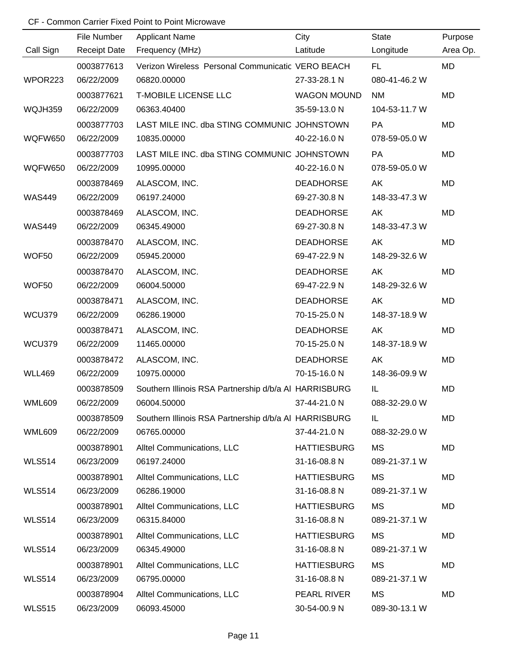|                | File Number         | <b>Applicant Name</b>                                 | City               | <b>State</b>  | Purpose   |
|----------------|---------------------|-------------------------------------------------------|--------------------|---------------|-----------|
| Call Sign      | <b>Receipt Date</b> | Frequency (MHz)                                       | Latitude           | Longitude     | Area Op.  |
|                | 0003877613          | Verizon Wireless Personal Communicatic VERO BEACH     |                    | FL.           | MD        |
| WPOR223        | 06/22/2009          | 06820.00000                                           | 27-33-28.1 N       | 080-41-46.2 W |           |
|                | 0003877621          | <b>T-MOBILE LICENSE LLC</b>                           | <b>WAGON MOUND</b> | <b>NM</b>     | MD        |
| WQJH359        | 06/22/2009          | 06363.40400                                           | 35-59-13.0 N       | 104-53-11.7 W |           |
|                | 0003877703          | LAST MILE INC. dba STING COMMUNIC JOHNSTOWN           |                    | <b>PA</b>     | <b>MD</b> |
| <b>WQFW650</b> | 06/22/2009          | 10835.00000                                           | 40-22-16.0 N       | 078-59-05.0 W |           |
|                | 0003877703          | LAST MILE INC. dba STING COMMUNIC JOHNSTOWN           |                    | PA            | MD        |
| <b>WQFW650</b> | 06/22/2009          | 10995.00000                                           | 40-22-16.0 N       | 078-59-05.0 W |           |
|                | 0003878469          | ALASCOM, INC.                                         | <b>DEADHORSE</b>   | AK            | MD        |
| <b>WAS449</b>  | 06/22/2009          | 06197.24000                                           | 69-27-30.8 N       | 148-33-47.3 W |           |
|                | 0003878469          | ALASCOM, INC.                                         | <b>DEADHORSE</b>   | AK            | MD        |
| <b>WAS449</b>  | 06/22/2009          | 06345.49000                                           | 69-27-30.8 N       | 148-33-47.3 W |           |
|                | 0003878470          | ALASCOM, INC.                                         | <b>DEADHORSE</b>   | AK            | MD        |
| WOF50          | 06/22/2009          | 05945.20000                                           | 69-47-22.9 N       | 148-29-32.6 W |           |
|                | 0003878470          | ALASCOM, INC.                                         | <b>DEADHORSE</b>   | AK            | MD        |
| WOF50          | 06/22/2009          | 06004.50000                                           | 69-47-22.9 N       | 148-29-32.6 W |           |
|                | 0003878471          | ALASCOM, INC.                                         | <b>DEADHORSE</b>   | AK            | MD        |
| <b>WCU379</b>  | 06/22/2009          | 06286.19000                                           | 70-15-25.0 N       | 148-37-18.9 W |           |
|                | 0003878471          | ALASCOM, INC.                                         | <b>DEADHORSE</b>   | AK            | MD        |
| WCU379         | 06/22/2009          | 11465.00000                                           | 70-15-25.0 N       | 148-37-18.9 W |           |
|                | 0003878472          | ALASCOM, INC.                                         | <b>DEADHORSE</b>   | AK            | MD        |
| <b>WLL469</b>  | 06/22/2009          | 10975.00000                                           | 70-15-16.0 N       | 148-36-09.9 W |           |
|                | 0003878509          | Southern Illinois RSA Partnership d/b/a AI HARRISBURG |                    | IL            | MD        |
| <b>WML609</b>  | 06/22/2009          | 06004.50000                                           | 37-44-21.0 N       | 088-32-29.0 W |           |
|                | 0003878509          | Southern Illinois RSA Partnership d/b/a AI HARRISBURG |                    | IL            | MD        |
| <b>WML609</b>  | 06/22/2009          | 06765.00000                                           | 37-44-21.0 N       | 088-32-29.0 W |           |
|                | 0003878901          | Alltel Communications, LLC                            | <b>HATTIESBURG</b> | MS            | MD        |
| <b>WLS514</b>  | 06/23/2009          | 06197.24000                                           | 31-16-08.8 N       | 089-21-37.1 W |           |
|                | 0003878901          | Alltel Communications, LLC                            | <b>HATTIESBURG</b> | MS            | MD        |
| <b>WLS514</b>  | 06/23/2009          | 06286.19000                                           | 31-16-08.8 N       | 089-21-37.1 W |           |
|                | 0003878901          | Alltel Communications, LLC                            | <b>HATTIESBURG</b> | <b>MS</b>     | MD        |
| <b>WLS514</b>  | 06/23/2009          | 06315.84000                                           | 31-16-08.8 N       | 089-21-37.1 W |           |
|                | 0003878901          | Alltel Communications, LLC                            | <b>HATTIESBURG</b> | <b>MS</b>     | MD        |
| <b>WLS514</b>  | 06/23/2009          | 06345.49000                                           | 31-16-08.8 N       | 089-21-37.1 W |           |
|                | 0003878901          | Alltel Communications, LLC                            | <b>HATTIESBURG</b> | <b>MS</b>     | MD        |
| <b>WLS514</b>  | 06/23/2009          | 06795.00000                                           | 31-16-08.8 N       | 089-21-37.1 W |           |
|                | 0003878904          | Alltel Communications, LLC                            | PEARL RIVER        | <b>MS</b>     | MD        |
| <b>WLS515</b>  | 06/23/2009          | 06093.45000                                           | 30-54-00.9 N       | 089-30-13.1 W |           |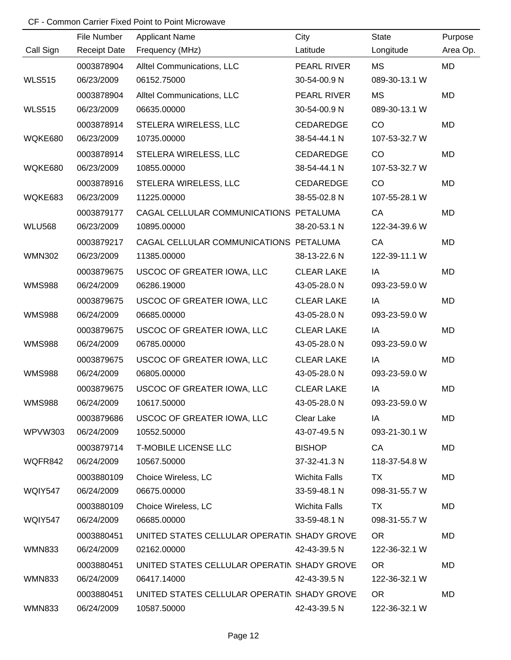|               | File Number              |                                             | City                      | <b>State</b>        |                     |
|---------------|--------------------------|---------------------------------------------|---------------------------|---------------------|---------------------|
| Call Sign     | <b>Receipt Date</b>      | <b>Applicant Name</b><br>Frequency (MHz)    | Latitude                  | Longitude           | Purpose<br>Area Op. |
|               | 0003878904               | Alltel Communications, LLC                  | PEARL RIVER               | <b>MS</b>           | <b>MD</b>           |
| <b>WLS515</b> | 06/23/2009               | 06152.75000                                 | 30-54-00.9 N              | 089-30-13.1 W       |                     |
|               | 0003878904               | Alltel Communications, LLC                  | PEARL RIVER               | <b>MS</b>           | <b>MD</b>           |
| <b>WLS515</b> | 06/23/2009               | 06635.00000                                 | 30-54-00.9 N              | 089-30-13.1 W       |                     |
|               |                          |                                             |                           |                     | <b>MD</b>           |
| WQKE680       | 0003878914<br>06/23/2009 | STELERA WIRELESS, LLC<br>10735.00000        | CEDAREDGE<br>38-54-44.1 N | CO<br>107-53-32.7 W |                     |
|               |                          |                                             |                           |                     |                     |
| WQKE680       | 0003878914<br>06/23/2009 | STELERA WIRELESS, LLC<br>10855.00000        | CEDAREDGE<br>38-54-44.1 N | CO<br>107-53-32.7 W | <b>MD</b>           |
|               |                          |                                             |                           |                     |                     |
|               | 0003878916               | STELERA WIRELESS, LLC                       | CEDAREDGE                 | CO                  | <b>MD</b>           |
| WQKE683       | 06/23/2009               | 11225.00000                                 | 38-55-02.8 N              | 107-55-28.1 W       |                     |
|               | 0003879177               | CAGAL CELLULAR COMMUNICATIONS PETALUMA      |                           | CA                  | <b>MD</b>           |
| <b>WLU568</b> | 06/23/2009               | 10895.00000                                 | 38-20-53.1 N              | 122-34-39.6 W       |                     |
|               | 0003879217               | CAGAL CELLULAR COMMUNICATIONS PETALUMA      |                           | CA                  | <b>MD</b>           |
| <b>WMN302</b> | 06/23/2009               | 11385.00000                                 | 38-13-22.6 N              | 122-39-11.1 W       |                     |
|               | 0003879675               | USCOC OF GREATER IOWA, LLC                  | <b>CLEAR LAKE</b>         | IA                  | <b>MD</b>           |
| <b>WMS988</b> | 06/24/2009               | 06286.19000                                 | 43-05-28.0 N              | 093-23-59.0 W       |                     |
|               | 0003879675               | USCOC OF GREATER IOWA, LLC                  | <b>CLEAR LAKE</b>         | IA                  | <b>MD</b>           |
| <b>WMS988</b> | 06/24/2009               | 06685.00000                                 | 43-05-28.0 N              | 093-23-59.0 W       |                     |
|               | 0003879675               | USCOC OF GREATER IOWA, LLC                  | <b>CLEAR LAKE</b>         | IA                  | <b>MD</b>           |
| <b>WMS988</b> | 06/24/2009               | 06785.00000                                 | 43-05-28.0 N              | 093-23-59.0 W       |                     |
|               | 0003879675               | USCOC OF GREATER IOWA, LLC                  | <b>CLEAR LAKE</b>         | IA                  | <b>MD</b>           |
| <b>WMS988</b> | 06/24/2009               | 06805.00000                                 | 43-05-28.0 N              | 093-23-59.0 W       |                     |
|               | 0003879675               | USCOC OF GREATER IOWA, LLC                  | <b>CLEAR LAKE</b>         | IA                  | <b>MD</b>           |
| <b>WMS988</b> | 06/24/2009               | 10617.50000                                 | 43-05-28.0 N              | 093-23-59.0 W       |                     |
|               | 0003879686               | USCOC OF GREATER IOWA, LLC                  | Clear Lake                | IA                  | <b>MD</b>           |
| WPVW303       | 06/24/2009               | 10552.50000                                 | 43-07-49.5 N              | 093-21-30.1 W       |                     |
|               | 0003879714               | <b>T-MOBILE LICENSE LLC</b>                 | <b>BISHOP</b>             | CA                  | MD                  |
| WQFR842       | 06/24/2009               | 10567.50000                                 | 37-32-41.3 N              | 118-37-54.8 W       |                     |
|               | 0003880109               | Choice Wireless, LC                         | <b>Wichita Falls</b>      | TX.                 | MD                  |
| WQIY547       | 06/24/2009               | 06675.00000                                 | 33-59-48.1 N              | 098-31-55.7 W       |                     |
|               | 0003880109               | Choice Wireless, LC                         | Wichita Falls             | TX                  | MD                  |
| WQIY547       | 06/24/2009               | 06685.00000                                 | 33-59-48.1 N              | 098-31-55.7 W       |                     |
|               | 0003880451               | UNITED STATES CELLULAR OPERATIN SHADY GROVE |                           | OR.                 | MD                  |
| <b>WMN833</b> | 06/24/2009               | 02162.00000                                 | 42-43-39.5 N              | 122-36-32.1 W       |                     |
|               | 0003880451               | UNITED STATES CELLULAR OPERATIN SHADY GROVE |                           | OR.                 | MD                  |
| <b>WMN833</b> | 06/24/2009               | 06417.14000                                 | 42-43-39.5 N              | 122-36-32.1 W       |                     |
|               | 0003880451               | UNITED STATES CELLULAR OPERATIN SHADY GROVE |                           | OR.                 | MD                  |
| WMN833        | 06/24/2009               | 10587.50000                                 | 42-43-39.5 N              | 122-36-32.1 W       |                     |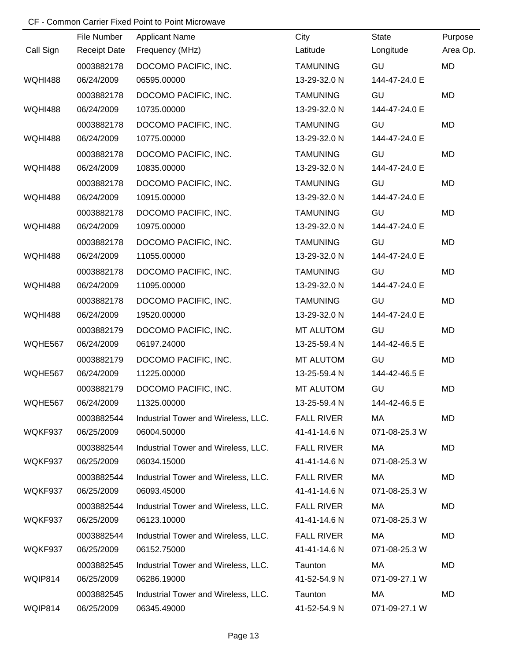|                | File Number         | <b>Applicant Name</b>               | City              | <b>State</b>  | Purpose   |
|----------------|---------------------|-------------------------------------|-------------------|---------------|-----------|
| Call Sign      | <b>Receipt Date</b> | Frequency (MHz)                     | Latitude          | Longitude     | Area Op.  |
|                | 0003882178          | DOCOMO PACIFIC, INC.                | <b>TAMUNING</b>   | GU            | <b>MD</b> |
| <b>WQHI488</b> | 06/24/2009          | 06595.00000                         | 13-29-32.0 N      | 144-47-24.0 E |           |
|                | 0003882178          | DOCOMO PACIFIC, INC.                | <b>TAMUNING</b>   | GU            | <b>MD</b> |
| <b>WQHI488</b> | 06/24/2009          | 10735.00000                         | 13-29-32.0 N      | 144-47-24.0 E |           |
|                | 0003882178          | DOCOMO PACIFIC, INC.                | <b>TAMUNING</b>   | GU            | <b>MD</b> |
| <b>WQHI488</b> | 06/24/2009          | 10775.00000                         | 13-29-32.0 N      | 144-47-24.0 E |           |
|                | 0003882178          | DOCOMO PACIFIC, INC.                | <b>TAMUNING</b>   | GU            | MD        |
| <b>WQHI488</b> | 06/24/2009          | 10835.00000                         | 13-29-32.0 N      | 144-47-24.0 E |           |
|                | 0003882178          | DOCOMO PACIFIC, INC.                | <b>TAMUNING</b>   | GU            | MD        |
| <b>WQHI488</b> | 06/24/2009          | 10915.00000                         | 13-29-32.0 N      | 144-47-24.0 E |           |
|                | 0003882178          | DOCOMO PACIFIC, INC.                | <b>TAMUNING</b>   | GU            | MD        |
| <b>WQHI488</b> | 06/24/2009          | 10975.00000                         | 13-29-32.0 N      | 144-47-24.0 E |           |
|                | 0003882178          | DOCOMO PACIFIC, INC.                | <b>TAMUNING</b>   | GU            | MD        |
| <b>WQHI488</b> | 06/24/2009          | 11055.00000                         | 13-29-32.0 N      | 144-47-24.0 E |           |
|                | 0003882178          | DOCOMO PACIFIC, INC.                | <b>TAMUNING</b>   | GU            | MD        |
| <b>WQHI488</b> | 06/24/2009          | 11095.00000                         | 13-29-32.0 N      | 144-47-24.0 E |           |
|                | 0003882178          | DOCOMO PACIFIC, INC.                | <b>TAMUNING</b>   | GU            | MD        |
| <b>WQHI488</b> | 06/24/2009          | 19520.00000                         | 13-29-32.0 N      | 144-47-24.0 E |           |
|                | 0003882179          | DOCOMO PACIFIC, INC.                | <b>MT ALUTOM</b>  | GU            | MD        |
| WQHE567        | 06/24/2009          | 06197.24000                         | 13-25-59.4 N      | 144-42-46.5 E |           |
|                | 0003882179          | DOCOMO PACIFIC, INC.                | <b>MT ALUTOM</b>  | GU            | MD        |
| WQHE567        | 06/24/2009          | 11225.00000                         | 13-25-59.4 N      | 144-42-46.5 E |           |
|                | 0003882179          | DOCOMO PACIFIC, INC.                | <b>MT ALUTOM</b>  | GU            | MD        |
| WQHE567        | 06/24/2009          | 11325.00000                         | 13-25-59.4 N      | 144-42-46.5 E |           |
|                | 0003882544          | Industrial Tower and Wireless, LLC. | <b>FALL RIVER</b> | МA            | MD        |
| WQKF937        | 06/25/2009          | 06004.50000                         | 41-41-14.6 N      | 071-08-25.3 W |           |
|                | 0003882544          | Industrial Tower and Wireless, LLC. | <b>FALL RIVER</b> | МA            | MD        |
| WQKF937        | 06/25/2009          | 06034.15000                         | 41-41-14.6 N      | 071-08-25.3 W |           |
|                | 0003882544          | Industrial Tower and Wireless, LLC. | <b>FALL RIVER</b> | МA            | MD        |
| WQKF937        | 06/25/2009          | 06093.45000                         | 41-41-14.6 N      | 071-08-25.3 W |           |
|                | 0003882544          | Industrial Tower and Wireless, LLC. | <b>FALL RIVER</b> | МA            | MD        |
| WQKF937        | 06/25/2009          | 06123.10000                         | 41-41-14.6 N      | 071-08-25.3 W |           |
|                | 0003882544          | Industrial Tower and Wireless, LLC. | <b>FALL RIVER</b> | МA            | MD        |
| WQKF937        | 06/25/2009          | 06152.75000                         | 41-41-14.6 N      | 071-08-25.3 W |           |
|                | 0003882545          | Industrial Tower and Wireless, LLC. | Taunton           | MA            | MD        |
| WQIP814        | 06/25/2009          | 06286.19000                         | 41-52-54.9 N      | 071-09-27.1 W |           |
|                | 0003882545          | Industrial Tower and Wireless, LLC. | Taunton           | МA            | MD        |
| WQIP814        | 06/25/2009          | 06345.49000                         | 41-52-54.9 N      | 071-09-27.1 W |           |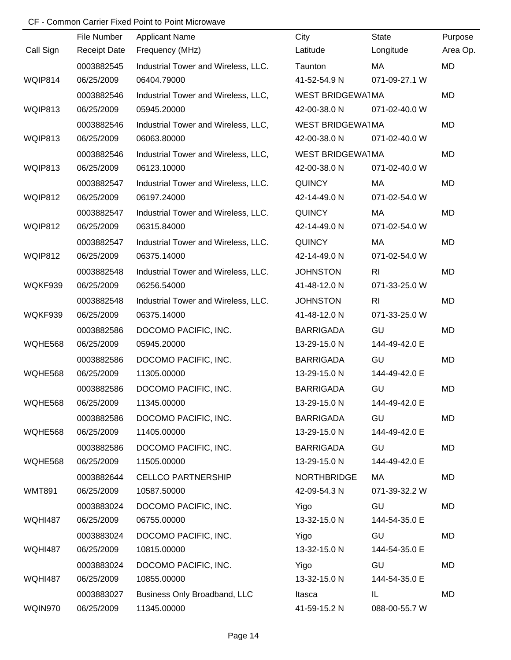|                | File Number         | <b>Applicant Name</b>               | City                    | <b>State</b>   | Purpose   |
|----------------|---------------------|-------------------------------------|-------------------------|----------------|-----------|
| Call Sign      | <b>Receipt Date</b> | Frequency (MHz)                     | Latitude                | Longitude      | Area Op.  |
|                | 0003882545          | Industrial Tower and Wireless, LLC. | Taunton                 | МA             | MD        |
| WQIP814        | 06/25/2009          | 06404.79000                         | 41-52-54.9 N            | 071-09-27.1 W  |           |
|                | 0003882546          | Industrial Tower and Wireless, LLC, | <b>WEST BRIDGEWA1MA</b> |                | <b>MD</b> |
| WQIP813        | 06/25/2009          | 05945.20000                         | 42-00-38.0 N            | 071-02-40.0 W  |           |
|                | 0003882546          | Industrial Tower and Wireless, LLC, | <b>WEST BRIDGEWA1MA</b> |                | MD        |
| WQIP813        | 06/25/2009          | 06063.80000                         | 42-00-38.0 N            | 071-02-40.0 W  |           |
|                | 0003882546          | Industrial Tower and Wireless, LLC, | <b>WEST BRIDGEWA1MA</b> |                | MD        |
| WQIP813        | 06/25/2009          | 06123.10000                         | 42-00-38.0 N            | 071-02-40.0 W  |           |
|                | 0003882547          | Industrial Tower and Wireless, LLC. | <b>QUINCY</b>           | MA             | MD        |
| WQIP812        | 06/25/2009          | 06197.24000                         | 42-14-49.0 N            | 071-02-54.0 W  |           |
|                | 0003882547          | Industrial Tower and Wireless, LLC. | <b>QUINCY</b>           | MA             | <b>MD</b> |
| WQIP812        | 06/25/2009          | 06315.84000                         | 42-14-49.0 N            | 071-02-54.0 W  |           |
|                | 0003882547          | Industrial Tower and Wireless, LLC. | <b>QUINCY</b>           | MA             | MD        |
| WQIP812        | 06/25/2009          | 06375.14000                         | 42-14-49.0 N            | 071-02-54.0 W  |           |
|                | 0003882548          | Industrial Tower and Wireless, LLC. | <b>JOHNSTON</b>         | R <sub>l</sub> | MD        |
| WQKF939        | 06/25/2009          | 06256.54000                         | 41-48-12.0 N            | 071-33-25.0 W  |           |
|                | 0003882548          | Industrial Tower and Wireless, LLC. | <b>JOHNSTON</b>         | R <sub>l</sub> | MD        |
| WQKF939        | 06/25/2009          | 06375.14000                         | 41-48-12.0 N            | 071-33-25.0 W  |           |
|                | 0003882586          | DOCOMO PACIFIC, INC.                | <b>BARRIGADA</b>        | GU             | <b>MD</b> |
| WQHE568        | 06/25/2009          | 05945.20000                         | 13-29-15.0 N            | 144-49-42.0 E  |           |
|                | 0003882586          | DOCOMO PACIFIC, INC.                | <b>BARRIGADA</b>        | GU             | MD        |
| WQHE568        | 06/25/2009          | 11305.00000                         | 13-29-15.0 N            | 144-49-42.0 E  |           |
|                | 0003882586          | DOCOMO PACIFIC, INC.                | <b>BARRIGADA</b>        | GU             | MD        |
| WQHE568        | 06/25/2009          | 11345.00000                         | 13-29-15.0 N            | 144-49-42.0 E  |           |
|                | 0003882586          | DOCOMO PACIFIC, INC.                | <b>BARRIGADA</b>        | GU             | MD        |
| WQHE568        | 06/25/2009          | 11405.00000                         | 13-29-15.0 N            | 144-49-42.0 E  |           |
|                | 0003882586          | DOCOMO PACIFIC, INC.                | <b>BARRIGADA</b>        | GU             | MD        |
| WQHE568        | 06/25/2009          | 11505.00000                         | 13-29-15.0 N            | 144-49-42.0 E  |           |
|                | 0003882644          | <b>CELLCO PARTNERSHIP</b>           | <b>NORTHBRIDGE</b>      | МA             | MD        |
| <b>WMT891</b>  | 06/25/2009          | 10587.50000                         | 42-09-54.3 N            | 071-39-32.2 W  |           |
|                | 0003883024          | DOCOMO PACIFIC, INC.                | Yigo                    | GU             | MD        |
| <b>WQHI487</b> | 06/25/2009          | 06755.00000                         | 13-32-15.0 N            | 144-54-35.0 E  |           |
|                | 0003883024          | DOCOMO PACIFIC, INC.                | Yigo                    | GU             | MD        |
| <b>WQHI487</b> | 06/25/2009          | 10815.00000                         | 13-32-15.0 N            | 144-54-35.0 E  |           |
|                | 0003883024          | DOCOMO PACIFIC, INC.                | Yigo                    | GU             | MD        |
| <b>WQHI487</b> | 06/25/2009          | 10855.00000                         | 13-32-15.0 N            | 144-54-35.0 E  |           |
|                | 0003883027          | Business Only Broadband, LLC        | Itasca                  | IL             | MD        |
| WQIN970        | 06/25/2009          | 11345.00000                         | 41-59-15.2 N            | 088-00-55.7 W  |           |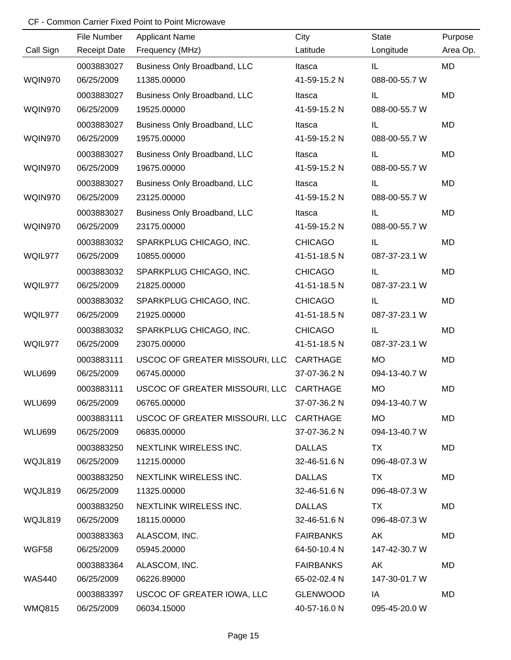|               | File Number         | <b>Applicant Name</b>                   | City             | <b>State</b>  | Purpose   |
|---------------|---------------------|-----------------------------------------|------------------|---------------|-----------|
| Call Sign     | <b>Receipt Date</b> | Frequency (MHz)                         | Latitude         | Longitude     | Area Op.  |
|               | 0003883027          | Business Only Broadband, LLC            | Itasca           | IL.           | MD        |
| WQIN970       | 06/25/2009          | 11385.00000                             | 41-59-15.2 N     | 088-00-55.7 W |           |
|               | 0003883027          | Business Only Broadband, LLC            | Itasca           | IL            | MD        |
| WQIN970       | 06/25/2009          | 19525.00000                             | 41-59-15.2 N     | 088-00-55.7 W |           |
|               | 0003883027          | Business Only Broadband, LLC            | Itasca           | IL.           | <b>MD</b> |
| WQIN970       | 06/25/2009          | 19575.00000                             | 41-59-15.2 N     | 088-00-55.7 W |           |
|               | 0003883027          | Business Only Broadband, LLC            | Itasca           | IL.           | <b>MD</b> |
| WQIN970       | 06/25/2009          | 19675.00000                             | 41-59-15.2 N     | 088-00-55.7 W |           |
|               | 0003883027          | Business Only Broadband, LLC            | Itasca           | IL.           | <b>MD</b> |
| WQIN970       | 06/25/2009          | 23125.00000                             | 41-59-15.2 N     | 088-00-55.7 W |           |
|               | 0003883027          | Business Only Broadband, LLC            | Itasca           | IL            | <b>MD</b> |
| WQIN970       | 06/25/2009          | 23175.00000                             | 41-59-15.2 N     | 088-00-55.7 W |           |
|               | 0003883032          | SPARKPLUG CHICAGO, INC.                 | <b>CHICAGO</b>   | IL            | <b>MD</b> |
| WQIL977       | 06/25/2009          | 10855.00000                             | 41-51-18.5 N     | 087-37-23.1 W |           |
|               | 0003883032          | SPARKPLUG CHICAGO, INC.                 | <b>CHICAGO</b>   | IL            | <b>MD</b> |
| WQIL977       | 06/25/2009          | 21825.00000                             | 41-51-18.5 N     | 087-37-23.1 W |           |
|               | 0003883032          | SPARKPLUG CHICAGO, INC.                 | <b>CHICAGO</b>   | IL            | <b>MD</b> |
| WQIL977       | 06/25/2009          | 21925.00000                             | 41-51-18.5 N     | 087-37-23.1 W |           |
|               | 0003883032          | SPARKPLUG CHICAGO, INC.                 | <b>CHICAGO</b>   | IL            | <b>MD</b> |
| WQIL977       | 06/25/2009          | 23075.00000                             | 41-51-18.5 N     | 087-37-23.1 W |           |
|               | 0003883111          | USCOC OF GREATER MISSOURI, LLC          | CARTHAGE         | <b>MO</b>     | <b>MD</b> |
| <b>WLU699</b> | 06/25/2009          | 06745.00000                             | 37-07-36.2 N     | 094-13-40.7 W |           |
|               | 0003883111          | USCOC OF GREATER MISSOURI, LLC          | <b>CARTHAGE</b>  | <b>MO</b>     | <b>MD</b> |
| <b>WLU699</b> | 06/25/2009          | 06765.00000                             | 37-07-36.2 N     | 094-13-40.7 W |           |
|               | 0003883111          | USCOC OF GREATER MISSOURI, LLC CARTHAGE |                  | <b>MO</b>     | MD        |
| <b>WLU699</b> | 06/25/2009          | 06835.00000                             | 37-07-36.2 N     | 094-13-40.7 W |           |
|               | 0003883250          | NEXTLINK WIRELESS INC.                  | <b>DALLAS</b>    | TX            | MD        |
| WQJL819       | 06/25/2009          | 11215.00000                             | 32-46-51.6 N     | 096-48-07.3 W |           |
|               | 0003883250          | NEXTLINK WIRELESS INC.                  | <b>DALLAS</b>    | TX            | MD        |
| WQJL819       | 06/25/2009          | 11325.00000                             | 32-46-51.6 N     | 096-48-07.3 W |           |
|               | 0003883250          | NEXTLINK WIRELESS INC.                  | <b>DALLAS</b>    | TX            | MD        |
| WQJL819       | 06/25/2009          | 18115.00000                             | 32-46-51.6 N     | 096-48-07.3 W |           |
|               | 0003883363          | ALASCOM, INC.                           | <b>FAIRBANKS</b> | AK            | MD        |
| WGF58         | 06/25/2009          | 05945.20000                             | 64-50-10.4 N     | 147-42-30.7 W |           |
|               | 0003883364          | ALASCOM, INC.                           | <b>FAIRBANKS</b> | AK            | MD        |
| <b>WAS440</b> | 06/25/2009          | 06226.89000                             | 65-02-02.4 N     | 147-30-01.7 W |           |
|               | 0003883397          | USCOC OF GREATER IOWA, LLC              | <b>GLENWOOD</b>  | IA            | MD        |
| <b>WMQ815</b> | 06/25/2009          | 06034.15000                             | 40-57-16.0 N     | 095-45-20.0 W |           |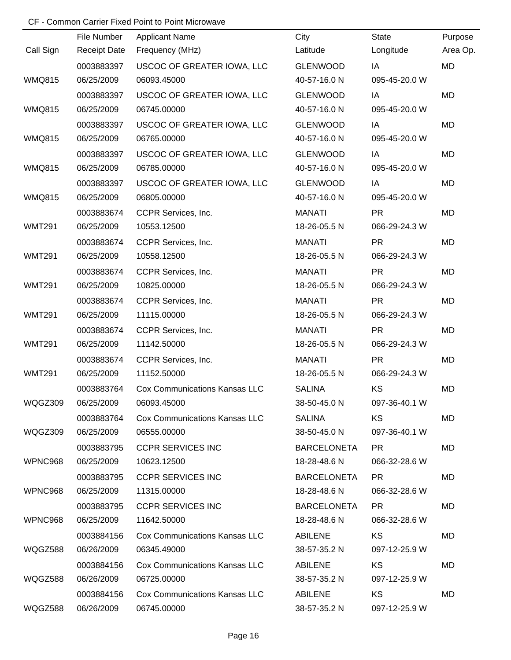|               | File Number         | <b>Applicant Name</b>                | City               | <b>State</b>  | Purpose  |
|---------------|---------------------|--------------------------------------|--------------------|---------------|----------|
| Call Sign     | <b>Receipt Date</b> | Frequency (MHz)                      | Latitude           | Longitude     | Area Op. |
|               | 0003883397          | USCOC OF GREATER IOWA, LLC           | <b>GLENWOOD</b>    | IA            | MD       |
| <b>WMQ815</b> | 06/25/2009          | 06093.45000                          | 40-57-16.0 N       | 095-45-20.0 W |          |
|               | 0003883397          | USCOC OF GREATER IOWA, LLC           | <b>GLENWOOD</b>    | IA            | MD       |
| <b>WMQ815</b> | 06/25/2009          | 06745.00000                          | 40-57-16.0 N       | 095-45-20.0 W |          |
|               | 0003883397          | USCOC OF GREATER IOWA, LLC           | <b>GLENWOOD</b>    | IA            | MD       |
| <b>WMQ815</b> | 06/25/2009          | 06765.00000                          | 40-57-16.0 N       | 095-45-20.0 W |          |
|               | 0003883397          | USCOC OF GREATER IOWA, LLC           | <b>GLENWOOD</b>    | IA            | MD       |
| <b>WMQ815</b> | 06/25/2009          | 06785.00000                          | 40-57-16.0 N       | 095-45-20.0 W |          |
|               | 0003883397          | USCOC OF GREATER IOWA, LLC           | <b>GLENWOOD</b>    | IA            | MD       |
| <b>WMQ815</b> | 06/25/2009          | 06805.00000                          | 40-57-16.0 N       | 095-45-20.0 W |          |
|               | 0003883674          | CCPR Services, Inc.                  | <b>MANATI</b>      | <b>PR</b>     | MD       |
| <b>WMT291</b> | 06/25/2009          | 10553.12500                          | 18-26-05.5 N       | 066-29-24.3 W |          |
|               | 0003883674          | CCPR Services, Inc.                  | <b>MANATI</b>      | <b>PR</b>     | MD       |
| <b>WMT291</b> | 06/25/2009          | 10558.12500                          | 18-26-05.5 N       | 066-29-24.3 W |          |
|               | 0003883674          | CCPR Services, Inc.                  | <b>MANATI</b>      | <b>PR</b>     | MD       |
| <b>WMT291</b> | 06/25/2009          | 10825.00000                          | 18-26-05.5 N       | 066-29-24.3 W |          |
|               | 0003883674          | CCPR Services, Inc.                  | <b>MANATI</b>      | <b>PR</b>     | MD       |
| <b>WMT291</b> | 06/25/2009          | 11115.00000                          | 18-26-05.5 N       | 066-29-24.3 W |          |
|               | 0003883674          | CCPR Services, Inc.                  | <b>MANATI</b>      | <b>PR</b>     | MD       |
| <b>WMT291</b> | 06/25/2009          | 11142.50000                          | 18-26-05.5 N       | 066-29-24.3 W |          |
|               | 0003883674          | CCPR Services, Inc.                  | <b>MANATI</b>      | <b>PR</b>     | MD       |
| <b>WMT291</b> | 06/25/2009          | 11152.50000                          | 18-26-05.5 N       | 066-29-24.3 W |          |
|               | 0003883764          | <b>Cox Communications Kansas LLC</b> | <b>SALINA</b>      | KS            | MD       |
| WQGZ309       | 06/25/2009          | 06093.45000                          | 38-50-45.0 N       | 097-36-40.1 W |          |
|               | 0003883764          | Cox Communications Kansas LLC        | <b>SALINA</b>      | <b>KS</b>     | MD       |
| WQGZ309       | 06/25/2009          | 06555.00000                          | 38-50-45.0 N       | 097-36-40.1 W |          |
|               | 0003883795          | <b>CCPR SERVICES INC</b>             | <b>BARCELONETA</b> | PR.           | MD       |
| WPNC968       | 06/25/2009          | 10623.12500                          | 18-28-48.6 N       | 066-32-28.6 W |          |
|               | 0003883795          | <b>CCPR SERVICES INC</b>             | <b>BARCELONETA</b> | PR.           | MD       |
| WPNC968       | 06/25/2009          | 11315.00000                          | 18-28-48.6 N       | 066-32-28.6 W |          |
|               | 0003883795          | <b>CCPR SERVICES INC</b>             | <b>BARCELONETA</b> | <b>PR</b>     | MD       |
| WPNC968       | 06/25/2009          | 11642.50000                          | 18-28-48.6 N       | 066-32-28.6 W |          |
|               | 0003884156          | <b>Cox Communications Kansas LLC</b> | ABILENE            | <b>KS</b>     | MD       |
| WQGZ588       | 06/26/2009          | 06345.49000                          | 38-57-35.2 N       | 097-12-25.9 W |          |
|               | 0003884156          | Cox Communications Kansas LLC        | ABILENE            | KS            | MD       |
| WQGZ588       | 06/26/2009          | 06725.00000                          | 38-57-35.2 N       | 097-12-25.9 W |          |
|               | 0003884156          | <b>Cox Communications Kansas LLC</b> | ABILENE            | KS            | MD       |
| WQGZ588       | 06/26/2009          | 06745.00000                          | 38-57-35.2 N       | 097-12-25.9 W |          |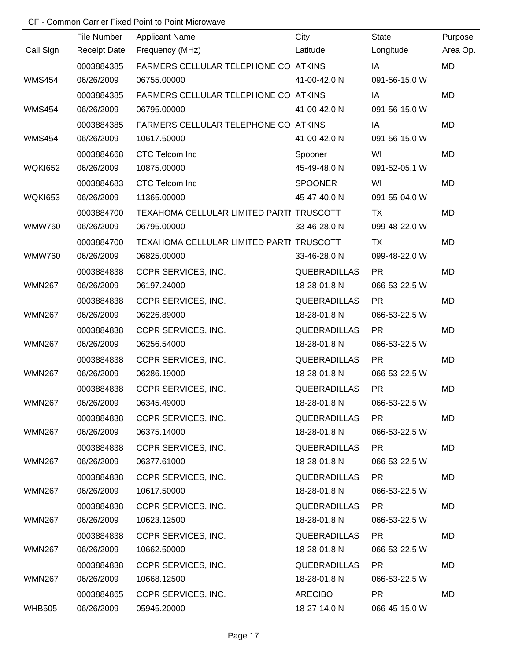|                | File Number         | <b>Applicant Name</b>                    | City                | <b>State</b>  | Purpose   |
|----------------|---------------------|------------------------------------------|---------------------|---------------|-----------|
| Call Sign      | <b>Receipt Date</b> | Frequency (MHz)                          | Latitude            | Longitude     | Area Op.  |
|                | 0003884385          | FARMERS CELLULAR TELEPHONE CO ATKINS     |                     | IA            | MD        |
| <b>WMS454</b>  | 06/26/2009          | 06755.00000                              | 41-00-42.0 N        | 091-56-15.0 W |           |
|                | 0003884385          | FARMERS CELLULAR TELEPHONE CO ATKINS     |                     | IA            | <b>MD</b> |
| <b>WMS454</b>  | 06/26/2009          | 06795.00000                              | 41-00-42.0 N        | 091-56-15.0 W |           |
|                | 0003884385          | FARMERS CELLULAR TELEPHONE CO ATKINS     |                     | IA            | MD        |
| <b>WMS454</b>  | 06/26/2009          | 10617.50000                              | 41-00-42.0 N        | 091-56-15.0 W |           |
|                | 0003884668          | CTC Telcom Inc                           | Spooner             | WI            | <b>MD</b> |
| <b>WQKI652</b> | 06/26/2009          | 10875.00000                              | 45-49-48.0 N        | 091-52-05.1 W |           |
|                | 0003884683          | CTC Telcom Inc                           | <b>SPOONER</b>      | WI            | MD        |
| <b>WQKI653</b> | 06/26/2009          | 11365.00000                              | 45-47-40.0 N        | 091-55-04.0 W |           |
|                | 0003884700          | TEXAHOMA CELLULAR LIMITED PARTI TRUSCOTT |                     | TX            | <b>MD</b> |
| <b>WMW760</b>  | 06/26/2009          | 06795.00000                              | 33-46-28.0 N        | 099-48-22.0 W |           |
|                | 0003884700          | TEXAHOMA CELLULAR LIMITED PARTI TRUSCOTT |                     | TX            | MD        |
| <b>WMW760</b>  | 06/26/2009          | 06825.00000                              | 33-46-28.0 N        | 099-48-22.0 W |           |
|                | 0003884838          | CCPR SERVICES, INC.                      | <b>QUEBRADILLAS</b> | <b>PR</b>     | MD        |
| <b>WMN267</b>  | 06/26/2009          | 06197.24000                              | 18-28-01.8 N        | 066-53-22.5 W |           |
|                | 0003884838          | CCPR SERVICES, INC.                      | <b>QUEBRADILLAS</b> | <b>PR</b>     | MD        |
| <b>WMN267</b>  | 06/26/2009          | 06226.89000                              | 18-28-01.8 N        | 066-53-22.5 W |           |
|                | 0003884838          | CCPR SERVICES, INC.                      | <b>QUEBRADILLAS</b> | <b>PR</b>     | <b>MD</b> |
| <b>WMN267</b>  | 06/26/2009          | 06256.54000                              | 18-28-01.8 N        | 066-53-22.5 W |           |
|                | 0003884838          | CCPR SERVICES, INC.                      | <b>QUEBRADILLAS</b> | <b>PR</b>     | MD        |
| <b>WMN267</b>  | 06/26/2009          | 06286.19000                              | 18-28-01.8 N        | 066-53-22.5 W |           |
|                | 0003884838          | CCPR SERVICES, INC.                      | <b>QUEBRADILLAS</b> | <b>PR</b>     | MD        |
| <b>WMN267</b>  | 06/26/2009          | 06345.49000                              | 18-28-01.8 N        | 066-53-22.5 W |           |
|                | 0003884838          | CCPR SERVICES, INC.                      | <b>QUEBRADILLAS</b> | <b>PR</b>     | MD        |
| <b>WMN267</b>  | 06/26/2009          | 06375.14000                              | 18-28-01.8 N        | 066-53-22.5 W |           |
|                | 0003884838          | CCPR SERVICES, INC.                      | <b>QUEBRADILLAS</b> | <b>PR</b>     | MD        |
| <b>WMN267</b>  | 06/26/2009          | 06377.61000                              | 18-28-01.8 N        | 066-53-22.5 W |           |
|                | 0003884838          | CCPR SERVICES, INC.                      | QUEBRADILLAS        | <b>PR</b>     | MD        |
| <b>WMN267</b>  | 06/26/2009          | 10617.50000                              | 18-28-01.8 N        | 066-53-22.5 W |           |
|                | 0003884838          | CCPR SERVICES, INC.                      | <b>QUEBRADILLAS</b> | PR.           | MD        |
| <b>WMN267</b>  | 06/26/2009          | 10623.12500                              | 18-28-01.8 N        | 066-53-22.5 W |           |
|                | 0003884838          | CCPR SERVICES, INC.                      | <b>QUEBRADILLAS</b> | <b>PR</b>     | MD        |
| <b>WMN267</b>  | 06/26/2009          | 10662.50000                              | 18-28-01.8 N        | 066-53-22.5 W |           |
|                | 0003884838          | <b>CCPR SERVICES, INC.</b>               | <b>QUEBRADILLAS</b> | <b>PR</b>     | MD        |
| <b>WMN267</b>  | 06/26/2009          | 10668.12500                              | 18-28-01.8 N        | 066-53-22.5 W |           |
|                | 0003884865          | CCPR SERVICES, INC.                      | <b>ARECIBO</b>      | <b>PR</b>     | MD        |
| <b>WHB505</b>  | 06/26/2009          | 05945.20000                              | 18-27-14.0 N        | 066-45-15.0 W |           |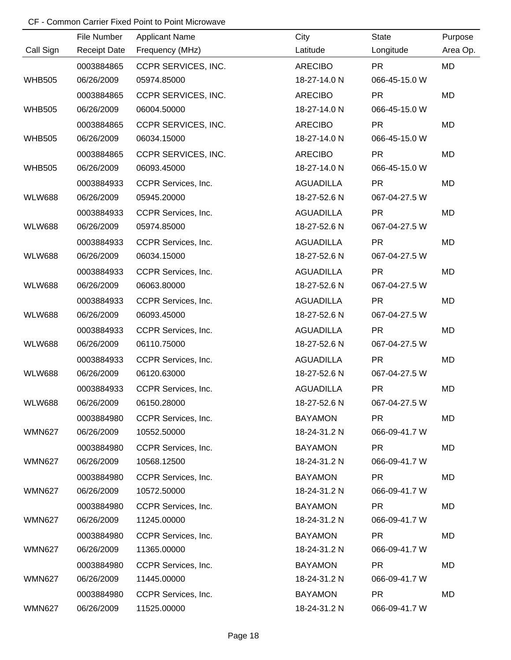|               | File Number         | <b>Applicant Name</b> | City             | State         | Purpose   |
|---------------|---------------------|-----------------------|------------------|---------------|-----------|
| Call Sign     | <b>Receipt Date</b> | Frequency (MHz)       | Latitude         | Longitude     | Area Op.  |
|               | 0003884865          | CCPR SERVICES, INC.   | <b>ARECIBO</b>   | <b>PR</b>     | MD        |
| <b>WHB505</b> | 06/26/2009          | 05974.85000           | 18-27-14.0 N     | 066-45-15.0 W |           |
|               | 0003884865          | CCPR SERVICES, INC.   | <b>ARECIBO</b>   | <b>PR</b>     | MD        |
| <b>WHB505</b> | 06/26/2009          | 06004.50000           | 18-27-14.0 N     | 066-45-15.0 W |           |
|               | 0003884865          | CCPR SERVICES, INC.   | <b>ARECIBO</b>   | <b>PR</b>     | MD        |
| <b>WHB505</b> | 06/26/2009          | 06034.15000           | 18-27-14.0 N     | 066-45-15.0 W |           |
|               | 0003884865          | CCPR SERVICES, INC.   | <b>ARECIBO</b>   | <b>PR</b>     | <b>MD</b> |
| <b>WHB505</b> | 06/26/2009          | 06093.45000           | 18-27-14.0 N     | 066-45-15.0 W |           |
|               | 0003884933          | CCPR Services, Inc.   | <b>AGUADILLA</b> | <b>PR</b>     | MD        |
| <b>WLW688</b> | 06/26/2009          | 05945.20000           | 18-27-52.6 N     | 067-04-27.5 W |           |
|               | 0003884933          | CCPR Services, Inc.   | <b>AGUADILLA</b> | <b>PR</b>     | MD        |
| <b>WLW688</b> | 06/26/2009          | 05974.85000           | 18-27-52.6 N     | 067-04-27.5 W |           |
|               | 0003884933          | CCPR Services, Inc.   | <b>AGUADILLA</b> | <b>PR</b>     | MD        |
| <b>WLW688</b> | 06/26/2009          | 06034.15000           | 18-27-52.6 N     | 067-04-27.5 W |           |
|               | 0003884933          | CCPR Services, Inc.   | <b>AGUADILLA</b> | <b>PR</b>     | MD        |
| <b>WLW688</b> | 06/26/2009          | 06063.80000           | 18-27-52.6 N     | 067-04-27.5 W |           |
|               | 0003884933          | CCPR Services, Inc.   | <b>AGUADILLA</b> | <b>PR</b>     | MD        |
| <b>WLW688</b> | 06/26/2009          | 06093.45000           | 18-27-52.6 N     | 067-04-27.5 W |           |
|               | 0003884933          | CCPR Services, Inc.   | <b>AGUADILLA</b> | <b>PR</b>     | MD        |
| <b>WLW688</b> | 06/26/2009          | 06110.75000           | 18-27-52.6 N     | 067-04-27.5 W |           |
|               | 0003884933          | CCPR Services, Inc.   | <b>AGUADILLA</b> | <b>PR</b>     | MD        |
| <b>WLW688</b> | 06/26/2009          | 06120.63000           | 18-27-52.6 N     | 067-04-27.5 W |           |
|               | 0003884933          | CCPR Services, Inc.   | <b>AGUADILLA</b> | <b>PR</b>     | MD        |
| <b>WLW688</b> | 06/26/2009          | 06150.28000           | 18-27-52.6 N     | 067-04-27.5 W |           |
|               | 0003884980          | CCPR Services, Inc.   | <b>BAYAMON</b>   | <b>PR</b>     | MD        |
| <b>WMN627</b> | 06/26/2009          | 10552.50000           | 18-24-31.2 N     | 066-09-41.7 W |           |
|               | 0003884980          | CCPR Services, Inc.   | <b>BAYAMON</b>   | <b>PR</b>     | MD        |
| <b>WMN627</b> | 06/26/2009          | 10568.12500           | 18-24-31.2 N     | 066-09-41.7 W |           |
|               | 0003884980          | CCPR Services, Inc.   | <b>BAYAMON</b>   | <b>PR</b>     | MD        |
| <b>WMN627</b> | 06/26/2009          | 10572.50000           | 18-24-31.2 N     | 066-09-41.7 W |           |
|               | 0003884980          | CCPR Services, Inc.   | <b>BAYAMON</b>   | <b>PR</b>     | MD        |
| <b>WMN627</b> | 06/26/2009          | 11245.00000           | 18-24-31.2 N     | 066-09-41.7 W |           |
|               | 0003884980          | CCPR Services, Inc.   | <b>BAYAMON</b>   | <b>PR</b>     | MD        |
| <b>WMN627</b> | 06/26/2009          | 11365.00000           | 18-24-31.2 N     | 066-09-41.7 W |           |
|               | 0003884980          | CCPR Services, Inc.   | <b>BAYAMON</b>   | <b>PR</b>     | MD        |
| <b>WMN627</b> | 06/26/2009          | 11445.00000           | 18-24-31.2 N     | 066-09-41.7 W |           |
|               | 0003884980          | CCPR Services, Inc.   | <b>BAYAMON</b>   | <b>PR</b>     | MD        |
| <b>WMN627</b> | 06/26/2009          | 11525.00000           | 18-24-31.2 N     | 066-09-41.7 W |           |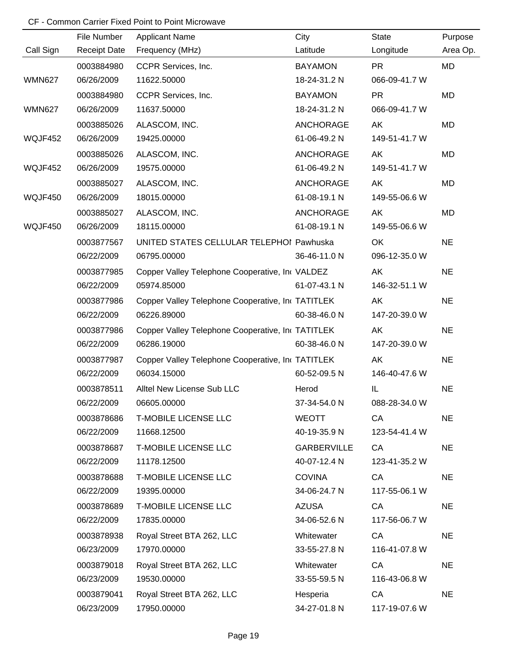|               | File Number         | <b>Applicant Name</b>                            | City               | State         | Purpose   |
|---------------|---------------------|--------------------------------------------------|--------------------|---------------|-----------|
| Call Sign     | <b>Receipt Date</b> | Frequency (MHz)                                  | Latitude           | Longitude     | Area Op.  |
|               | 0003884980          | CCPR Services, Inc.                              | <b>BAYAMON</b>     | <b>PR</b>     | MD        |
| <b>WMN627</b> | 06/26/2009          | 11622.50000                                      | 18-24-31.2 N       | 066-09-41.7 W |           |
|               | 0003884980          | CCPR Services, Inc.                              | <b>BAYAMON</b>     | <b>PR</b>     | MD        |
| <b>WMN627</b> | 06/26/2009          | 11637.50000                                      | 18-24-31.2 N       | 066-09-41.7 W |           |
|               | 0003885026          | ALASCOM, INC.                                    | <b>ANCHORAGE</b>   | AK            | MD        |
| WQJF452       | 06/26/2009          | 19425.00000                                      | 61-06-49.2 N       | 149-51-41.7 W |           |
|               | 0003885026          | ALASCOM, INC.                                    | <b>ANCHORAGE</b>   | AK            | MD        |
| WQJF452       | 06/26/2009          | 19575.00000                                      | 61-06-49.2 N       | 149-51-41.7 W |           |
|               | 0003885027          | ALASCOM, INC.                                    | <b>ANCHORAGE</b>   | AK            | MD        |
| WQJF450       | 06/26/2009          | 18015.00000                                      | 61-08-19.1 N       | 149-55-06.6 W |           |
|               | 0003885027          | ALASCOM, INC.                                    | <b>ANCHORAGE</b>   | AK            | MD        |
| WQJF450       | 06/26/2009          | 18115.00000                                      | 61-08-19.1 N       | 149-55-06.6 W |           |
|               | 0003877567          | UNITED STATES CELLULAR TELEPHOI Pawhuska         |                    | OK            | <b>NE</b> |
|               | 06/22/2009          | 06795.00000                                      | 36-46-11.0 N       | 096-12-35.0 W |           |
|               | 0003877985          | Copper Valley Telephone Cooperative, In VALDEZ   |                    | AK            | <b>NE</b> |
|               | 06/22/2009          | 05974.85000                                      | 61-07-43.1 N       | 146-32-51.1 W |           |
|               | 0003877986          | Copper Valley Telephone Cooperative, In TATITLEK |                    | AK            | <b>NE</b> |
|               | 06/22/2009          | 06226.89000                                      | 60-38-46.0 N       | 147-20-39.0 W |           |
|               | 0003877986          | Copper Valley Telephone Cooperative, In TATITLEK |                    | AK            | <b>NE</b> |
|               | 06/22/2009          | 06286.19000                                      | 60-38-46.0 N       | 147-20-39.0 W |           |
|               | 0003877987          | Copper Valley Telephone Cooperative, In TATITLEK |                    | AK            | <b>NE</b> |
|               | 06/22/2009          | 06034.15000                                      | 60-52-09.5 N       | 146-40-47.6 W |           |
|               | 0003878511          | Alltel New License Sub LLC                       | Herod              | IL            | <b>NE</b> |
|               | 06/22/2009          | 06605.00000                                      | 37-34-54.0 N       | 088-28-34.0 W |           |
|               | 0003878686          | <b>T-MOBILE LICENSE LLC</b>                      | <b>WEOTT</b>       | CA            | <b>NE</b> |
|               | 06/22/2009          | 11668.12500                                      | 40-19-35.9 N       | 123-54-41.4 W |           |
|               | 0003878687          | <b>T-MOBILE LICENSE LLC</b>                      | <b>GARBERVILLE</b> | CA            | <b>NE</b> |
|               | 06/22/2009          | 11178.12500                                      | 40-07-12.4 N       | 123-41-35.2 W |           |
|               | 0003878688          | <b>T-MOBILE LICENSE LLC</b>                      | <b>COVINA</b>      | CA            | <b>NE</b> |
|               | 06/22/2009          | 19395.00000                                      | 34-06-24.7 N       | 117-55-06.1 W |           |
|               | 0003878689          | <b>T-MOBILE LICENSE LLC</b>                      | <b>AZUSA</b>       | CA            | <b>NE</b> |
|               | 06/22/2009          | 17835.00000                                      | 34-06-52.6 N       | 117-56-06.7 W |           |
|               | 0003878938          | Royal Street BTA 262, LLC                        | Whitewater         | CA            | <b>NE</b> |
|               | 06/23/2009          | 17970.00000                                      | 33-55-27.8 N       | 116-41-07.8 W |           |
|               | 0003879018          | Royal Street BTA 262, LLC                        | Whitewater         | CA            | <b>NE</b> |
|               | 06/23/2009          | 19530.00000                                      | 33-55-59.5 N       | 116-43-06.8 W |           |
|               | 0003879041          | Royal Street BTA 262, LLC                        | Hesperia           | CA            | <b>NE</b> |
|               | 06/23/2009          | 17950.00000                                      | 34-27-01.8 N       | 117-19-07.6 W |           |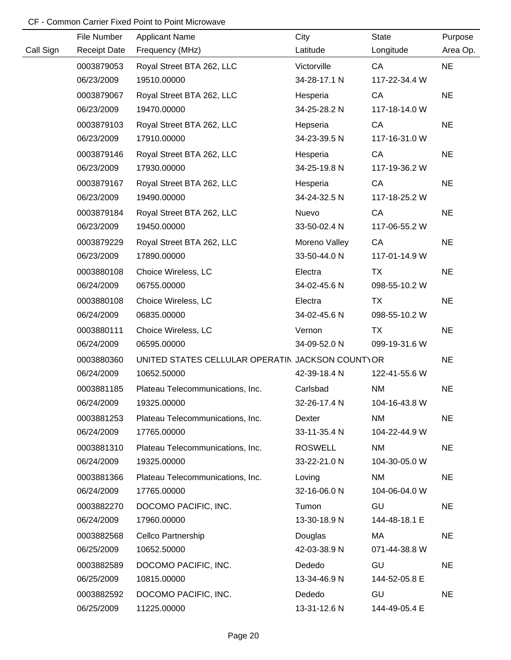|           | File Number         | <b>Applicant Name</b>                            | City           | <b>State</b>  | Purpose   |
|-----------|---------------------|--------------------------------------------------|----------------|---------------|-----------|
| Call Sign | <b>Receipt Date</b> | Frequency (MHz)                                  | Latitude       | Longitude     | Area Op.  |
|           | 0003879053          | Royal Street BTA 262, LLC                        | Victorville    | CA            | <b>NE</b> |
|           | 06/23/2009          | 19510.00000                                      | 34-28-17.1 N   | 117-22-34.4 W |           |
|           | 0003879067          | Royal Street BTA 262, LLC                        | Hesperia       | CA            | <b>NE</b> |
|           | 06/23/2009          | 19470.00000                                      | 34-25-28.2 N   | 117-18-14.0 W |           |
|           | 0003879103          | Royal Street BTA 262, LLC                        | Hepseria       | CA            | <b>NE</b> |
|           | 06/23/2009          | 17910.00000                                      | 34-23-39.5 N   | 117-16-31.0 W |           |
|           | 0003879146          | Royal Street BTA 262, LLC                        | Hesperia       | CA            | <b>NE</b> |
|           | 06/23/2009          | 17930.00000                                      | 34-25-19.8 N   | 117-19-36.2 W |           |
|           | 0003879167          | Royal Street BTA 262, LLC                        | Hesperia       | CA            | <b>NE</b> |
|           | 06/23/2009          | 19490.00000                                      | 34-24-32.5 N   | 117-18-25.2 W |           |
|           | 0003879184          | Royal Street BTA 262, LLC                        | Nuevo          | CA            | <b>NE</b> |
|           | 06/23/2009          | 19450.00000                                      | 33-50-02.4 N   | 117-06-55.2 W |           |
|           | 0003879229          | Royal Street BTA 262, LLC                        | Moreno Valley  | CA            | <b>NE</b> |
|           | 06/23/2009          | 17890.00000                                      | 33-50-44.0 N   | 117-01-14.9 W |           |
|           | 0003880108          | Choice Wireless, LC                              | Electra        | <b>TX</b>     | <b>NE</b> |
|           | 06/24/2009          | 06755.00000                                      | 34-02-45.6 N   | 098-55-10.2 W |           |
|           | 0003880108          | Choice Wireless, LC                              | Electra        | TX            | <b>NE</b> |
|           | 06/24/2009          | 06835.00000                                      | 34-02-45.6 N   | 098-55-10.2 W |           |
|           | 0003880111          | Choice Wireless, LC                              | Vernon         | TX            | <b>NE</b> |
|           | 06/24/2009          | 06595.00000                                      | 34-09-52.0 N   | 099-19-31.6 W |           |
|           | 0003880360          | UNITED STATES CELLULAR OPERATIN JACKSON COUNTYOR |                |               | <b>NE</b> |
|           | 06/24/2009          | 10652.50000                                      | 42-39-18.4 N   | 122-41-55.6 W |           |
|           | 0003881185          | Plateau Telecommunications, Inc.                 | Carlsbad       | <b>NM</b>     | <b>NE</b> |
|           | 06/24/2009          | 19325.00000                                      | 32-26-17.4 N   | 104-16-43.8 W |           |
|           | 0003881253          | Plateau Telecommunications, Inc.                 | Dexter         | <b>NM</b>     | <b>NE</b> |
|           | 06/24/2009          | 17765.00000                                      | 33-11-35.4 N   | 104-22-44.9 W |           |
|           | 0003881310          | Plateau Telecommunications, Inc.                 | <b>ROSWELL</b> | <b>NM</b>     | <b>NE</b> |
|           | 06/24/2009          | 19325.00000                                      | 33-22-21.0 N   | 104-30-05.0 W |           |
|           | 0003881366          | Plateau Telecommunications, Inc.                 | Loving         | <b>NM</b>     | <b>NE</b> |
|           | 06/24/2009          | 17765.00000                                      | 32-16-06.0 N   | 104-06-04.0 W |           |
|           | 0003882270          | DOCOMO PACIFIC, INC.                             | Tumon          | GU            | <b>NE</b> |
|           | 06/24/2009          | 17960.00000                                      | 13-30-18.9 N   | 144-48-18.1 E |           |
|           | 0003882568          | Cellco Partnership                               | Douglas        | MA            | <b>NE</b> |
|           | 06/25/2009          | 10652.50000                                      | 42-03-38.9 N   | 071-44-38.8 W |           |
|           | 0003882589          | DOCOMO PACIFIC, INC.                             | Dededo         | GU            | <b>NE</b> |
|           | 06/25/2009          | 10815.00000                                      | 13-34-46.9 N   | 144-52-05.8 E |           |
|           | 0003882592          | DOCOMO PACIFIC, INC.                             | Dededo         | GU            | <b>NE</b> |
|           | 06/25/2009          | 11225.00000                                      | 13-31-12.6 N   | 144-49-05.4 E |           |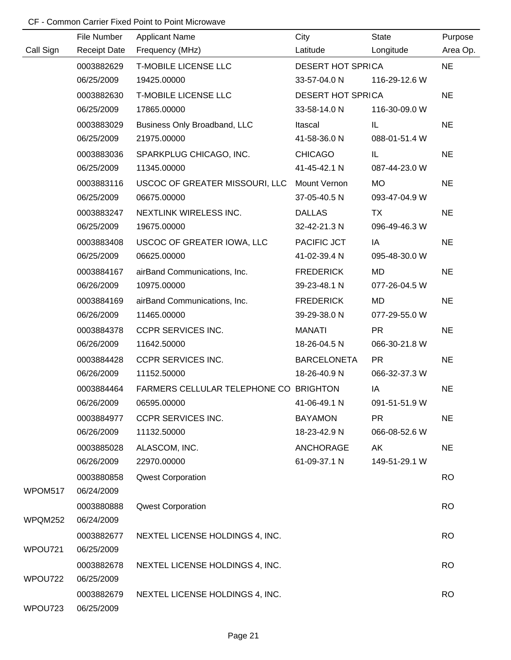|           | File Number         | <b>Applicant Name</b>                  | City                     | <b>State</b>  | Purpose   |
|-----------|---------------------|----------------------------------------|--------------------------|---------------|-----------|
| Call Sign | <b>Receipt Date</b> | Frequency (MHz)                        | Latitude                 | Longitude     | Area Op.  |
|           | 0003882629          | T-MOBILE LICENSE LLC                   | <b>DESERT HOT SPRICA</b> |               | <b>NE</b> |
|           | 06/25/2009          | 19425.00000                            | 33-57-04.0 N             | 116-29-12.6 W |           |
|           | 0003882630          | <b>T-MOBILE LICENSE LLC</b>            | <b>DESERT HOT SPRICA</b> |               | <b>NE</b> |
|           | 06/25/2009          | 17865.00000                            | 33-58-14.0 N             | 116-30-09.0 W |           |
|           | 0003883029          | Business Only Broadband, LLC           | Itascal                  | IL            | <b>NE</b> |
|           | 06/25/2009          | 21975.00000                            | 41-58-36.0 N             | 088-01-51.4 W |           |
|           | 0003883036          | SPARKPLUG CHICAGO, INC.                | <b>CHICAGO</b>           | IL.           | <b>NE</b> |
|           | 06/25/2009          | 11345.00000                            | 41-45-42.1 N             | 087-44-23.0 W |           |
|           | 0003883116          | USCOC OF GREATER MISSOURI, LLC         | Mount Vernon             | <b>MO</b>     | <b>NE</b> |
|           | 06/25/2009          | 06675.00000                            | 37-05-40.5 N             | 093-47-04.9 W |           |
|           | 0003883247          | NEXTLINK WIRELESS INC.                 | <b>DALLAS</b>            | <b>TX</b>     | <b>NE</b> |
|           | 06/25/2009          | 19675.00000                            | 32-42-21.3 N             | 096-49-46.3 W |           |
|           | 0003883408          | USCOC OF GREATER IOWA, LLC             | PACIFIC JCT              | IA            | <b>NE</b> |
|           | 06/25/2009          | 06625.00000                            | 41-02-39.4 N             | 095-48-30.0 W |           |
|           | 0003884167          | airBand Communications, Inc.           | <b>FREDERICK</b>         | MD            | <b>NE</b> |
|           | 06/26/2009          | 10975.00000                            | 39-23-48.1 N             | 077-26-04.5 W |           |
|           | 0003884169          | airBand Communications, Inc.           | <b>FREDERICK</b>         | MD            | <b>NE</b> |
|           | 06/26/2009          | 11465.00000                            | 39-29-38.0 N             | 077-29-55.0 W |           |
|           | 0003884378          | <b>CCPR SERVICES INC.</b>              | <b>MANATI</b>            | <b>PR</b>     | <b>NE</b> |
|           | 06/26/2009          | 11642.50000                            | 18-26-04.5 N             | 066-30-21.8 W |           |
|           | 0003884428          | <b>CCPR SERVICES INC.</b>              | <b>BARCELONETA</b>       | <b>PR</b>     | <b>NE</b> |
|           | 06/26/2009          | 11152.50000                            | 18-26-40.9 N             | 066-32-37.3 W |           |
|           | 0003884464          | FARMERS CELLULAR TELEPHONE CO BRIGHTON |                          | IA            | <b>NE</b> |
|           | 06/26/2009          | 06595.00000                            | 41-06-49.1 N             | 091-51-51.9 W |           |
|           | 0003884977          | <b>CCPR SERVICES INC.</b>              | <b>BAYAMON</b>           | <b>PR</b>     | <b>NE</b> |
|           | 06/26/2009          | 11132.50000                            | 18-23-42.9 N             | 066-08-52.6 W |           |
|           | 0003885028          | ALASCOM, INC.                          | <b>ANCHORAGE</b>         | AK            | <b>NE</b> |
|           | 06/26/2009          | 22970.00000                            | 61-09-37.1 N             | 149-51-29.1 W |           |
|           | 0003880858          | <b>Qwest Corporation</b>               |                          |               | <b>RO</b> |
| WPOM517   | 06/24/2009          |                                        |                          |               |           |
|           | 0003880888          | <b>Qwest Corporation</b>               |                          |               | <b>RO</b> |
| WPQM252   | 06/24/2009          |                                        |                          |               |           |
|           | 0003882677          | NEXTEL LICENSE HOLDINGS 4, INC.        |                          |               | <b>RO</b> |
| WPOU721   | 06/25/2009          |                                        |                          |               |           |
|           | 0003882678          | NEXTEL LICENSE HOLDINGS 4, INC.        |                          |               | <b>RO</b> |
| WPOU722   | 06/25/2009          |                                        |                          |               |           |
|           | 0003882679          | NEXTEL LICENSE HOLDINGS 4, INC.        |                          |               | <b>RO</b> |
| WPOU723   | 06/25/2009          |                                        |                          |               |           |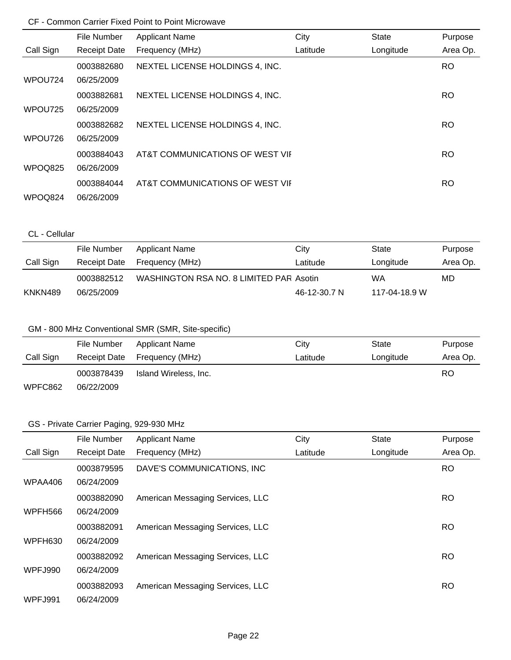|           | File Number         | <b>Applicant Name</b>           | City     | <b>State</b> | Purpose   |
|-----------|---------------------|---------------------------------|----------|--------------|-----------|
| Call Sign | <b>Receipt Date</b> | Frequency (MHz)                 | Latitude | Longitude    | Area Op.  |
|           | 0003882680          | NEXTEL LICENSE HOLDINGS 4, INC. |          |              | RO.       |
| WPOU724   | 06/25/2009          |                                 |          |              |           |
|           | 0003882681          | NEXTEL LICENSE HOLDINGS 4, INC. |          |              | RO.       |
| WPOU725   | 06/25/2009          |                                 |          |              |           |
|           | 0003882682          | NEXTEL LICENSE HOLDINGS 4, INC. |          |              | <b>RO</b> |
| WPOU726   | 06/25/2009          |                                 |          |              |           |
|           | 0003884043          | AT&T COMMUNICATIONS OF WEST VII |          |              | RO.       |
| WPOQ825   | 06/26/2009          |                                 |          |              |           |
|           | 0003884044          | AT&T COMMUNICATIONS OF WEST VII |          |              | <b>RO</b> |
| WPOQ824   | 06/26/2009          |                                 |          |              |           |

### CL - Cellular

|           | File Number  | <b>Applicant Name</b>                   | City         | State         | Purpose  |
|-----------|--------------|-----------------------------------------|--------------|---------------|----------|
| Call Sign | Receipt Date | Frequency (MHz)                         | Latitude     | Longitude     | Area Op. |
|           | 0003882512   | WASHINGTON RSA NO. 8 LIMITED PAR Asotin |              | WA            | MD       |
| KNKN489   | 06/25/2009   |                                         | 46-12-30.7 N | 117-04-18.9 W |          |

### GM - 800 MHz Conventional SMR (SMR, Site-specific)

|           | File Number  | Applicant Name        | City     | State     | Purpose  |
|-----------|--------------|-----------------------|----------|-----------|----------|
| Call Sign | Receipt Date | Frequency (MHz)       | Latitude | Longitude | Area Op. |
|           | 0003878439   | Island Wireless, Inc. |          |           | RO       |
| WPFC862   | 06/22/2009   |                       |          |           |          |

# GS - Private Carrier Paging, 929-930 MHz

|           | File Number         | <b>Applicant Name</b>            | City     | <b>State</b> | Purpose   |
|-----------|---------------------|----------------------------------|----------|--------------|-----------|
| Call Sign | <b>Receipt Date</b> | Frequency (MHz)                  | Latitude | Longitude    | Area Op.  |
|           | 0003879595          | DAVE'S COMMUNICATIONS, INC       |          |              | <b>RO</b> |
| WPAA406   | 06/24/2009          |                                  |          |              |           |
|           | 0003882090          | American Messaging Services, LLC |          |              | <b>RO</b> |
| WPFH566   | 06/24/2009          |                                  |          |              |           |
|           | 0003882091          | American Messaging Services, LLC |          |              | <b>RO</b> |
| WPFH630   | 06/24/2009          |                                  |          |              |           |
|           | 0003882092          | American Messaging Services, LLC |          |              | <b>RO</b> |
| WPFJ990   | 06/24/2009          |                                  |          |              |           |
|           | 0003882093          | American Messaging Services, LLC |          |              | <b>RO</b> |
| WPFJ991   | 06/24/2009          |                                  |          |              |           |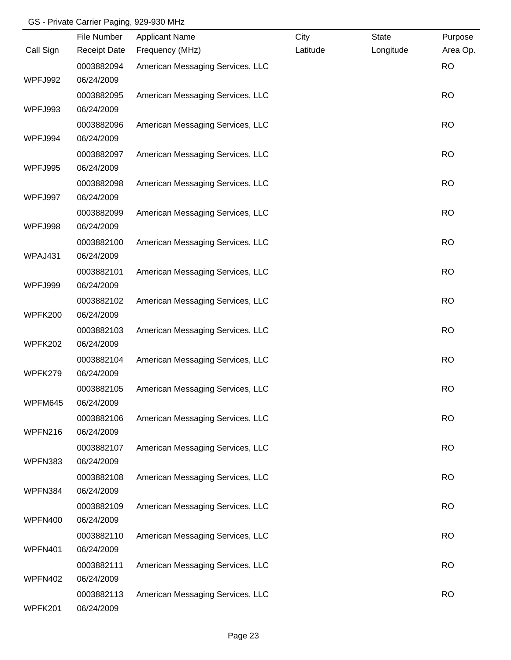#### GS - Private Carrier Paging, 929-930 MHz

|           | File Number         | <b>Applicant Name</b>            | City     | <b>State</b> | Purpose   |
|-----------|---------------------|----------------------------------|----------|--------------|-----------|
| Call Sign | <b>Receipt Date</b> | Frequency (MHz)                  | Latitude | Longitude    | Area Op.  |
|           | 0003882094          | American Messaging Services, LLC |          |              | <b>RO</b> |
| WPFJ992   | 06/24/2009          |                                  |          |              |           |
|           | 0003882095          | American Messaging Services, LLC |          |              | <b>RO</b> |
| WPFJ993   | 06/24/2009          |                                  |          |              |           |
|           | 0003882096          | American Messaging Services, LLC |          |              | <b>RO</b> |
| WPFJ994   | 06/24/2009          |                                  |          |              |           |
|           | 0003882097          | American Messaging Services, LLC |          |              | <b>RO</b> |
| WPFJ995   | 06/24/2009          |                                  |          |              |           |
|           | 0003882098          | American Messaging Services, LLC |          |              | <b>RO</b> |
| WPFJ997   | 06/24/2009          |                                  |          |              |           |
|           | 0003882099          | American Messaging Services, LLC |          |              | <b>RO</b> |
| WPFJ998   | 06/24/2009          |                                  |          |              |           |
|           | 0003882100          | American Messaging Services, LLC |          |              | <b>RO</b> |
| WPAJ431   | 06/24/2009          |                                  |          |              |           |
|           | 0003882101          | American Messaging Services, LLC |          |              | <b>RO</b> |
| WPFJ999   | 06/24/2009          |                                  |          |              |           |
|           | 0003882102          | American Messaging Services, LLC |          |              | <b>RO</b> |
| WPFK200   | 06/24/2009          |                                  |          |              |           |
|           | 0003882103          | American Messaging Services, LLC |          |              | <b>RO</b> |
| WPFK202   | 06/24/2009          |                                  |          |              |           |
|           | 0003882104          | American Messaging Services, LLC |          |              | <b>RO</b> |
| WPFK279   | 06/24/2009          |                                  |          |              |           |
|           | 0003882105          | American Messaging Services, LLC |          |              | <b>RO</b> |
| WPFM645   | 06/24/2009          |                                  |          |              |           |
|           | 0003882106          | American Messaging Services, LLC |          |              | <b>RO</b> |
| WPFN216   | 06/24/2009          |                                  |          |              |           |
|           | 0003882107          | American Messaging Services, LLC |          |              | <b>RO</b> |
| WPFN383   | 06/24/2009          |                                  |          |              |           |
|           | 0003882108          | American Messaging Services, LLC |          |              | <b>RO</b> |
| WPFN384   | 06/24/2009          |                                  |          |              |           |
|           | 0003882109          | American Messaging Services, LLC |          |              | <b>RO</b> |
| WPFN400   | 06/24/2009          |                                  |          |              |           |
|           | 0003882110          | American Messaging Services, LLC |          |              | <b>RO</b> |
| WPFN401   | 06/24/2009          |                                  |          |              |           |
|           | 0003882111          | American Messaging Services, LLC |          |              | <b>RO</b> |
| WPFN402   | 06/24/2009          |                                  |          |              |           |
|           | 0003882113          | American Messaging Services, LLC |          |              | <b>RO</b> |
| WPFK201   | 06/24/2009          |                                  |          |              |           |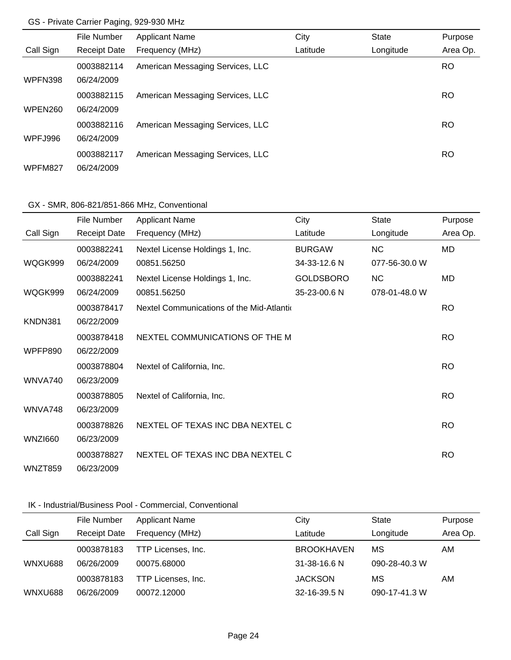### GS - Private Carrier Paging, 929-930 MHz

|                | File Number         | <b>Applicant Name</b>            | City     | <b>State</b> | Purpose   |
|----------------|---------------------|----------------------------------|----------|--------------|-----------|
| Call Sign      | <b>Receipt Date</b> | Frequency (MHz)                  | Latitude | Longitude    | Area Op.  |
|                | 0003882114          | American Messaging Services, LLC |          |              | RO.       |
| WPFN398        | 06/24/2009          |                                  |          |              |           |
|                | 0003882115          | American Messaging Services, LLC |          |              | <b>RO</b> |
| <b>WPEN260</b> | 06/24/2009          |                                  |          |              |           |
|                | 0003882116          | American Messaging Services, LLC |          |              | RO        |
| WPFJ996        | 06/24/2009          |                                  |          |              |           |
|                | 0003882117          | American Messaging Services, LLC |          |              | RO        |
| WPFM827        | 06/24/2009          |                                  |          |              |           |

### GX - SMR, 806-821/851-866 MHz, Conventional

|                | File Number         | <b>Applicant Name</b>                     | City             | <b>State</b>  | Purpose   |
|----------------|---------------------|-------------------------------------------|------------------|---------------|-----------|
| Call Sign      | <b>Receipt Date</b> | Frequency (MHz)                           | Latitude         | Longitude     | Area Op.  |
|                | 0003882241          | Nextel License Holdings 1, Inc.           | <b>BURGAW</b>    | <b>NC</b>     | MD        |
| WQGK999        | 06/24/2009          | 00851.56250                               | 34-33-12.6 N     | 077-56-30.0 W |           |
|                | 0003882241          | Nextel License Holdings 1, Inc.           | <b>GOLDSBORO</b> | <b>NC</b>     | MD        |
| WQGK999        | 06/24/2009          | 00851.56250                               | 35-23-00.6 N     | 078-01-48.0 W |           |
|                | 0003878417          | Nextel Communications of the Mid-Atlantic |                  |               | <b>RO</b> |
| KNDN381        | 06/22/2009          |                                           |                  |               |           |
|                | 0003878418          | NEXTEL COMMUNICATIONS OF THE M            |                  |               | <b>RO</b> |
| <b>WPFP890</b> | 06/22/2009          |                                           |                  |               |           |
|                | 0003878804          | Nextel of California, Inc.                |                  |               | <b>RO</b> |
| WNVA740        | 06/23/2009          |                                           |                  |               |           |
|                | 0003878805          | Nextel of California, Inc.                |                  |               | <b>RO</b> |
| WNVA748        | 06/23/2009          |                                           |                  |               |           |
|                | 0003878826          | NEXTEL OF TEXAS INC DBA NEXTEL C          |                  |               | RO.       |
| <b>WNZI660</b> | 06/23/2009          |                                           |                  |               |           |
|                | 0003878827          | NEXTEL OF TEXAS INC DBA NEXTEL C          |                  |               | <b>RO</b> |
| WNZT859        | 06/23/2009          |                                           |                  |               |           |

### IK - Industrial/Business Pool - Commercial, Conventional

|           | File Number         | <b>Applicant Name</b> | City               | <b>State</b>  | Purpose  |
|-----------|---------------------|-----------------------|--------------------|---------------|----------|
| Call Sign | <b>Receipt Date</b> | Frequency (MHz)       | Latitude           | Longitude     | Area Op. |
|           | 0003878183          | TTP Licenses, Inc.    | <b>BROOKHAVEN</b>  | МS            | AM       |
| WNXU688   | 06/26/2009          | 00075.68000           | $31 - 38 - 16.6$ N | 090-28-40.3 W |          |
|           | 0003878183          | TTP Licenses, Inc.    | <b>JACKSON</b>     | МS            | AM       |
| WNXU688   | 06/26/2009          | 00072.12000           | 32-16-39.5 N       | 090-17-41.3 W |          |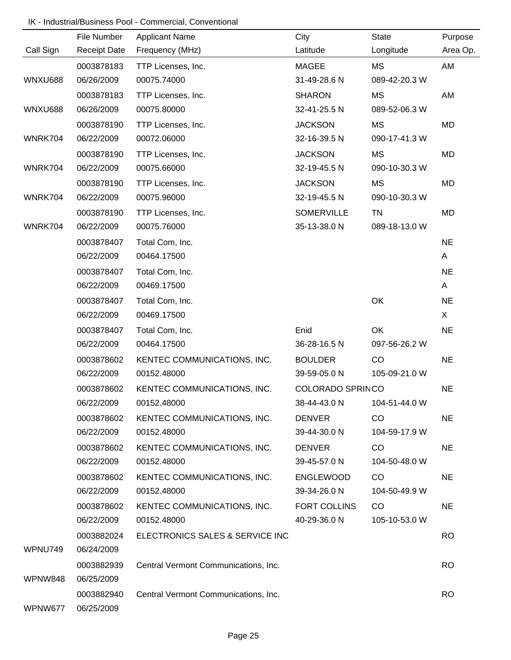### IK - Industrial/Business Pool - Commercial, Conventional

|                | File Number         | <b>Applicant Name</b>                | City                    | State         | Purpose   |
|----------------|---------------------|--------------------------------------|-------------------------|---------------|-----------|
| Call Sign      | <b>Receipt Date</b> | Frequency (MHz)                      | Latitude                | Longitude     | Area Op.  |
|                | 0003878183          | TTP Licenses, Inc.                   | <b>MAGEE</b>            | MS            | AM        |
| <b>WNXU688</b> | 06/26/2009          | 00075.74000                          | 31-49-28.6 N            | 089-42-20.3 W |           |
|                | 0003878183          | TTP Licenses, Inc.                   | <b>SHARON</b>           | MS            | AM        |
| WNXU688        | 06/26/2009          | 00075.80000                          | 32-41-25.5 N            | 089-52-06.3 W |           |
|                | 0003878190          | TTP Licenses, Inc.                   | <b>JACKSON</b>          | MS            | MD        |
| WNRK704        | 06/22/2009          | 00072.06000                          | 32-16-39.5 N            | 090-17-41.3 W |           |
|                | 0003878190          | TTP Licenses, Inc.                   | <b>JACKSON</b>          | MS            | MD        |
| WNRK704        | 06/22/2009          | 00075.66000                          | 32-19-45.5 N            | 090-10-30.3 W |           |
|                | 0003878190          | TTP Licenses, Inc.                   | <b>JACKSON</b>          | MS            | MD        |
| WNRK704        | 06/22/2009          | 00075.96000                          | 32-19-45.5 N            | 090-10-30.3 W |           |
|                | 0003878190          | TTP Licenses, Inc.                   | <b>SOMERVILLE</b>       | <b>TN</b>     | MD        |
| WNRK704        | 06/22/2009          | 00075.76000                          | 35-13-38.0 N            | 089-18-13.0 W |           |
|                | 0003878407          | Total Com, Inc.                      |                         |               | <b>NE</b> |
|                | 06/22/2009          | 00464.17500                          |                         |               | A         |
|                | 0003878407          | Total Com, Inc.                      |                         |               | <b>NE</b> |
|                | 06/22/2009          | 00469.17500                          |                         |               | A         |
|                | 0003878407          | Total Com, Inc.                      |                         | OK            | <b>NE</b> |
|                | 06/22/2009          | 00469.17500                          |                         |               | X         |
|                | 0003878407          | Total Com, Inc.                      | Enid                    | OK            | <b>NE</b> |
|                | 06/22/2009          | 00464.17500                          | 36-28-16.5 N            | 097-56-26.2 W |           |
|                | 0003878602          | KENTEC COMMUNICATIONS, INC.          | <b>BOULDER</b>          | CO            | <b>NE</b> |
|                | 06/22/2009          | 00152.48000                          | 39-59-05.0 N            | 105-09-21.0 W |           |
|                | 0003878602          | KENTEC COMMUNICATIONS, INC.          | <b>COLORADO SPRINCO</b> |               | <b>NE</b> |
|                | 06/22/2009          | 00152.48000                          | 38-44-43.0 N            | 104-51-44.0 W |           |
|                | 0003878602          | KENTEC COMMUNICATIONS, INC.          | <b>DENVER</b>           | CO            | <b>NE</b> |
|                | 06/22/2009          | 00152.48000                          | 39-44-30.0 N            | 104-59-17.9 W |           |
|                | 0003878602          | KENTEC COMMUNICATIONS, INC.          | <b>DENVER</b>           | CO            | <b>NE</b> |
|                | 06/22/2009          | 00152.48000                          | 39-45-57.0 N            | 104-50-48.0 W |           |
|                | 0003878602          | KENTEC COMMUNICATIONS, INC.          | <b>ENGLEWOOD</b>        | CO            | <b>NE</b> |
|                | 06/22/2009          | 00152.48000                          | 39-34-26.0 N            | 104-50-49.9 W |           |
|                | 0003878602          | KENTEC COMMUNICATIONS, INC.          | <b>FORT COLLINS</b>     | CO            | <b>NE</b> |
|                | 06/22/2009          | 00152.48000                          | 40-29-36.0 N            | 105-10-53.0 W |           |
|                | 0003882024          | ELECTRONICS SALES & SERVICE INC      |                         |               | <b>RO</b> |
| WPNU749        | 06/24/2009          |                                      |                         |               |           |
|                | 0003882939          | Central Vermont Communications, Inc. |                         |               | <b>RO</b> |
| WPNW848        | 06/25/2009          |                                      |                         |               |           |
|                | 0003882940          | Central Vermont Communications, Inc. |                         |               | <b>RO</b> |
| WPNW677        | 06/25/2009          |                                      |                         |               |           |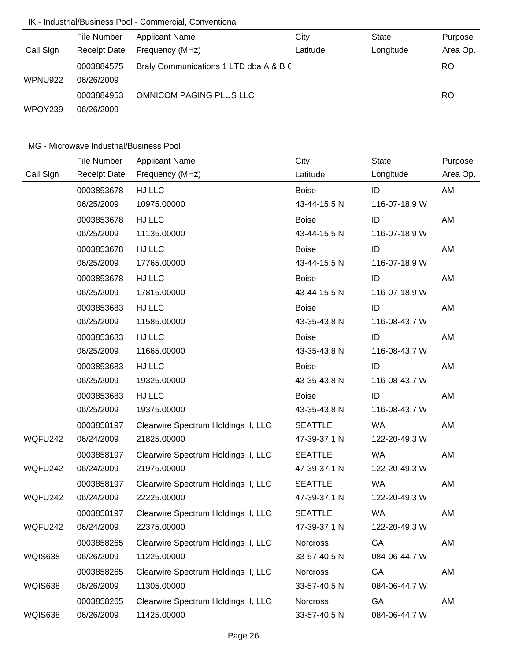# IK - Industrial/Business Pool - Commercial, Conventional

|                | File Number         | <b>Applicant Name</b>                  | City     | <b>State</b> | Purpose   |
|----------------|---------------------|----------------------------------------|----------|--------------|-----------|
| Call Sign      | <b>Receipt Date</b> | Frequency (MHz)                        | Latitude | Longitude    | Area Op.  |
|                | 0003884575          | Braly Communications 1 LTD dba A & B C |          |              | <b>RO</b> |
| <b>WPNU922</b> | 06/26/2009          |                                        |          |              |           |
|                | 0003884953          | <b>OMNICOM PAGING PLUS LLC</b>         |          |              | RO.       |
| WPOY239        | 06/26/2009          |                                        |          |              |           |

|           | File Number         | <b>Applicant Name</b>               | City            | <b>State</b>  | Purpose  |
|-----------|---------------------|-------------------------------------|-----------------|---------------|----------|
| Call Sign | <b>Receipt Date</b> | Frequency (MHz)                     | Latitude        | Longitude     | Area Op. |
|           | 0003853678          | HJ LLC                              | <b>Boise</b>    | ID            | AM       |
|           | 06/25/2009          | 10975.00000                         | 43-44-15.5 N    | 116-07-18.9 W |          |
|           | 0003853678          | HJ LLC                              | <b>Boise</b>    | ID            | AM       |
|           | 06/25/2009          | 11135.00000                         | 43-44-15.5 N    | 116-07-18.9 W |          |
|           | 0003853678          | HJ LLC                              | <b>Boise</b>    | ID            | AM       |
|           | 06/25/2009          | 17765.00000                         | 43-44-15.5 N    | 116-07-18.9 W |          |
|           | 0003853678          | HJ LLC                              | <b>Boise</b>    | ID            | AM       |
|           | 06/25/2009          | 17815.00000                         | 43-44-15.5 N    | 116-07-18.9 W |          |
|           | 0003853683          | HJ LLC                              | <b>Boise</b>    | ID            | AM       |
|           | 06/25/2009          | 11585.00000                         | 43-35-43.8 N    | 116-08-43.7 W |          |
|           | 0003853683          | HJ LLC                              | <b>Boise</b>    | ID            | AM       |
|           | 06/25/2009          | 11665.00000                         | 43-35-43.8 N    | 116-08-43.7 W |          |
|           | 0003853683          | HJ LLC                              | <b>Boise</b>    | ID            | AM       |
|           | 06/25/2009          | 19325.00000                         | 43-35-43.8 N    | 116-08-43.7 W |          |
|           | 0003853683          | HJ LLC                              | <b>Boise</b>    | ID            | AM       |
|           | 06/25/2009          | 19375.00000                         | 43-35-43.8 N    | 116-08-43.7 W |          |
|           | 0003858197          | Clearwire Spectrum Holdings II, LLC | <b>SEATTLE</b>  | <b>WA</b>     | AM       |
| WQFU242   | 06/24/2009          | 21825.00000                         | 47-39-37.1 N    | 122-20-49.3 W |          |
|           | 0003858197          | Clearwire Spectrum Holdings II, LLC | <b>SEATTLE</b>  | <b>WA</b>     | AM       |
| WQFU242   | 06/24/2009          | 21975.00000                         | 47-39-37.1 N    | 122-20-49.3 W |          |
|           | 0003858197          | Clearwire Spectrum Holdings II, LLC | <b>SEATTLE</b>  | <b>WA</b>     | AM       |
| WQFU242   | 06/24/2009          | 22225.00000                         | 47-39-37.1 N    | 122-20-49.3 W |          |
|           | 0003858197          | Clearwire Spectrum Holdings II, LLC | <b>SEATTLE</b>  | <b>WA</b>     | AM       |
| WQFU242   | 06/24/2009          | 22375.00000                         | 47-39-37.1 N    | 122-20-49.3 W |          |
|           | 0003858265          | Clearwire Spectrum Holdings II, LLC | <b>Norcross</b> | GA            | AM       |
| WQIS638   | 06/26/2009          | 11225.00000                         | 33-57-40.5 N    | 084-06-44.7 W |          |
|           | 0003858265          | Clearwire Spectrum Holdings II, LLC | Norcross        | GA            | AM       |
| WQIS638   | 06/26/2009          | 11305.00000                         | 33-57-40.5 N    | 084-06-44.7 W |          |
|           | 0003858265          | Clearwire Spectrum Holdings II, LLC | <b>Norcross</b> | GA            | AM       |
| WQIS638   | 06/26/2009          | 11425.00000                         | 33-57-40.5 N    | 084-06-44.7 W |          |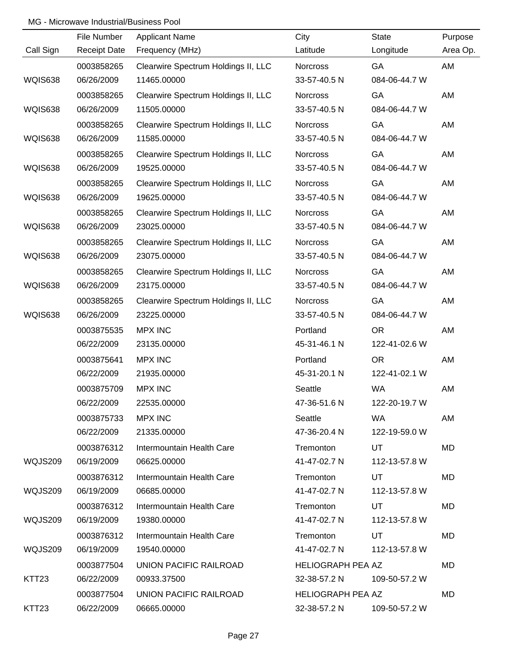|                   | File Number         | <b>Applicant Name</b>               | City                     | <b>State</b>  | Purpose  |
|-------------------|---------------------|-------------------------------------|--------------------------|---------------|----------|
| Call Sign         | <b>Receipt Date</b> | Frequency (MHz)                     | Latitude                 | Longitude     | Area Op. |
|                   | 0003858265          | Clearwire Spectrum Holdings II, LLC | Norcross                 | GA            | AM       |
| <b>WQIS638</b>    | 06/26/2009          | 11465.00000                         | 33-57-40.5 N             | 084-06-44.7 W |          |
|                   | 0003858265          | Clearwire Spectrum Holdings II, LLC | Norcross                 | GA            | AM       |
| WQIS638           | 06/26/2009          | 11505.00000                         | 33-57-40.5 N             | 084-06-44.7 W |          |
|                   | 0003858265          | Clearwire Spectrum Holdings II, LLC | Norcross                 | GA            | AM       |
| WQIS638           | 06/26/2009          | 11585.00000                         | 33-57-40.5 N             | 084-06-44.7 W |          |
|                   | 0003858265          | Clearwire Spectrum Holdings II, LLC | Norcross                 | GA            | AM       |
| WQIS638           | 06/26/2009          | 19525.00000                         | 33-57-40.5 N             | 084-06-44.7 W |          |
|                   | 0003858265          | Clearwire Spectrum Holdings II, LLC | Norcross                 | GA            | AM       |
| WQIS638           | 06/26/2009          | 19625.00000                         | 33-57-40.5 N             | 084-06-44.7 W |          |
|                   | 0003858265          | Clearwire Spectrum Holdings II, LLC | <b>Norcross</b>          | GA            | AM       |
| WQIS638           | 06/26/2009          | 23025.00000                         | 33-57-40.5 N             | 084-06-44.7 W |          |
|                   | 0003858265          | Clearwire Spectrum Holdings II, LLC | <b>Norcross</b>          | GA            | AM       |
| WQIS638           | 06/26/2009          | 23075.00000                         | 33-57-40.5 N             | 084-06-44.7 W |          |
|                   | 0003858265          | Clearwire Spectrum Holdings II, LLC | <b>Norcross</b>          | GA            | AM       |
| WQIS638           | 06/26/2009          | 23175.00000                         | 33-57-40.5 N             | 084-06-44.7 W |          |
|                   | 0003858265          | Clearwire Spectrum Holdings II, LLC | <b>Norcross</b>          | GA            | AM       |
| WQIS638           | 06/26/2009          | 23225.00000                         | 33-57-40.5 N             | 084-06-44.7 W |          |
|                   | 0003875535          | <b>MPX INC</b>                      | Portland                 | <b>OR</b>     | AM       |
|                   | 06/22/2009          | 23135.00000                         | 45-31-46.1 N             | 122-41-02.6 W |          |
|                   | 0003875641          | <b>MPX INC</b>                      | Portland                 | <b>OR</b>     | AM       |
|                   | 06/22/2009          | 21935.00000                         | 45-31-20.1 N             | 122-41-02.1 W |          |
|                   | 0003875709          | <b>MPX INC</b>                      | Seattle                  | <b>WA</b>     | AM       |
|                   | 06/22/2009          | 22535.00000                         | 47-36-51.6 N             | 122-20-19.7 W |          |
|                   | 0003875733          | <b>MPX INC</b>                      | Seattle                  | <b>WA</b>     | AM       |
|                   | 06/22/2009          | 21335.00000                         | 47-36-20.4 N             | 122-19-59.0 W |          |
|                   | 0003876312          | Intermountain Health Care           | Tremonton                | UT            | MD       |
| WQJS209           | 06/19/2009          | 06625.00000                         | 41-47-02.7 N             | 112-13-57.8 W |          |
|                   | 0003876312          | Intermountain Health Care           | Tremonton                | UT            | MD       |
| WQJS209           | 06/19/2009          | 06685.00000                         | 41-47-02.7 N             | 112-13-57.8 W |          |
|                   | 0003876312          | Intermountain Health Care           | Tremonton                | UT            | MD       |
| WQJS209           | 06/19/2009          | 19380.00000                         | 41-47-02.7 N             | 112-13-57.8 W |          |
|                   | 0003876312          | Intermountain Health Care           | Tremonton                | UT            | MD       |
| WQJS209           | 06/19/2009          | 19540.00000                         | 41-47-02.7 N             | 112-13-57.8 W |          |
|                   | 0003877504          | UNION PACIFIC RAILROAD              | <b>HELIOGRAPH PEA AZ</b> |               | MD       |
| KTT <sub>23</sub> | 06/22/2009          | 00933.37500                         | 32-38-57.2 N             | 109-50-57.2 W |          |
|                   | 0003877504          | UNION PACIFIC RAILROAD              | <b>HELIOGRAPH PEA AZ</b> |               | MD       |
| KTT <sub>23</sub> | 06/22/2009          | 06665.00000                         | 32-38-57.2 N             | 109-50-57.2 W |          |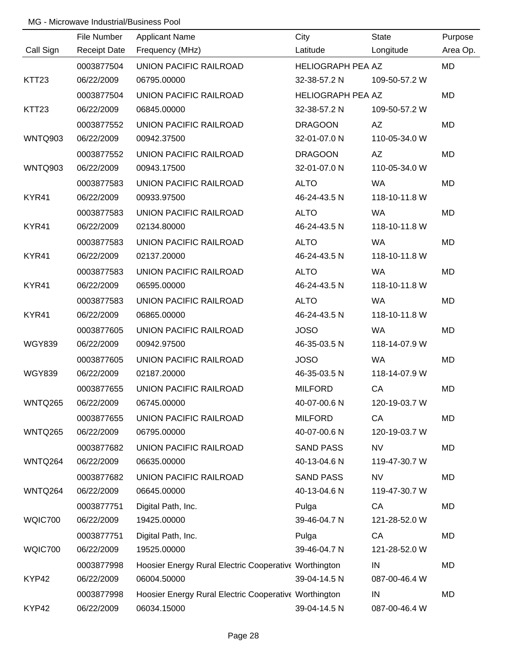|                   | File Number         | <b>Applicant Name</b>                                 | City                     | <b>State</b>  | Purpose   |
|-------------------|---------------------|-------------------------------------------------------|--------------------------|---------------|-----------|
| Call Sign         | <b>Receipt Date</b> | Frequency (MHz)                                       | Latitude                 | Longitude     | Area Op.  |
|                   | 0003877504          | UNION PACIFIC RAILROAD                                | <b>HELIOGRAPH PEA AZ</b> |               | <b>MD</b> |
| KTT <sub>23</sub> | 06/22/2009          | 06795.00000                                           | 32-38-57.2 N             | 109-50-57.2 W |           |
|                   | 0003877504          | UNION PACIFIC RAILROAD                                | <b>HELIOGRAPH PEA AZ</b> |               | <b>MD</b> |
| KTT <sub>23</sub> | 06/22/2009          | 06845.00000                                           | 32-38-57.2 N             | 109-50-57.2 W |           |
|                   | 0003877552          | UNION PACIFIC RAILROAD                                | <b>DRAGOON</b>           | AZ            | MD        |
| WNTQ903           | 06/22/2009          | 00942.37500                                           | 32-01-07.0 N             | 110-05-34.0 W |           |
|                   | 0003877552          | UNION PACIFIC RAILROAD                                | <b>DRAGOON</b>           | AZ            | <b>MD</b> |
| WNTQ903           | 06/22/2009          | 00943.17500                                           | 32-01-07.0 N             | 110-05-34.0 W |           |
|                   | 0003877583          | UNION PACIFIC RAILROAD                                | <b>ALTO</b>              | <b>WA</b>     | MD        |
| KYR41             | 06/22/2009          | 00933.97500                                           | 46-24-43.5 N             | 118-10-11.8 W |           |
|                   | 0003877583          | <b>UNION PACIFIC RAILROAD</b>                         | <b>ALTO</b>              | <b>WA</b>     | <b>MD</b> |
| KYR41             | 06/22/2009          | 02134.80000                                           | 46-24-43.5 N             | 118-10-11.8 W |           |
|                   | 0003877583          | UNION PACIFIC RAILROAD                                | <b>ALTO</b>              | <b>WA</b>     | <b>MD</b> |
| KYR41             | 06/22/2009          | 02137.20000                                           | 46-24-43.5 N             | 118-10-11.8 W |           |
|                   | 0003877583          | UNION PACIFIC RAILROAD                                | <b>ALTO</b>              | <b>WA</b>     | MD        |
| KYR41             | 06/22/2009          | 06595.00000                                           | 46-24-43.5 N             | 118-10-11.8 W |           |
|                   | 0003877583          | UNION PACIFIC RAILROAD                                | <b>ALTO</b>              | <b>WA</b>     | MD        |
| KYR41             | 06/22/2009          | 06865.00000                                           | 46-24-43.5 N             | 118-10-11.8 W |           |
|                   | 0003877605          | UNION PACIFIC RAILROAD                                | <b>JOSO</b>              | <b>WA</b>     | MD        |
| <b>WGY839</b>     | 06/22/2009          | 00942.97500                                           | 46-35-03.5 N             | 118-14-07.9 W |           |
|                   | 0003877605          | UNION PACIFIC RAILROAD                                | <b>JOSO</b>              | WA            | MD        |
| <b>WGY839</b>     | 06/22/2009          | 02187.20000                                           | 46-35-03.5 N             | 118-14-07.9 W |           |
|                   | 0003877655          | UNION PACIFIC RAILROAD                                | <b>MILFORD</b>           | CA            | MD        |
| WNTQ265           | 06/22/2009          | 06745.00000                                           | 40-07-00.6 N             | 120-19-03.7 W |           |
|                   | 0003877655          | UNION PACIFIC RAILROAD                                | <b>MILFORD</b>           | CA            | MD        |
| WNTQ265           | 06/22/2009          | 06795.00000                                           | 40-07-00.6 N             | 120-19-03.7 W |           |
|                   | 0003877682          | UNION PACIFIC RAILROAD                                | <b>SAND PASS</b>         | <b>NV</b>     | MD        |
| WNTQ264           | 06/22/2009          | 06635.00000                                           | 40-13-04.6 N             | 119-47-30.7 W |           |
|                   | 0003877682          | UNION PACIFIC RAILROAD                                | <b>SAND PASS</b>         | <b>NV</b>     | MD        |
| WNTQ264           | 06/22/2009          | 06645.00000                                           | 40-13-04.6 N             | 119-47-30.7 W |           |
|                   | 0003877751          | Digital Path, Inc.                                    | Pulga                    | CA            | MD        |
| WQIC700           | 06/22/2009          | 19425.00000                                           | 39-46-04.7 N             | 121-28-52.0 W |           |
|                   | 0003877751          | Digital Path, Inc.                                    | Pulga                    | CA            | MD        |
| WQIC700           | 06/22/2009          | 19525.00000                                           | 39-46-04.7 N             | 121-28-52.0 W |           |
|                   | 0003877998          | Hoosier Energy Rural Electric Cooperative Worthington |                          | IN            | MD        |
| KYP42             | 06/22/2009          | 06004.50000                                           | 39-04-14.5 N             | 087-00-46.4 W |           |
|                   | 0003877998          | Hoosier Energy Rural Electric Cooperative Worthington |                          | IN            | MD        |
| KYP42             | 06/22/2009          | 06034.15000                                           | 39-04-14.5 N             | 087-00-46.4 W |           |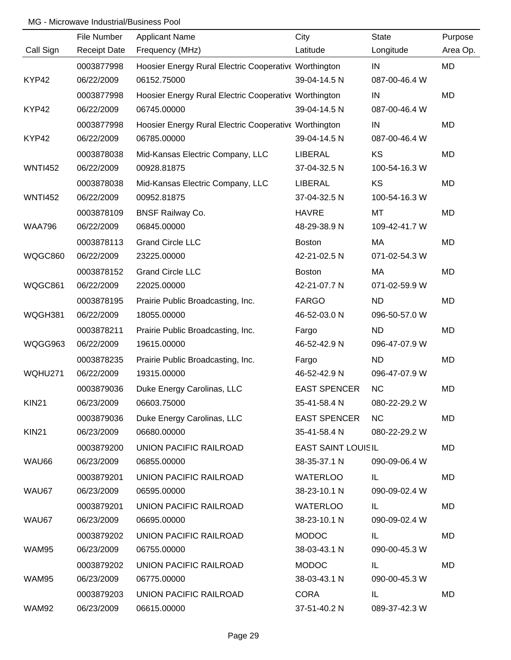|                | File Number         | <b>Applicant Name</b>                                 | City                      | <b>State</b>  | Purpose   |
|----------------|---------------------|-------------------------------------------------------|---------------------------|---------------|-----------|
| Call Sign      | <b>Receipt Date</b> | Frequency (MHz)                                       | Latitude                  | Longitude     | Area Op.  |
|                | 0003877998          | Hoosier Energy Rural Electric Cooperative Worthington |                           | IN            | <b>MD</b> |
| KYP42          | 06/22/2009          | 06152.75000                                           | 39-04-14.5 N              | 087-00-46.4 W |           |
|                | 0003877998          | Hoosier Energy Rural Electric Cooperative Worthington |                           | IN            | <b>MD</b> |
| KYP42          | 06/22/2009          | 06745.00000                                           | 39-04-14.5 N              | 087-00-46.4 W |           |
|                | 0003877998          | Hoosier Energy Rural Electric Cooperative Worthington |                           | IN            | MD        |
| KYP42          | 06/22/2009          | 06785.00000                                           | 39-04-14.5 N              | 087-00-46.4 W |           |
|                | 0003878038          | Mid-Kansas Electric Company, LLC                      | LIBERAL                   | KS            | <b>MD</b> |
| <b>WNTI452</b> | 06/22/2009          | 00928.81875                                           | 37-04-32.5 N              | 100-54-16.3 W |           |
|                | 0003878038          | Mid-Kansas Electric Company, LLC                      | LIBERAL                   | KS            | <b>MD</b> |
| <b>WNTI452</b> | 06/22/2009          | 00952.81875                                           | 37-04-32.5 N              | 100-54-16.3 W |           |
|                | 0003878109          | <b>BNSF Railway Co.</b>                               | <b>HAVRE</b>              | MT            | <b>MD</b> |
| <b>WAA796</b>  | 06/22/2009          | 06845.00000                                           | 48-29-38.9 N              | 109-42-41.7 W |           |
|                | 0003878113          | <b>Grand Circle LLC</b>                               | <b>Boston</b>             | MA            | <b>MD</b> |
| WQGC860        | 06/22/2009          | 23225.00000                                           | 42-21-02.5 N              | 071-02-54.3 W |           |
|                | 0003878152          | <b>Grand Circle LLC</b>                               | <b>Boston</b>             | MA            | <b>MD</b> |
| WQGC861        | 06/22/2009          | 22025.00000                                           | 42-21-07.7 N              | 071-02-59.9 W |           |
|                | 0003878195          | Prairie Public Broadcasting, Inc.                     | <b>FARGO</b>              | <b>ND</b>     | <b>MD</b> |
| WQGH381        | 06/22/2009          | 18055.00000                                           | 46-52-03.0 N              | 096-50-57.0 W |           |
|                | 0003878211          | Prairie Public Broadcasting, Inc.                     | Fargo                     | <b>ND</b>     | <b>MD</b> |
| WQGG963        | 06/22/2009          | 19615.00000                                           | 46-52-42.9 N              | 096-47-07.9 W |           |
|                | 0003878235          | Prairie Public Broadcasting, Inc.                     | Fargo                     | <b>ND</b>     | <b>MD</b> |
| WQHU271        | 06/22/2009          | 19315.00000                                           | 46-52-42.9 N              | 096-47-07.9 W |           |
|                | 0003879036          | Duke Energy Carolinas, LLC                            | <b>EAST SPENCER</b>       | <b>NC</b>     | <b>MD</b> |
| <b>KIN21</b>   | 06/23/2009          | 06603.75000                                           | 35-41-58.4 N              | 080-22-29.2 W |           |
|                | 0003879036          | Duke Energy Carolinas, LLC                            | <b>EAST SPENCER</b>       | NC.           | MD        |
| <b>KIN21</b>   | 06/23/2009          | 06680.00000                                           | 35-41-58.4 N              | 080-22-29.2 W |           |
|                | 0003879200          | UNION PACIFIC RAILROAD                                | <b>EAST SAINT LOUISIL</b> |               | MD        |
| WAU66          | 06/23/2009          | 06855.00000                                           | 38-35-37.1 N              | 090-09-06.4 W |           |
|                | 0003879201          | UNION PACIFIC RAILROAD                                | <b>WATERLOO</b>           | IL.           | MD        |
| WAU67          | 06/23/2009          | 06595.00000                                           | 38-23-10.1 N              | 090-09-02.4 W |           |
|                | 0003879201          | UNION PACIFIC RAILROAD                                | <b>WATERLOO</b>           | IL.           | MD        |
| WAU67          | 06/23/2009          | 06695.00000                                           | 38-23-10.1 N              | 090-09-02.4 W |           |
|                | 0003879202          | UNION PACIFIC RAILROAD                                | <b>MODOC</b>              | IL.           | MD        |
| WAM95          | 06/23/2009          | 06755.00000                                           | 38-03-43.1 N              | 090-00-45.3 W |           |
|                | 0003879202          | UNION PACIFIC RAILROAD                                | <b>MODOC</b>              | IL.           | MD        |
| WAM95          | 06/23/2009          | 06775.00000                                           | 38-03-43.1 N              | 090-00-45.3 W |           |
|                | 0003879203          | UNION PACIFIC RAILROAD                                | <b>CORA</b>               | IL.           | MD        |
| WAM92          | 06/23/2009          | 06615.00000                                           | 37-51-40.2 N              | 089-37-42.3 W |           |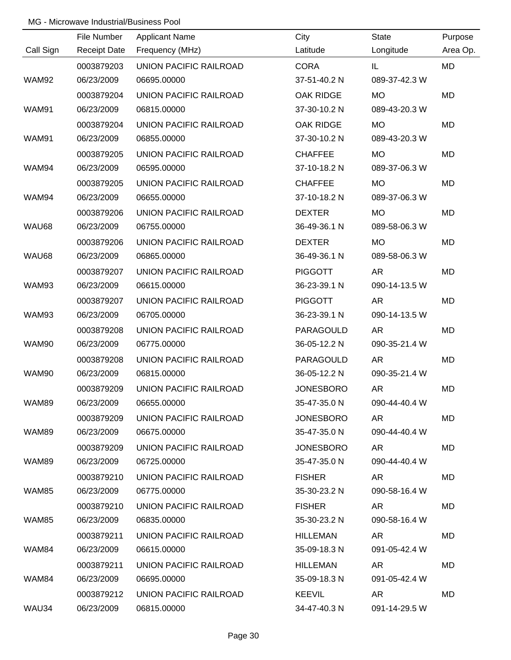|              | File Number         | <b>Applicant Name</b>  | City             | State         | Purpose   |
|--------------|---------------------|------------------------|------------------|---------------|-----------|
| Call Sign    | <b>Receipt Date</b> | Frequency (MHz)        | Latitude         | Longitude     | Area Op.  |
|              | 0003879203          | UNION PACIFIC RAILROAD | <b>CORA</b>      | IL            | <b>MD</b> |
| <b>WAM92</b> | 06/23/2009          | 06695.00000            | 37-51-40.2 N     | 089-37-42.3 W |           |
|              | 0003879204          | UNION PACIFIC RAILROAD | <b>OAK RIDGE</b> | <b>MO</b>     | MD        |
| <b>WAM91</b> | 06/23/2009          | 06815.00000            | 37-30-10.2 N     | 089-43-20.3 W |           |
|              | 0003879204          | UNION PACIFIC RAILROAD | OAK RIDGE        | <b>MO</b>     | MD        |
| <b>WAM91</b> | 06/23/2009          | 06855.00000            | 37-30-10.2 N     | 089-43-20.3 W |           |
|              | 0003879205          | UNION PACIFIC RAILROAD | <b>CHAFFEE</b>   | <b>MO</b>     | <b>MD</b> |
| WAM94        | 06/23/2009          | 06595.00000            | 37-10-18.2 N     | 089-37-06.3 W |           |
|              | 0003879205          | UNION PACIFIC RAILROAD | <b>CHAFFEE</b>   | <b>MO</b>     | MD        |
| WAM94        | 06/23/2009          | 06655.00000            | 37-10-18.2 N     | 089-37-06.3 W |           |
|              | 0003879206          | UNION PACIFIC RAILROAD | <b>DEXTER</b>    | <b>MO</b>     | MD        |
| WAU68        | 06/23/2009          | 06755.00000            | 36-49-36.1 N     | 089-58-06.3 W |           |
|              | 0003879206          | UNION PACIFIC RAILROAD | <b>DEXTER</b>    | <b>MO</b>     | MD        |
| WAU68        | 06/23/2009          | 06865.00000            | 36-49-36.1 N     | 089-58-06.3 W |           |
|              | 0003879207          | UNION PACIFIC RAILROAD | <b>PIGGOTT</b>   | <b>AR</b>     | <b>MD</b> |
| WAM93        | 06/23/2009          | 06615.00000            | 36-23-39.1 N     | 090-14-13.5 W |           |
|              | 0003879207          | UNION PACIFIC RAILROAD | <b>PIGGOTT</b>   | AR            | <b>MD</b> |
| WAM93        | 06/23/2009          | 06705.00000            | 36-23-39.1 N     | 090-14-13.5 W |           |
|              | 0003879208          | UNION PACIFIC RAILROAD | PARAGOULD        | AR            | MD        |
| WAM90        | 06/23/2009          | 06775.00000            | 36-05-12.2 N     | 090-35-21.4 W |           |
|              | 0003879208          | UNION PACIFIC RAILROAD | PARAGOULD        | AR            | MD        |
| WAM90        | 06/23/2009          | 06815.00000            | 36-05-12.2 N     | 090-35-21.4 W |           |
|              | 0003879209          | UNION PACIFIC RAILROAD | <b>JONESBORO</b> | AR            | MD        |
| WAM89        | 06/23/2009          | 06655.00000            | 35-47-35.0 N     | 090-44-40.4 W |           |
|              | 0003879209          | UNION PACIFIC RAILROAD | <b>JONESBORO</b> | AR.           | MD        |
| WAM89        | 06/23/2009          | 06675.00000            | 35-47-35.0 N     | 090-44-40.4 W |           |
|              | 0003879209          | UNION PACIFIC RAILROAD | <b>JONESBORO</b> | AR.           | MD        |
| WAM89        | 06/23/2009          | 06725.00000            | 35-47-35.0 N     | 090-44-40.4 W |           |
|              | 0003879210          | UNION PACIFIC RAILROAD | <b>FISHER</b>    | AR            | MD        |
| WAM85        | 06/23/2009          | 06775.00000            | 35-30-23.2 N     | 090-58-16.4 W |           |
|              | 0003879210          | UNION PACIFIC RAILROAD | <b>FISHER</b>    | AR.           | MD        |
| WAM85        | 06/23/2009          | 06835.00000            | 35-30-23.2 N     | 090-58-16.4 W |           |
|              | 0003879211          | UNION PACIFIC RAILROAD | HILLEMAN         | AR            | MD        |
| WAM84        | 06/23/2009          | 06615.00000            | 35-09-18.3 N     | 091-05-42.4 W |           |
|              | 0003879211          | UNION PACIFIC RAILROAD | HILLEMAN         | AR            | MD        |
| WAM84        | 06/23/2009          | 06695.00000            | 35-09-18.3 N     | 091-05-42.4 W |           |
|              | 0003879212          | UNION PACIFIC RAILROAD | KEEVIL           | AR            | MD        |
| WAU34        | 06/23/2009          | 06815.00000            | 34-47-40.3 N     | 091-14-29.5 W |           |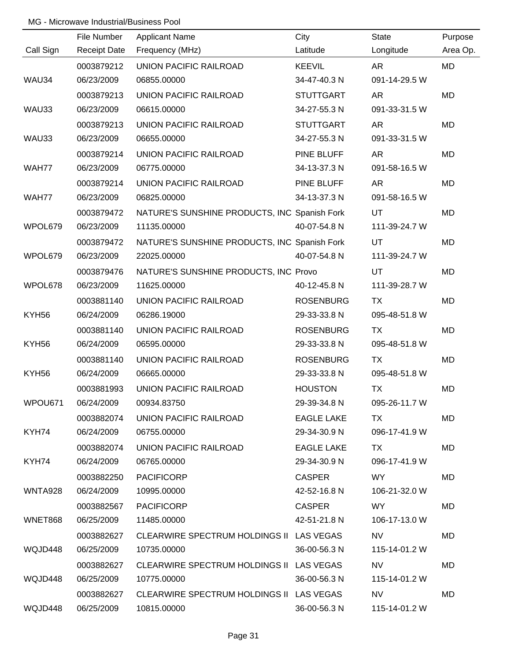|           | File Number         | <b>Applicant Name</b>                        | City              | <b>State</b>  | Purpose   |
|-----------|---------------------|----------------------------------------------|-------------------|---------------|-----------|
| Call Sign | <b>Receipt Date</b> | Frequency (MHz)                              | Latitude          | Longitude     | Area Op.  |
|           | 0003879212          | UNION PACIFIC RAILROAD                       | <b>KEEVIL</b>     | <b>AR</b>     | MD        |
| WAU34     | 06/23/2009          | 06855.00000                                  | 34-47-40.3 N      | 091-14-29.5 W |           |
|           | 0003879213          | UNION PACIFIC RAILROAD                       | <b>STUTTGART</b>  | <b>AR</b>     | <b>MD</b> |
| WAU33     | 06/23/2009          | 06615.00000                                  | 34-27-55.3 N      | 091-33-31.5 W |           |
|           | 0003879213          | UNION PACIFIC RAILROAD                       | <b>STUTTGART</b>  | <b>AR</b>     | MD        |
| WAU33     | 06/23/2009          | 06655.00000                                  | 34-27-55.3 N      | 091-33-31.5 W |           |
|           | 0003879214          | UNION PACIFIC RAILROAD                       | PINE BLUFF        | <b>AR</b>     | MD        |
| WAH77     | 06/23/2009          | 06775.00000                                  | 34-13-37.3 N      | 091-58-16.5 W |           |
|           | 0003879214          | UNION PACIFIC RAILROAD                       | PINE BLUFF        | <b>AR</b>     | MD        |
| WAH77     | 06/23/2009          | 06825.00000                                  | 34-13-37.3 N      | 091-58-16.5 W |           |
|           | 0003879472          | NATURE'S SUNSHINE PRODUCTS, INC Spanish Fork |                   | <b>UT</b>     | MD        |
| WPOL679   | 06/23/2009          | 11135.00000                                  | 40-07-54.8 N      | 111-39-24.7 W |           |
|           | 0003879472          | NATURE'S SUNSHINE PRODUCTS, INC Spanish Fork |                   | UT            | MD        |
| WPOL679   | 06/23/2009          | 22025.00000                                  | 40-07-54.8 N      | 111-39-24.7 W |           |
|           | 0003879476          | NATURE'S SUNSHINE PRODUCTS, INC Provo        |                   | UT            | MD        |
| WPOL678   | 06/23/2009          | 11625.00000                                  | 40-12-45.8 N      | 111-39-28.7 W |           |
|           | 0003881140          | UNION PACIFIC RAILROAD                       | <b>ROSENBURG</b>  | TX            | MD        |
| KYH56     | 06/24/2009          | 06286.19000                                  | 29-33-33.8 N      | 095-48-51.8 W |           |
|           | 0003881140          | UNION PACIFIC RAILROAD                       | <b>ROSENBURG</b>  | <b>TX</b>     | MD        |
| KYH56     | 06/24/2009          | 06595.00000                                  | 29-33-33.8 N      | 095-48-51.8 W |           |
|           | 0003881140          | UNION PACIFIC RAILROAD                       | <b>ROSENBURG</b>  | <b>TX</b>     | MD        |
| KYH56     | 06/24/2009          | 06665.00000                                  | 29-33-33.8 N      | 095-48-51.8 W |           |
|           | 0003881993          | <b>UNION PACIFIC RAILROAD</b>                | <b>HOUSTON</b>    | <b>TX</b>     | MD        |
| WPOU671   | 06/24/2009          | 00934.83750                                  | 29-39-34.8 N      | 095-26-11.7 W |           |
|           | 0003882074          | UNION PACIFIC RAILROAD                       | <b>EAGLE LAKE</b> | TX.           | MD        |
| KYH74     | 06/24/2009          | 06755.00000                                  | 29-34-30.9 N      | 096-17-41.9 W |           |
|           | 0003882074          | UNION PACIFIC RAILROAD                       | <b>EAGLE LAKE</b> | TX.           | MD        |
| KYH74     | 06/24/2009          | 06765.00000                                  | 29-34-30.9 N      | 096-17-41.9 W |           |
|           | 0003882250          | <b>PACIFICORP</b>                            | <b>CASPER</b>     | WY \          | MD        |
| WNTA928   | 06/24/2009          | 10995.00000                                  | 42-52-16.8 N      | 106-21-32.0 W |           |
|           | 0003882567          | <b>PACIFICORP</b>                            | <b>CASPER</b>     | WY .          | MD        |
| WNET868   | 06/25/2009          | 11485.00000                                  | 42-51-21.8 N      | 106-17-13.0 W |           |
|           | 0003882627          | CLEARWIRE SPECTRUM HOLDINGS II LAS VEGAS     |                   | <b>NV</b>     | MD        |
| WQJD448   | 06/25/2009          | 10735.00000                                  | 36-00-56.3 N      | 115-14-01.2 W |           |
|           | 0003882627          | CLEARWIRE SPECTRUM HOLDINGS II LAS VEGAS     |                   | <b>NV</b>     | MD        |
| WQJD448   | 06/25/2009          | 10775.00000                                  | 36-00-56.3 N      | 115-14-01.2 W |           |
|           | 0003882627          | CLEARWIRE SPECTRUM HOLDINGS II LAS VEGAS     |                   | <b>NV</b>     | MD        |
| WQJD448   | 06/25/2009          | 10815.00000                                  | 36-00-56.3 N      | 115-14-01.2 W |           |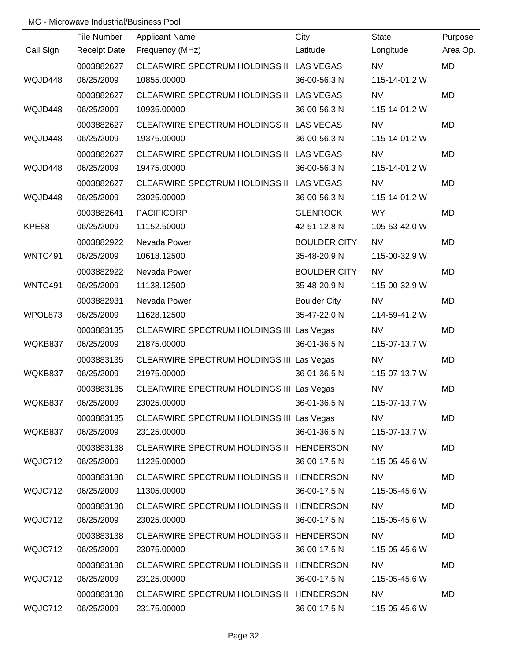|           | File Number         | <b>Applicant Name</b>                     | City                | <b>State</b>  | Purpose   |
|-----------|---------------------|-------------------------------------------|---------------------|---------------|-----------|
| Call Sign | <b>Receipt Date</b> | Frequency (MHz)                           | Latitude            | Longitude     | Area Op.  |
|           | 0003882627          | CLEARWIRE SPECTRUM HOLDINGS II LAS VEGAS  |                     | <b>NV</b>     | <b>MD</b> |
| WQJD448   | 06/25/2009          | 10855.00000                               | 36-00-56.3 N        | 115-14-01.2 W |           |
|           | 0003882627          | CLEARWIRE SPECTRUM HOLDINGS II LAS VEGAS  |                     | <b>NV</b>     | <b>MD</b> |
| WQJD448   | 06/25/2009          | 10935.00000                               | 36-00-56.3 N        | 115-14-01.2 W |           |
|           | 0003882627          | CLEARWIRE SPECTRUM HOLDINGS II LAS VEGAS  |                     | <b>NV</b>     | <b>MD</b> |
| WQJD448   | 06/25/2009          | 19375.00000                               | 36-00-56.3 N        | 115-14-01.2 W |           |
|           | 0003882627          | CLEARWIRE SPECTRUM HOLDINGS II LAS VEGAS  |                     | <b>NV</b>     | MD        |
| WQJD448   | 06/25/2009          | 19475.00000                               | 36-00-56.3 N        | 115-14-01.2 W |           |
|           | 0003882627          | CLEARWIRE SPECTRUM HOLDINGS II LAS VEGAS  |                     | <b>NV</b>     | MD        |
| WQJD448   | 06/25/2009          | 23025.00000                               | 36-00-56.3 N        | 115-14-01.2 W |           |
|           | 0003882641          | <b>PACIFICORP</b>                         | <b>GLENROCK</b>     | <b>WY</b>     | MD        |
| KPE88     | 06/25/2009          | 11152.50000                               | 42-51-12.8 N        | 105-53-42.0 W |           |
|           | 0003882922          | Nevada Power                              | <b>BOULDER CITY</b> | <b>NV</b>     | MD        |
| WNTC491   | 06/25/2009          | 10618.12500                               | 35-48-20.9 N        | 115-00-32.9 W |           |
|           | 0003882922          | Nevada Power                              | <b>BOULDER CITY</b> | <b>NV</b>     | MD        |
| WNTC491   | 06/25/2009          | 11138.12500                               | 35-48-20.9 N        | 115-00-32.9 W |           |
|           | 0003882931          | Nevada Power                              | <b>Boulder City</b> | <b>NV</b>     | MD        |
| WPOL873   | 06/25/2009          | 11628.12500                               | 35-47-22.0 N        | 114-59-41.2 W |           |
|           | 0003883135          | CLEARWIRE SPECTRUM HOLDINGS III Las Vegas |                     | <b>NV</b>     | MD        |
| WQKB837   | 06/25/2009          | 21875.00000                               | 36-01-36.5 N        | 115-07-13.7 W |           |
|           | 0003883135          | CLEARWIRE SPECTRUM HOLDINGS III Las Vegas |                     | <b>NV</b>     | MD        |
| WQKB837   | 06/25/2009          | 21975.00000                               | 36-01-36.5 N        | 115-07-13.7 W |           |
|           | 0003883135          | CLEARWIRE SPECTRUM HOLDINGS III Las Vegas |                     | <b>NV</b>     | MD        |
| WQKB837   | 06/25/2009          | 23025.00000                               | 36-01-36.5 N        | 115-07-13.7 W |           |
|           | 0003883135          | CLEARWIRE SPECTRUM HOLDINGS III Las Vegas |                     | <b>NV</b>     | MD        |
| WQKB837   | 06/25/2009          | 23125.00000                               | 36-01-36.5 N        | 115-07-13.7 W |           |
|           | 0003883138          | CLEARWIRE SPECTRUM HOLDINGS II HENDERSON  |                     | <b>NV</b>     | MD        |
| WQJC712   | 06/25/2009          | 11225.00000                               | 36-00-17.5 N        | 115-05-45.6 W |           |
|           | 0003883138          | CLEARWIRE SPECTRUM HOLDINGS II HENDERSON  |                     | NV.           | MD        |
| WQJC712   | 06/25/2009          | 11305.00000                               | 36-00-17.5 N        | 115-05-45.6 W |           |
|           | 0003883138          | CLEARWIRE SPECTRUM HOLDINGS II HENDERSON  |                     | NV            | <b>MD</b> |
| WQJC712   | 06/25/2009          | 23025.00000                               | 36-00-17.5 N        | 115-05-45.6 W |           |
|           | 0003883138          | CLEARWIRE SPECTRUM HOLDINGS II HENDERSON  |                     | <b>NV</b>     | MD        |
| WQJC712   | 06/25/2009          | 23075.00000                               | 36-00-17.5 N        | 115-05-45.6 W |           |
|           | 0003883138          | CLEARWIRE SPECTRUM HOLDINGS II HENDERSON  |                     | <b>NV</b>     | MD        |
| WQJC712   | 06/25/2009          | 23125.00000                               | 36-00-17.5 N        | 115-05-45.6 W |           |
|           | 0003883138          | CLEARWIRE SPECTRUM HOLDINGS II HENDERSON  |                     | <b>NV</b>     | MD        |
| WQJC712   | 06/25/2009          | 23175.00000                               | 36-00-17.5 N        | 115-05-45.6 W |           |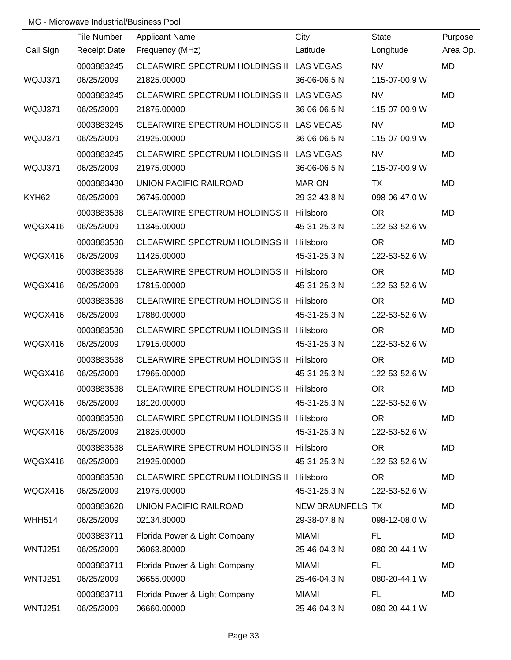|                | File Number         | <b>Applicant Name</b>                    | City             | <b>State</b>  | Purpose   |
|----------------|---------------------|------------------------------------------|------------------|---------------|-----------|
| Call Sign      | <b>Receipt Date</b> | Frequency (MHz)                          | Latitude         | Longitude     | Area Op.  |
|                | 0003883245          | CLEARWIRE SPECTRUM HOLDINGS II LAS VEGAS |                  | <b>NV</b>     | <b>MD</b> |
| WQJJ371        | 06/25/2009          | 21825.00000                              | 36-06-06.5 N     | 115-07-00.9 W |           |
|                | 0003883245          | CLEARWIRE SPECTRUM HOLDINGS II LAS VEGAS |                  | <b>NV</b>     | <b>MD</b> |
| WQJJ371        | 06/25/2009          | 21875.00000                              | 36-06-06.5 N     | 115-07-00.9 W |           |
|                | 0003883245          | CLEARWIRE SPECTRUM HOLDINGS II LAS VEGAS |                  | <b>NV</b>     | <b>MD</b> |
| WQJJ371        | 06/25/2009          | 21925.00000                              | 36-06-06.5 N     | 115-07-00.9 W |           |
|                | 0003883245          | CLEARWIRE SPECTRUM HOLDINGS II LAS VEGAS |                  | <b>NV</b>     | <b>MD</b> |
| WQJJ371        | 06/25/2009          | 21975.00000                              | 36-06-06.5 N     | 115-07-00.9 W |           |
|                | 0003883430          | UNION PACIFIC RAILROAD                   | <b>MARION</b>    | TX            | MD        |
| KYH62          | 06/25/2009          | 06745.00000                              | 29-32-43.8 N     | 098-06-47.0 W |           |
|                | 0003883538          | CLEARWIRE SPECTRUM HOLDINGS II Hillsboro |                  | <b>OR</b>     | MD        |
| WQGX416        | 06/25/2009          | 11345.00000                              | 45-31-25.3 N     | 122-53-52.6 W |           |
|                | 0003883538          | CLEARWIRE SPECTRUM HOLDINGS II           | Hillsboro        | <b>OR</b>     | MD        |
| WQGX416        | 06/25/2009          | 11425.00000                              | 45-31-25.3 N     | 122-53-52.6 W |           |
|                | 0003883538          | <b>CLEARWIRE SPECTRUM HOLDINGS II</b>    | Hillsboro        | <b>OR</b>     | MD        |
| WQGX416        | 06/25/2009          | 17815.00000                              | 45-31-25.3 N     | 122-53-52.6 W |           |
|                | 0003883538          | <b>CLEARWIRE SPECTRUM HOLDINGS II</b>    | Hillsboro        | <b>OR</b>     | MD        |
| WQGX416        | 06/25/2009          | 17880.00000                              | 45-31-25.3 N     | 122-53-52.6 W |           |
|                | 0003883538          | CLEARWIRE SPECTRUM HOLDINGS II Hillsboro |                  | <b>OR</b>     | MD        |
| WQGX416        | 06/25/2009          | 17915.00000                              | 45-31-25.3 N     | 122-53-52.6 W |           |
|                | 0003883538          | CLEARWIRE SPECTRUM HOLDINGS II Hillsboro |                  | <b>OR</b>     | MD        |
| WQGX416        | 06/25/2009          | 17965.00000                              | 45-31-25.3 N     | 122-53-52.6 W |           |
|                | 0003883538          | CLEARWIRE SPECTRUM HOLDINGS II Hillsboro |                  | <b>OR</b>     | MD        |
| WQGX416        | 06/25/2009          | 18120.00000                              | 45-31-25.3 N     | 122-53-52.6 W |           |
|                | 0003883538          | CLEARWIRE SPECTRUM HOLDINGS II Hillsboro |                  | <b>OR</b>     | MD        |
| WQGX416        | 06/25/2009          | 21825.00000                              | 45-31-25.3 N     | 122-53-52.6 W |           |
|                | 0003883538          | CLEARWIRE SPECTRUM HOLDINGS II Hillsboro |                  | <b>OR</b>     | MD        |
| WQGX416        | 06/25/2009          | 21925.00000                              | 45-31-25.3 N     | 122-53-52.6 W |           |
|                | 0003883538          | <b>CLEARWIRE SPECTRUM HOLDINGS II</b>    | Hillsboro        | <b>OR</b>     | MD        |
| WQGX416        | 06/25/2009          | 21975.00000                              | 45-31-25.3 N     | 122-53-52.6 W |           |
|                | 0003883628          | UNION PACIFIC RAILROAD                   | NEW BRAUNFELS TX |               | MD        |
| <b>WHH514</b>  | 06/25/2009          | 02134.80000                              | 29-38-07.8 N     | 098-12-08.0 W |           |
|                | 0003883711          | Florida Power & Light Company            | <b>MIAMI</b>     | FL.           | MD        |
| WNTJ251        | 06/25/2009          | 06063.80000                              | 25-46-04.3 N     | 080-20-44.1 W |           |
|                | 0003883711          | Florida Power & Light Company            | <b>MIAMI</b>     | <b>FL</b>     | MD        |
| WNTJ251        | 06/25/2009          | 06655.00000                              | 25-46-04.3 N     | 080-20-44.1 W |           |
|                | 0003883711          | Florida Power & Light Company            | <b>MIAMI</b>     | FL.           | MD        |
| <b>WNTJ251</b> | 06/25/2009          | 06660.00000                              | 25-46-04.3 N     | 080-20-44.1 W |           |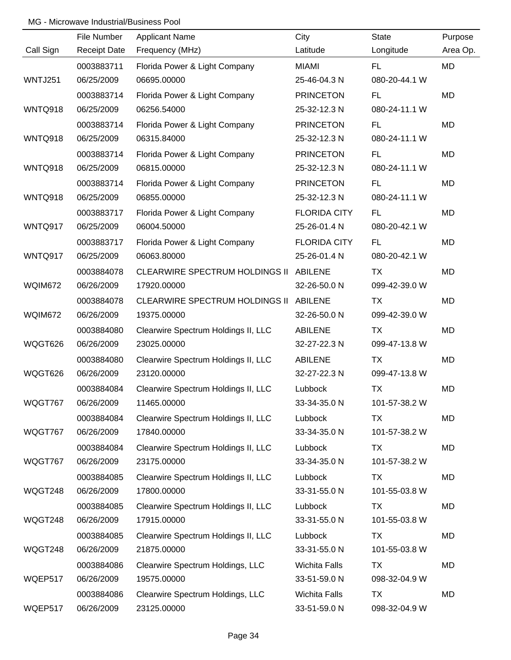|           | File Number         | <b>Applicant Name</b>                 | City                 | <b>State</b>  | Purpose   |
|-----------|---------------------|---------------------------------------|----------------------|---------------|-----------|
| Call Sign | <b>Receipt Date</b> | Frequency (MHz)                       | Latitude             | Longitude     | Area Op.  |
|           | 0003883711          | Florida Power & Light Company         | <b>MIAMI</b>         | <b>FL</b>     | MD        |
| WNTJ251   | 06/25/2009          | 06695.00000                           | 25-46-04.3 N         | 080-20-44.1 W |           |
|           | 0003883714          | Florida Power & Light Company         | <b>PRINCETON</b>     | FL.           | <b>MD</b> |
| WNTQ918   | 06/25/2009          | 06256.54000                           | 25-32-12.3 N         | 080-24-11.1 W |           |
|           | 0003883714          | Florida Power & Light Company         | <b>PRINCETON</b>     | FL.           | MD        |
| WNTQ918   | 06/25/2009          | 06315.84000                           | 25-32-12.3 N         | 080-24-11.1 W |           |
|           | 0003883714          | Florida Power & Light Company         | <b>PRINCETON</b>     | <b>FL</b>     | MD        |
| WNTQ918   | 06/25/2009          | 06815.00000                           | 25-32-12.3 N         | 080-24-11.1 W |           |
|           | 0003883714          | Florida Power & Light Company         | <b>PRINCETON</b>     | <b>FL</b>     | MD        |
| WNTQ918   | 06/25/2009          | 06855.00000                           | 25-32-12.3 N         | 080-24-11.1 W |           |
|           | 0003883717          | Florida Power & Light Company         | <b>FLORIDA CITY</b>  | <b>FL</b>     | MD        |
| WNTQ917   | 06/25/2009          | 06004.50000                           | 25-26-01.4 N         | 080-20-42.1 W |           |
|           | 0003883717          | Florida Power & Light Company         | <b>FLORIDA CITY</b>  | <b>FL</b>     | MD        |
| WNTQ917   | 06/25/2009          | 06063.80000                           | 25-26-01.4 N         | 080-20-42.1 W |           |
|           | 0003884078          | <b>CLEARWIRE SPECTRUM HOLDINGS II</b> | <b>ABILENE</b>       | <b>TX</b>     | MD        |
| WQIM672   | 06/26/2009          | 17920.00000                           | 32-26-50.0 N         | 099-42-39.0 W |           |
|           | 0003884078          | <b>CLEARWIRE SPECTRUM HOLDINGS II</b> | <b>ABILENE</b>       | <b>TX</b>     | MD        |
| WQIM672   | 06/26/2009          | 19375.00000                           | 32-26-50.0 N         | 099-42-39.0 W |           |
|           | 0003884080          | Clearwire Spectrum Holdings II, LLC   | <b>ABILENE</b>       | <b>TX</b>     | MD        |
| WQGT626   | 06/26/2009          | 23025.00000                           | 32-27-22.3 N         | 099-47-13.8 W |           |
|           | 0003884080          | Clearwire Spectrum Holdings II, LLC   | <b>ABILENE</b>       | <b>TX</b>     | MD        |
| WQGT626   | 06/26/2009          | 23120.00000                           | 32-27-22.3 N         | 099-47-13.8 W |           |
|           | 0003884084          | Clearwire Spectrum Holdings II, LLC   | Lubbock              | <b>TX</b>     | MD        |
| WQGT767   | 06/26/2009          | 11465.00000                           | 33-34-35.0 N         | 101-57-38.2 W |           |
|           | 0003884084          | Clearwire Spectrum Holdings II, LLC   | Lubbock              | TX            | MD        |
| WQGT767   | 06/26/2009          | 17840.00000                           | 33-34-35.0 N         | 101-57-38.2 W |           |
|           | 0003884084          | Clearwire Spectrum Holdings II, LLC   | Lubbock              | <b>TX</b>     | MD        |
| WQGT767   | 06/26/2009          | 23175.00000                           | 33-34-35.0 N         | 101-57-38.2 W |           |
|           | 0003884085          | Clearwire Spectrum Holdings II, LLC   | Lubbock              | TX            | MD        |
| WQGT248   | 06/26/2009          | 17800.00000                           | 33-31-55.0 N         | 101-55-03.8 W |           |
|           | 0003884085          | Clearwire Spectrum Holdings II, LLC   | Lubbock              | TX            | MD        |
| WQGT248   | 06/26/2009          | 17915.00000                           | 33-31-55.0 N         | 101-55-03.8 W |           |
|           | 0003884085          | Clearwire Spectrum Holdings II, LLC   | Lubbock              | TX            | MD        |
| WQGT248   | 06/26/2009          | 21875.00000                           | 33-31-55.0 N         | 101-55-03.8 W |           |
|           | 0003884086          | Clearwire Spectrum Holdings, LLC      | <b>Wichita Falls</b> | <b>TX</b>     | MD        |
| WQEP517   | 06/26/2009          | 19575.00000                           | 33-51-59.0 N         | 098-32-04.9 W |           |
|           | 0003884086          | Clearwire Spectrum Holdings, LLC      | <b>Wichita Falls</b> | <b>TX</b>     | MD        |
| WQEP517   | 06/26/2009          | 23125.00000                           | 33-51-59.0 N         | 098-32-04.9 W |           |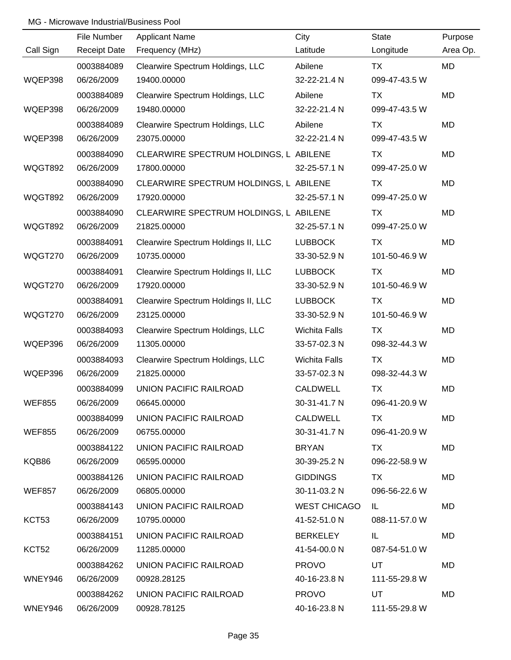|               | File Number         | <b>Applicant Name</b>                  | City                 | <b>State</b>  | Purpose   |
|---------------|---------------------|----------------------------------------|----------------------|---------------|-----------|
| Call Sign     | <b>Receipt Date</b> | Frequency (MHz)                        | Latitude             | Longitude     | Area Op.  |
|               | 0003884089          | Clearwire Spectrum Holdings, LLC       | Abilene              | TX            | <b>MD</b> |
| WQEP398       | 06/26/2009          | 19400.00000                            | 32-22-21.4 N         | 099-47-43.5 W |           |
|               | 0003884089          | Clearwire Spectrum Holdings, LLC       | Abilene              | TX            | MD        |
| WQEP398       | 06/26/2009          | 19480.00000                            | 32-22-21.4 N         | 099-47-43.5 W |           |
|               | 0003884089          | Clearwire Spectrum Holdings, LLC       | Abilene              | TX            | <b>MD</b> |
| WQEP398       | 06/26/2009          | 23075.00000                            | 32-22-21.4 N         | 099-47-43.5 W |           |
|               | 0003884090          | CLEARWIRE SPECTRUM HOLDINGS, L ABILENE |                      | TX            | MD        |
| WQGT892       | 06/26/2009          | 17800.00000                            | 32-25-57.1 N         | 099-47-25.0 W |           |
|               | 0003884090          | CLEARWIRE SPECTRUM HOLDINGS, L ABILENE |                      | TX            | <b>MD</b> |
| WQGT892       | 06/26/2009          | 17920.00000                            | 32-25-57.1 N         | 099-47-25.0 W |           |
|               | 0003884090          | CLEARWIRE SPECTRUM HOLDINGS, L ABILENE |                      | TX            | <b>MD</b> |
| WQGT892       | 06/26/2009          | 21825.00000                            | 32-25-57.1 N         | 099-47-25.0 W |           |
|               | 0003884091          | Clearwire Spectrum Holdings II, LLC    | <b>LUBBOCK</b>       | TX            | MD        |
| WQGT270       | 06/26/2009          | 10735.00000                            | 33-30-52.9 N         | 101-50-46.9 W |           |
|               | 0003884091          | Clearwire Spectrum Holdings II, LLC    | <b>LUBBOCK</b>       | TX            | <b>MD</b> |
| WQGT270       | 06/26/2009          | 17920.00000                            | 33-30-52.9 N         | 101-50-46.9 W |           |
|               | 0003884091          | Clearwire Spectrum Holdings II, LLC    | <b>LUBBOCK</b>       | TX            | <b>MD</b> |
| WQGT270       | 06/26/2009          | 23125.00000                            | 33-30-52.9 N         | 101-50-46.9 W |           |
|               | 0003884093          | Clearwire Spectrum Holdings, LLC       | <b>Wichita Falls</b> | <b>TX</b>     | <b>MD</b> |
| WQEP396       | 06/26/2009          | 11305.00000                            | 33-57-02.3 N         | 098-32-44.3 W |           |
|               | 0003884093          | Clearwire Spectrum Holdings, LLC       | <b>Wichita Falls</b> | <b>TX</b>     | <b>MD</b> |
| WQEP396       | 06/26/2009          | 21825.00000                            | 33-57-02.3 N         | 098-32-44.3 W |           |
|               | 0003884099          | <b>UNION PACIFIC RAILROAD</b>          | <b>CALDWELL</b>      | <b>TX</b>     | <b>MD</b> |
| <b>WEF855</b> | 06/26/2009          | 06645.00000                            | 30-31-41.7 N         | 096-41-20.9 W |           |
|               | 0003884099          | UNION PACIFIC RAILROAD                 | CALDWELL             | TX.           | MD        |
| <b>WEF855</b> | 06/26/2009          | 06755.00000                            | 30-31-41.7 N         | 096-41-20.9 W |           |
|               | 0003884122          | UNION PACIFIC RAILROAD                 | <b>BRYAN</b>         | TX.           | MD.       |
| KQB86         | 06/26/2009          | 06595.00000                            | 30-39-25.2 N         | 096-22-58.9 W |           |
|               | 0003884126          | UNION PACIFIC RAILROAD                 | <b>GIDDINGS</b>      | TX            | MD        |
| <b>WEF857</b> | 06/26/2009          | 06805.00000                            | 30-11-03.2 N         | 096-56-22.6 W |           |
|               | 0003884143          | UNION PACIFIC RAILROAD                 | <b>WEST CHICAGO</b>  | IL.           | MD        |
| KCT53         | 06/26/2009          | 10795.00000                            | 41-52-51.0 N         | 088-11-57.0 W |           |
|               | 0003884151          | UNION PACIFIC RAILROAD                 | <b>BERKELEY</b>      | IL.           | MD        |
| KCT52         | 06/26/2009          | 11285.00000                            | 41-54-00.0 N         | 087-54-51.0 W |           |
|               | 0003884262          | UNION PACIFIC RAILROAD                 | <b>PROVO</b>         | <b>UT</b>     | MD.       |
| WNEY946       | 06/26/2009          | 00928.28125                            | 40-16-23.8 N         | 111-55-29.8 W |           |
|               | 0003884262          | UNION PACIFIC RAILROAD                 | <b>PROVO</b>         | UT            | MD        |
| WNEY946       | 06/26/2009          | 00928.78125                            | 40-16-23.8 N         | 111-55-29.8 W |           |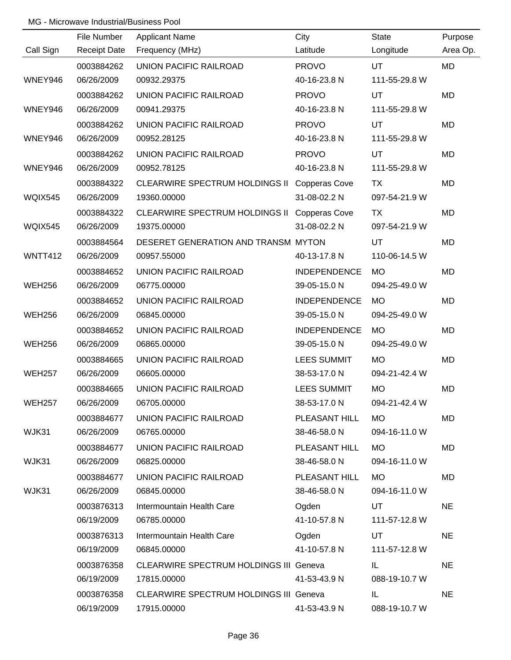|                | File Number         | <b>Applicant Name</b>                         | City                | <b>State</b>  | Purpose   |
|----------------|---------------------|-----------------------------------------------|---------------------|---------------|-----------|
| Call Sign      | <b>Receipt Date</b> | Frequency (MHz)                               | Latitude            | Longitude     | Area Op.  |
|                | 0003884262          | UNION PACIFIC RAILROAD                        | <b>PROVO</b>        | UT            | <b>MD</b> |
| WNEY946        | 06/26/2009          | 00932.29375                                   | 40-16-23.8 N        | 111-55-29.8 W |           |
|                | 0003884262          | <b>UNION PACIFIC RAILROAD</b>                 | <b>PROVO</b>        | UT            | MD        |
| WNEY946        | 06/26/2009          | 00941.29375                                   | 40-16-23.8 N        | 111-55-29.8 W |           |
|                | 0003884262          | <b>UNION PACIFIC RAILROAD</b>                 | <b>PROVO</b>        | UT.           | <b>MD</b> |
| WNEY946        | 06/26/2009          | 00952.28125                                   | 40-16-23.8 N        | 111-55-29.8 W |           |
|                | 0003884262          | UNION PACIFIC RAILROAD                        | <b>PROVO</b>        | UT            | <b>MD</b> |
| WNEY946        | 06/26/2009          | 00952.78125                                   | 40-16-23.8 N        | 111-55-29.8 W |           |
|                | 0003884322          | CLEARWIRE SPECTRUM HOLDINGS II Copperas Cove  |                     | TX            | <b>MD</b> |
| WQIX545        | 06/26/2009          | 19360.00000                                   | 31-08-02.2 N        | 097-54-21.9 W |           |
|                | 0003884322          | CLEARWIRE SPECTRUM HOLDINGS II Copperas Cove  |                     | <b>TX</b>     | <b>MD</b> |
| <b>WQIX545</b> | 06/26/2009          | 19375.00000                                   | 31-08-02.2 N        | 097-54-21.9 W |           |
|                | 0003884564          | DESERET GENERATION AND TRANSM MYTON           |                     | UT            | <b>MD</b> |
| <b>WNTT412</b> | 06/26/2009          | 00957.55000                                   | 40-13-17.8 N        | 110-06-14.5 W |           |
|                | 0003884652          | UNION PACIFIC RAILROAD                        | <b>INDEPENDENCE</b> | <b>MO</b>     | <b>MD</b> |
| <b>WEH256</b>  | 06/26/2009          | 06775.00000                                   | 39-05-15.0 N        | 094-25-49.0 W |           |
|                | 0003884652          | UNION PACIFIC RAILROAD                        | <b>INDEPENDENCE</b> | <b>MO</b>     | <b>MD</b> |
| <b>WEH256</b>  | 06/26/2009          | 06845.00000                                   | 39-05-15.0 N        | 094-25-49.0 W |           |
|                | 0003884652          | UNION PACIFIC RAILROAD                        | <b>INDEPENDENCE</b> | <b>MO</b>     | <b>MD</b> |
| <b>WEH256</b>  | 06/26/2009          | 06865.00000                                   | 39-05-15.0 N        | 094-25-49.0 W |           |
|                | 0003884665          | UNION PACIFIC RAILROAD                        | LEES SUMMIT         | <b>MO</b>     | <b>MD</b> |
| <b>WEH257</b>  | 06/26/2009          | 06605.00000                                   | 38-53-17.0 N        | 094-21-42.4 W |           |
|                | 0003884665          | <b>UNION PACIFIC RAILROAD</b>                 | LEES SUMMIT         | <b>MO</b>     | <b>MD</b> |
| <b>WEH257</b>  | 06/26/2009          | 06705.00000                                   | 38-53-17.0 N        | 094-21-42.4 W |           |
|                | 0003884677          | UNION PACIFIC RAILROAD                        | PLEASANT HILL       | <b>MO</b>     | MD        |
| WJK31          | 06/26/2009          | 06765.00000                                   | 38-46-58.0 N        | 094-16-11.0 W |           |
|                | 0003884677          | UNION PACIFIC RAILROAD                        | PLEASANT HILL       | <b>MO</b>     | MD        |
| WJK31          | 06/26/2009          | 06825.00000                                   | 38-46-58.0 N        | 094-16-11.0 W |           |
|                | 0003884677          | UNION PACIFIC RAILROAD                        | PLEASANT HILL       | <b>MO</b>     | MD        |
| WJK31          | 06/26/2009          | 06845.00000                                   | 38-46-58.0 N        | 094-16-11.0 W |           |
|                | 0003876313          | Intermountain Health Care                     | Ogden               | UT            | <b>NE</b> |
|                | 06/19/2009          | 06785.00000                                   | 41-10-57.8 N        | 111-57-12.8 W |           |
|                | 0003876313          | Intermountain Health Care                     | Ogden               | UT            | <b>NE</b> |
|                | 06/19/2009          | 06845.00000                                   | 41-10-57.8 N        | 111-57-12.8 W |           |
|                | 0003876358          | <b>CLEARWIRE SPECTRUM HOLDINGS III Geneva</b> |                     | IL            | <b>NE</b> |
|                | 06/19/2009          | 17815.00000                                   | 41-53-43.9 N        | 088-19-10.7 W |           |
|                | 0003876358          | <b>CLEARWIRE SPECTRUM HOLDINGS III Geneva</b> |                     | IL.           | <b>NE</b> |
|                | 06/19/2009          | 17915.00000                                   | 41-53-43.9 N        | 088-19-10.7 W |           |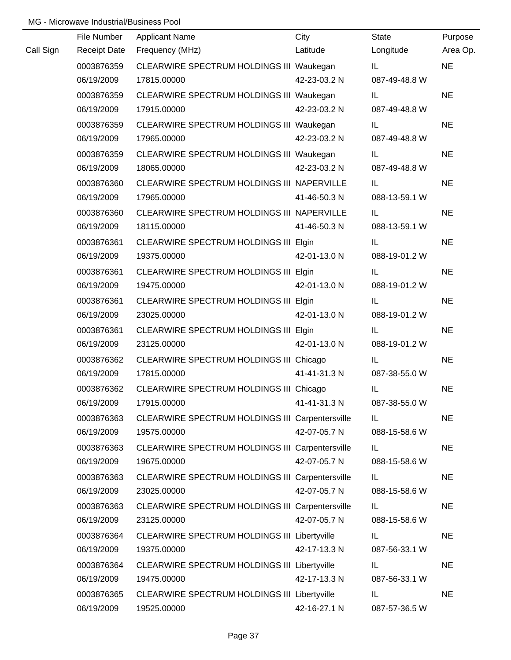|           | File Number         | <b>Applicant Name</b>                           | City         | <b>State</b>  | Purpose   |
|-----------|---------------------|-------------------------------------------------|--------------|---------------|-----------|
| Call Sign | <b>Receipt Date</b> | Frequency (MHz)                                 | Latitude     | Longitude     | Area Op.  |
|           | 0003876359          | CLEARWIRE SPECTRUM HOLDINGS III Waukegan        |              | IL.           | <b>NE</b> |
|           | 06/19/2009          | 17815.00000                                     | 42-23-03.2 N | 087-49-48.8 W |           |
|           | 0003876359          | CLEARWIRE SPECTRUM HOLDINGS III Waukegan        |              | IL.           | <b>NE</b> |
|           | 06/19/2009          | 17915.00000                                     | 42-23-03.2 N | 087-49-48.8 W |           |
|           | 0003876359          | CLEARWIRE SPECTRUM HOLDINGS III Waukegan        |              | IL.           | <b>NE</b> |
|           | 06/19/2009          | 17965.00000                                     | 42-23-03.2 N | 087-49-48.8 W |           |
|           | 0003876359          | CLEARWIRE SPECTRUM HOLDINGS III Waukegan        |              | IL.           | <b>NE</b> |
|           | 06/19/2009          | 18065.00000                                     | 42-23-03.2 N | 087-49-48.8 W |           |
|           | 0003876360          | CLEARWIRE SPECTRUM HOLDINGS III NAPERVILLE      |              | IL.           | <b>NE</b> |
|           | 06/19/2009          | 17965.00000                                     | 41-46-50.3 N | 088-13-59.1 W |           |
|           | 0003876360          | CLEARWIRE SPECTRUM HOLDINGS III NAPERVILLE      |              | IL.           | <b>NE</b> |
|           | 06/19/2009          | 18115.00000                                     | 41-46-50.3 N | 088-13-59.1 W |           |
|           | 0003876361          | CLEARWIRE SPECTRUM HOLDINGS III Elgin           |              | IL.           | <b>NE</b> |
|           | 06/19/2009          | 19375.00000                                     | 42-01-13.0 N | 088-19-01.2 W |           |
|           | 0003876361          | CLEARWIRE SPECTRUM HOLDINGS III Elgin           |              | IL.           | <b>NE</b> |
|           | 06/19/2009          | 19475.00000                                     | 42-01-13.0 N | 088-19-01.2 W |           |
|           | 0003876361          | CLEARWIRE SPECTRUM HOLDINGS III Elgin           |              | IL.           | <b>NE</b> |
|           | 06/19/2009          | 23025.00000                                     | 42-01-13.0 N | 088-19-01.2 W |           |
|           | 0003876361          | CLEARWIRE SPECTRUM HOLDINGS III Elgin           |              | IL.           | <b>NE</b> |
|           | 06/19/2009          | 23125.00000                                     | 42-01-13.0 N | 088-19-01.2 W |           |
|           | 0003876362          | CLEARWIRE SPECTRUM HOLDINGS III Chicago         |              | IL            | <b>NE</b> |
|           | 06/19/2009          | 17815.00000                                     | 41-41-31.3 N | 087-38-55.0 W |           |
|           | 0003876362          | CLEARWIRE SPECTRUM HOLDINGS III Chicago         |              | IL            | <b>NE</b> |
|           | 06/19/2009          | 17915.00000                                     | 41-41-31.3 N | 087-38-55.0 W |           |
|           | 0003876363          | CLEARWIRE SPECTRUM HOLDINGS III Carpentersville |              | IL.           | <b>NE</b> |
|           | 06/19/2009          | 19575.00000                                     | 42-07-05.7 N | 088-15-58.6 W |           |
|           | 0003876363          | CLEARWIRE SPECTRUM HOLDINGS III Carpentersville |              | IL.           | <b>NE</b> |
|           | 06/19/2009          | 19675.00000                                     | 42-07-05.7 N | 088-15-58.6 W |           |
|           | 0003876363          | CLEARWIRE SPECTRUM HOLDINGS III Carpentersville |              | IL            | <b>NE</b> |
|           | 06/19/2009          | 23025.00000                                     | 42-07-05.7 N | 088-15-58.6 W |           |
|           | 0003876363          | CLEARWIRE SPECTRUM HOLDINGS III Carpentersville |              | IL            | <b>NE</b> |
|           | 06/19/2009          | 23125.00000                                     | 42-07-05.7 N | 088-15-58.6 W |           |
|           | 0003876364          | CLEARWIRE SPECTRUM HOLDINGS III Libertyville    |              | IL            | <b>NE</b> |
|           | 06/19/2009          | 19375.00000                                     | 42-17-13.3 N | 087-56-33.1 W |           |
|           | 0003876364          | CLEARWIRE SPECTRUM HOLDINGS III Libertyville    |              | IL            | <b>NE</b> |
|           | 06/19/2009          | 19475.00000                                     | 42-17-13.3 N | 087-56-33.1 W |           |
|           | 0003876365          | CLEARWIRE SPECTRUM HOLDINGS III Libertyville    |              | IL            | <b>NE</b> |
|           | 06/19/2009          | 19525.00000                                     | 42-16-27.1 N | 087-57-36.5 W |           |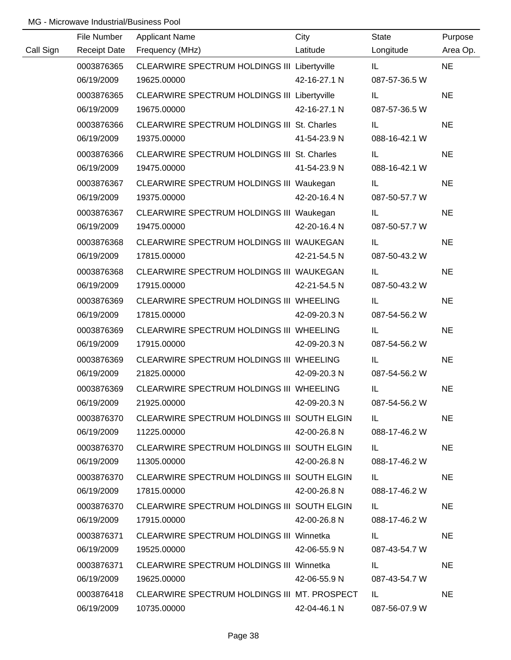|           | File Number | <b>Applicant Name</b>                           | City         | State         | Purpose   |
|-----------|-------------|-------------------------------------------------|--------------|---------------|-----------|
| Call Sign |             | Receipt Date Frequency (MHz)                    | Latitude     | Longitude     | Area Op.  |
|           | 0003876365  | CLEARWIRE SPECTRUM HOLDINGS III Libertyville    |              | IL.           | <b>NE</b> |
|           | 06/19/2009  | 19625.00000                                     | 42-16-27.1 N | 087-57-36.5 W |           |
|           | 0003876365  | CLEARWIRE SPECTRUM HOLDINGS III Libertyville    |              | IL.           | <b>NE</b> |
|           | 06/19/2009  | 19675.00000                                     | 42-16-27.1 N | 087-57-36.5 W |           |
|           | 0003876366  | CLEARWIRE SPECTRUM HOLDINGS III St. Charles     |              | IL            | <b>NE</b> |
|           | 06/19/2009  | 19375.00000                                     | 41-54-23.9 N | 088-16-42.1 W |           |
|           | 0003876366  | CLEARWIRE SPECTRUM HOLDINGS III St. Charles     |              | IL.           | <b>NE</b> |
|           | 06/19/2009  | 19475.00000                                     | 41-54-23.9 N | 088-16-42.1 W |           |
|           | 0003876367  | CLEARWIRE SPECTRUM HOLDINGS III Waukegan        |              | IL.           | <b>NE</b> |
|           | 06/19/2009  | 19375.00000                                     | 42-20-16.4 N | 087-50-57.7 W |           |
|           | 0003876367  | CLEARWIRE SPECTRUM HOLDINGS III Waukegan        |              | IL            | <b>NE</b> |
|           | 06/19/2009  | 19475.00000                                     | 42-20-16.4 N | 087-50-57.7 W |           |
|           | 0003876368  | CLEARWIRE SPECTRUM HOLDINGS III WAUKEGAN        |              | IL.           | <b>NE</b> |
|           | 06/19/2009  | 17815.00000                                     | 42-21-54.5 N | 087-50-43.2 W |           |
|           | 0003876368  | CLEARWIRE SPECTRUM HOLDINGS III WAUKEGAN        |              | IL.           | <b>NE</b> |
|           | 06/19/2009  | 17915.00000                                     | 42-21-54.5 N | 087-50-43.2 W |           |
|           | 0003876369  | CLEARWIRE SPECTRUM HOLDINGS III WHEELING        |              | IL            | <b>NE</b> |
|           | 06/19/2009  | 17815.00000                                     | 42-09-20.3 N | 087-54-56.2 W |           |
|           | 0003876369  | CLEARWIRE SPECTRUM HOLDINGS III WHEELING        |              | IL            | <b>NE</b> |
|           | 06/19/2009  | 17915.00000                                     | 42-09-20.3 N | 087-54-56.2 W |           |
|           | 0003876369  | CLEARWIRE SPECTRUM HOLDINGS III WHEELING        |              | IL            | <b>NE</b> |
|           | 06/19/2009  | 21825.00000                                     | 42-09-20.3 N | 087-54-56.2 W |           |
|           | 0003876369  | CLEARWIRE SPECTRUM HOLDINGS III WHEELING        |              | IL.           | <b>NE</b> |
|           | 06/19/2009  | 21925.00000                                     | 42-09-20.3 N | 087-54-56.2 W |           |
|           | 0003876370  | CLEARWIRE SPECTRUM HOLDINGS III SOUTH ELGIN     |              | IL.           | <b>NE</b> |
|           | 06/19/2009  | 11225.00000                                     | 42-00-26.8 N | 088-17-46.2 W |           |
|           | 0003876370  | CLEARWIRE SPECTRUM HOLDINGS III SOUTH ELGIN     |              | IL.           | <b>NE</b> |
|           | 06/19/2009  | 11305.00000                                     | 42-00-26.8 N | 088-17-46.2 W |           |
|           | 0003876370  | CLEARWIRE SPECTRUM HOLDINGS III SOUTH ELGIN     |              | IL.           | <b>NE</b> |
|           | 06/19/2009  | 17815.00000                                     | 42-00-26.8 N | 088-17-46.2 W |           |
|           | 0003876370  | CLEARWIRE SPECTRUM HOLDINGS III SOUTH ELGIN     |              | IL.           | <b>NE</b> |
|           | 06/19/2009  | 17915.00000                                     | 42-00-26.8 N | 088-17-46.2 W |           |
|           | 0003876371  | <b>CLEARWIRE SPECTRUM HOLDINGS III Winnetka</b> |              | IL.           | <b>NE</b> |
|           | 06/19/2009  | 19525.00000                                     | 42-06-55.9 N | 087-43-54.7 W |           |
|           | 0003876371  | CLEARWIRE SPECTRUM HOLDINGS III Winnetka        |              | IL            | <b>NE</b> |
|           | 06/19/2009  | 19625.00000                                     | 42-06-55.9 N | 087-43-54.7 W |           |
|           | 0003876418  | CLEARWIRE SPECTRUM HOLDINGS III MT. PROSPECT    |              | IL.           | <b>NE</b> |
|           | 06/19/2009  | 10735.00000                                     | 42-04-46.1 N | 087-56-07.9 W |           |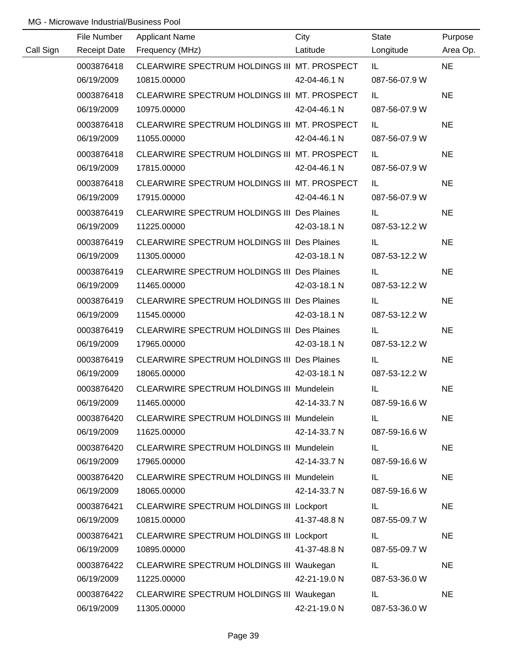|           | File Number | <b>Applicant Name</b>                              | City         | <b>State</b>            | Purpose   |
|-----------|-------------|----------------------------------------------------|--------------|-------------------------|-----------|
| Call Sign |             | Receipt Date Frequency (MHz)                       | Latitude     | Longitude               | Area Op.  |
|           | 0003876418  | CLEARWIRE SPECTRUM HOLDINGS III MT. PROSPECT       |              | <b>IL</b> and the state | <b>NE</b> |
|           | 06/19/2009  | 10815.00000                                        | 42-04-46.1 N | 087-56-07.9 W           |           |
|           | 0003876418  | CLEARWIRE SPECTRUM HOLDINGS III MT. PROSPECT       |              | IL.                     | <b>NE</b> |
|           | 06/19/2009  | 10975.00000                                        | 42-04-46.1 N | 087-56-07.9 W           |           |
|           | 0003876418  | CLEARWIRE SPECTRUM HOLDINGS III MT. PROSPECT       |              | IL.                     | <b>NE</b> |
|           | 06/19/2009  | 11055.00000                                        | 42-04-46.1 N | 087-56-07.9 W           |           |
|           | 0003876418  | CLEARWIRE SPECTRUM HOLDINGS III MT. PROSPECT       |              | IL.                     | <b>NE</b> |
|           | 06/19/2009  | 17815.00000                                        | 42-04-46.1 N | 087-56-07.9 W           |           |
|           | 0003876418  | CLEARWIRE SPECTRUM HOLDINGS III MT. PROSPECT       |              | IL.                     | <b>NE</b> |
|           | 06/19/2009  | 17915.00000                                        | 42-04-46.1 N | 087-56-07.9 W           |           |
|           | 0003876419  | <b>CLEARWIRE SPECTRUM HOLDINGS III Des Plaines</b> |              | IL.                     | <b>NE</b> |
|           | 06/19/2009  | 11225.00000                                        | 42-03-18.1 N | 087-53-12.2 W           |           |
|           | 0003876419  | CLEARWIRE SPECTRUM HOLDINGS III Des Plaines        |              | IL.                     | <b>NE</b> |
|           | 06/19/2009  | 11305.00000                                        | 42-03-18.1 N | 087-53-12.2 W           |           |
|           | 0003876419  | CLEARWIRE SPECTRUM HOLDINGS III Des Plaines        |              | IL.                     | <b>NE</b> |
|           | 06/19/2009  | 11465.00000                                        | 42-03-18.1 N | 087-53-12.2 W           |           |
|           | 0003876419  | <b>CLEARWIRE SPECTRUM HOLDINGS III Des Plaines</b> |              | IL.                     | <b>NE</b> |
|           | 06/19/2009  | 11545.00000                                        | 42-03-18.1 N | 087-53-12.2 W           |           |
|           | 0003876419  | <b>CLEARWIRE SPECTRUM HOLDINGS III Des Plaines</b> |              | IL.                     | <b>NE</b> |
|           | 06/19/2009  | 17965.00000                                        | 42-03-18.1 N | 087-53-12.2 W           |           |
|           | 0003876419  | CLEARWIRE SPECTRUM HOLDINGS III Des Plaines        |              | IL.                     | <b>NE</b> |
|           | 06/19/2009  | 18065.00000                                        | 42-03-18.1 N | 087-53-12.2 W           |           |
|           | 0003876420  | CLEARWIRE SPECTRUM HOLDINGS III Mundelein          |              | IL.                     | <b>NE</b> |
|           | 06/19/2009  | 11465.00000                                        | 42-14-33.7 N | 087-59-16.6 W           |           |
|           | 0003876420  | CLEARWIRE SPECTRUM HOLDINGS III Mundelein          |              | IL                      | <b>NE</b> |
|           | 06/19/2009  | 11625.00000                                        | 42-14-33.7 N | 087-59-16.6 W           |           |
|           | 0003876420  | CLEARWIRE SPECTRUM HOLDINGS III Mundelein          |              | IL.                     | <b>NE</b> |
|           | 06/19/2009  | 17965.00000                                        | 42-14-33.7 N | 087-59-16.6 W           |           |
|           | 0003876420  | CLEARWIRE SPECTRUM HOLDINGS III Mundelein          |              | IL                      | <b>NE</b> |
|           | 06/19/2009  | 18065.00000                                        | 42-14-33.7 N | 087-59-16.6 W           |           |
|           | 0003876421  | CLEARWIRE SPECTRUM HOLDINGS III Lockport           |              | IL.                     | <b>NE</b> |
|           | 06/19/2009  | 10815.00000                                        | 41-37-48.8 N | 087-55-09.7 W           |           |
|           | 0003876421  | CLEARWIRE SPECTRUM HOLDINGS III Lockport           |              | IL                      | <b>NE</b> |
|           | 06/19/2009  | 10895.00000                                        | 41-37-48.8 N | 087-55-09.7 W           |           |
|           | 0003876422  | CLEARWIRE SPECTRUM HOLDINGS III Waukegan           |              | IL                      | <b>NE</b> |
|           | 06/19/2009  | 11225.00000                                        | 42-21-19.0 N | 087-53-36.0 W           |           |
|           | 0003876422  | CLEARWIRE SPECTRUM HOLDINGS III Waukegan           |              | IL                      | <b>NE</b> |
|           | 06/19/2009  | 11305.00000                                        | 42-21-19.0 N | 087-53-36.0 W           |           |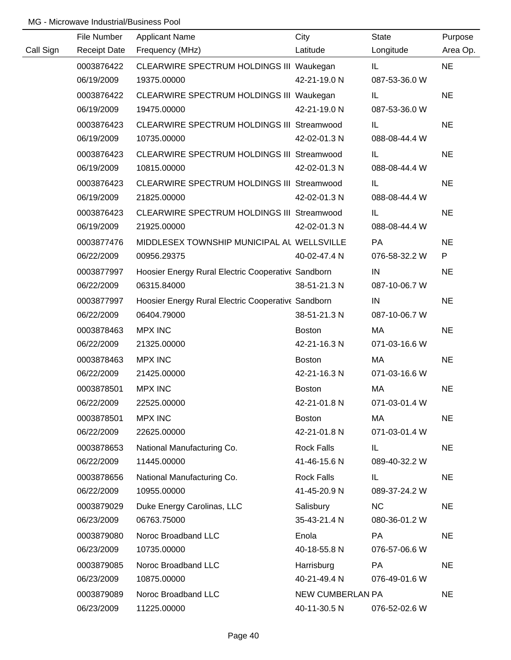|           | File Number         | <b>Applicant Name</b>                              | City                    | <b>State</b>  | Purpose   |
|-----------|---------------------|----------------------------------------------------|-------------------------|---------------|-----------|
| Call Sign | <b>Receipt Date</b> | Frequency (MHz)                                    | Latitude                | Longitude     | Area Op.  |
|           | 0003876422          | CLEARWIRE SPECTRUM HOLDINGS III Waukegan           |                         | IL.           | <b>NE</b> |
|           | 06/19/2009          | 19375.00000                                        | 42-21-19.0 N            | 087-53-36.0 W |           |
|           | 0003876422          | CLEARWIRE SPECTRUM HOLDINGS III Waukegan           |                         | IL            | <b>NE</b> |
|           | 06/19/2009          | 19475.00000                                        | 42-21-19.0 N            | 087-53-36.0 W |           |
|           | 0003876423          | CLEARWIRE SPECTRUM HOLDINGS III Streamwood         |                         | IL.           | <b>NE</b> |
|           | 06/19/2009          | 10735.00000                                        | 42-02-01.3 N            | 088-08-44.4 W |           |
|           | 0003876423          | CLEARWIRE SPECTRUM HOLDINGS III Streamwood         |                         | IL.           | <b>NE</b> |
|           | 06/19/2009          | 10815.00000                                        | 42-02-01.3 N            | 088-08-44.4 W |           |
|           | 0003876423          | CLEARWIRE SPECTRUM HOLDINGS III Streamwood         |                         | IL            | <b>NE</b> |
|           | 06/19/2009          | 21825.00000                                        | 42-02-01.3 N            | 088-08-44.4 W |           |
|           | 0003876423          | CLEARWIRE SPECTRUM HOLDINGS III Streamwood         |                         | IL.           | <b>NE</b> |
|           | 06/19/2009          | 21925.00000                                        | 42-02-01.3 N            | 088-08-44.4 W |           |
|           | 0003877476          | MIDDLESEX TOWNSHIP MUNICIPAL AL WELLSVILLE         |                         | PA            | <b>NE</b> |
|           | 06/22/2009          | 00956.29375                                        | 40-02-47.4 N            | 076-58-32.2 W | P         |
|           | 0003877997          | Hoosier Energy Rural Electric Cooperative Sandborn |                         | IN            | <b>NE</b> |
|           | 06/22/2009          | 06315.84000                                        | 38-51-21.3 N            | 087-10-06.7 W |           |
|           | 0003877997          | Hoosier Energy Rural Electric Cooperative Sandborn |                         | IN            | <b>NE</b> |
|           | 06/22/2009          | 06404.79000                                        | 38-51-21.3 N            | 087-10-06.7 W |           |
|           | 0003878463          | <b>MPX INC</b>                                     | <b>Boston</b>           | MA            | <b>NE</b> |
|           | 06/22/2009          | 21325.00000                                        | 42-21-16.3 N            | 071-03-16.6 W |           |
|           | 0003878463          | <b>MPX INC</b>                                     | <b>Boston</b>           | MA            | <b>NE</b> |
|           | 06/22/2009          | 21425.00000                                        | 42-21-16.3 N            | 071-03-16.6 W |           |
|           | 0003878501          | <b>MPX INC</b>                                     | Boston                  | MA            | <b>NE</b> |
|           | 06/22/2009          | 22525.00000                                        | 42-21-01.8 N            | 071-03-01.4 W |           |
|           | 0003878501          | <b>MPX INC</b>                                     | <b>Boston</b>           | МA            | <b>NE</b> |
|           | 06/22/2009          | 22625.00000                                        | 42-21-01.8 N            | 071-03-01.4 W |           |
|           | 0003878653          | National Manufacturing Co.                         | <b>Rock Falls</b>       | IL.           | <b>NE</b> |
|           | 06/22/2009          | 11445.00000                                        | 41-46-15.6 N            | 089-40-32.2 W |           |
|           | 0003878656          | National Manufacturing Co.                         | <b>Rock Falls</b>       | IL.           | <b>NE</b> |
|           | 06/22/2009          | 10955.00000                                        | 41-45-20.9 N            | 089-37-24.2 W |           |
|           | 0003879029          | Duke Energy Carolinas, LLC                         | Salisbury               | <b>NC</b>     | <b>NE</b> |
|           | 06/23/2009          | 06763.75000                                        | 35-43-21.4 N            | 080-36-01.2 W |           |
|           | 0003879080          | Noroc Broadband LLC                                | Enola                   | PA            | <b>NE</b> |
|           | 06/23/2009          | 10735.00000                                        | 40-18-55.8 N            | 076-57-06.6 W |           |
|           | 0003879085          | Noroc Broadband LLC                                | Harrisburg              | PA            | <b>NE</b> |
|           | 06/23/2009          | 10875.00000                                        | 40-21-49.4 N            | 076-49-01.6 W |           |
|           | 0003879089          | Noroc Broadband LLC                                | <b>NEW CUMBERLAN PA</b> |               | <b>NE</b> |
|           | 06/23/2009          | 11225.00000                                        | 40-11-30.5 N            | 076-52-02.6 W |           |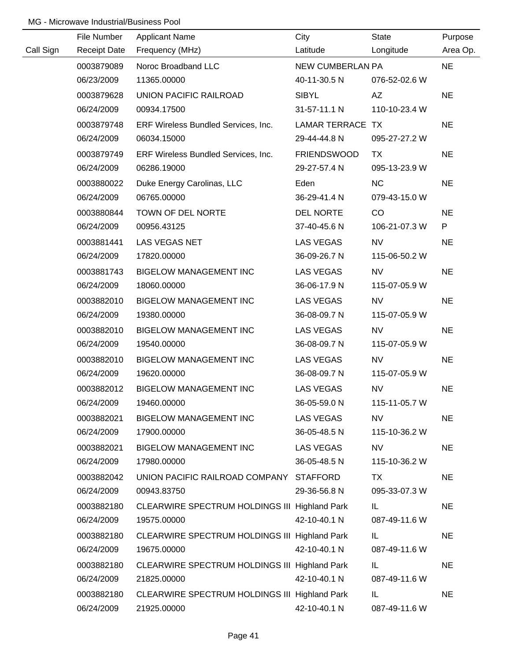|           | File Number         | <b>Applicant Name</b>                         | City               | <b>State</b>  | Purpose   |
|-----------|---------------------|-----------------------------------------------|--------------------|---------------|-----------|
| Call Sign | <b>Receipt Date</b> | Frequency (MHz)                               | Latitude           | Longitude     | Area Op.  |
|           | 0003879089          | Noroc Broadband LLC                           | NEW CUMBERLAN PA   |               | <b>NE</b> |
|           | 06/23/2009          | 11365.00000                                   | 40-11-30.5 N       | 076-52-02.6 W |           |
|           | 0003879628          | UNION PACIFIC RAILROAD                        | <b>SIBYL</b>       | AZ            | <b>NE</b> |
|           | 06/24/2009          | 00934.17500                                   | 31-57-11.1 N       | 110-10-23.4 W |           |
|           | 0003879748          | ERF Wireless Bundled Services, Inc.           | LAMAR TERRACE TX   |               | <b>NE</b> |
|           | 06/24/2009          | 06034.15000                                   | 29-44-44.8 N       | 095-27-27.2 W |           |
|           | 0003879749          | ERF Wireless Bundled Services, Inc.           | <b>FRIENDSWOOD</b> | TX.           | <b>NE</b> |
|           | 06/24/2009          | 06286.19000                                   | 29-27-57.4 N       | 095-13-23.9 W |           |
|           | 0003880022          | Duke Energy Carolinas, LLC                    | Eden               | <b>NC</b>     | <b>NE</b> |
|           | 06/24/2009          | 06765.00000                                   | 36-29-41.4 N       | 079-43-15.0 W |           |
|           | 0003880844          | TOWN OF DEL NORTE                             | DEL NORTE          | CO            | <b>NE</b> |
|           | 06/24/2009          | 00956.43125                                   | 37-40-45.6 N       | 106-21-07.3 W | P         |
|           | 0003881441          | LAS VEGAS NET                                 | LAS VEGAS          | <b>NV</b>     | <b>NE</b> |
|           | 06/24/2009          | 17820.00000                                   | 36-09-26.7 N       | 115-06-50.2 W |           |
|           | 0003881743          | <b>BIGELOW MANAGEMENT INC</b>                 | LAS VEGAS          | <b>NV</b>     | <b>NE</b> |
|           | 06/24/2009          | 18060.00000                                   | 36-06-17.9 N       | 115-07-05.9 W |           |
|           | 0003882010          | <b>BIGELOW MANAGEMENT INC</b>                 | LAS VEGAS          | <b>NV</b>     | <b>NE</b> |
|           | 06/24/2009          | 19380.00000                                   | 36-08-09.7 N       | 115-07-05.9 W |           |
|           | 0003882010          | <b>BIGELOW MANAGEMENT INC</b>                 | LAS VEGAS          | <b>NV</b>     | <b>NE</b> |
|           | 06/24/2009          | 19540.00000                                   | 36-08-09.7 N       | 115-07-05.9 W |           |
|           | 0003882010          | <b>BIGELOW MANAGEMENT INC</b>                 | <b>LAS VEGAS</b>   | <b>NV</b>     | <b>NE</b> |
|           | 06/24/2009          | 19620.00000                                   | 36-08-09.7 N       | 115-07-05.9 W |           |
|           | 0003882012          | <b>BIGELOW MANAGEMENT INC</b>                 | <b>LAS VEGAS</b>   | <b>NV</b>     | <b>NE</b> |
|           | 06/24/2009          | 19460.00000                                   | 36-05-59.0 N       | 115-11-05.7 W |           |
|           | 0003882021          | <b>BIGELOW MANAGEMENT INC</b>                 | <b>LAS VEGAS</b>   | <b>NV</b>     | <b>NE</b> |
|           | 06/24/2009          | 17900.00000                                   | 36-05-48.5 N       | 115-10-36.2 W |           |
|           | 0003882021          | <b>BIGELOW MANAGEMENT INC</b>                 | LAS VEGAS          | <b>NV</b>     | <b>NE</b> |
|           | 06/24/2009          | 17980.00000                                   | 36-05-48.5 N       | 115-10-36.2 W |           |
|           | 0003882042          | UNION PACIFIC RAILROAD COMPANY STAFFORD       |                    | TX            | <b>NE</b> |
|           | 06/24/2009          | 00943.83750                                   | 29-36-56.8 N       | 095-33-07.3 W |           |
|           | 0003882180          | CLEARWIRE SPECTRUM HOLDINGS III Highland Park |                    | IL.           | <b>NE</b> |
|           | 06/24/2009          | 19575.00000                                   | 42-10-40.1 N       | 087-49-11.6 W |           |
|           | 0003882180          | CLEARWIRE SPECTRUM HOLDINGS III Highland Park |                    | IL.           | <b>NE</b> |
|           | 06/24/2009          | 19675.00000                                   | 42-10-40.1 N       | 087-49-11.6 W |           |
|           | 0003882180          | CLEARWIRE SPECTRUM HOLDINGS III Highland Park |                    | IL            | <b>NE</b> |
|           | 06/24/2009          | 21825.00000                                   | 42-10-40.1 N       | 087-49-11.6 W |           |
|           | 0003882180          | CLEARWIRE SPECTRUM HOLDINGS III Highland Park |                    | IL            | <b>NE</b> |
|           | 06/24/2009          | 21925.00000                                   | 42-10-40.1 N       | 087-49-11.6 W |           |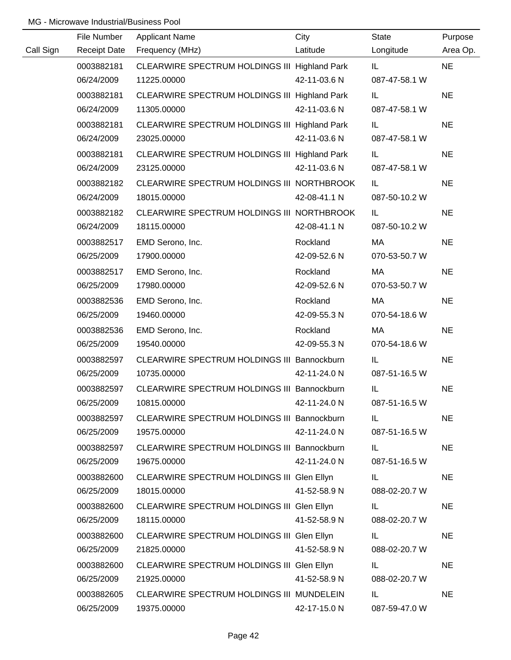|           | File Number         | <b>Applicant Name</b>                         | City         | <b>State</b>  | Purpose   |
|-----------|---------------------|-----------------------------------------------|--------------|---------------|-----------|
| Call Sign | <b>Receipt Date</b> | Frequency (MHz)                               | Latitude     | Longitude     | Area Op.  |
|           | 0003882181          | CLEARWIRE SPECTRUM HOLDINGS III Highland Park |              | IL.           | <b>NE</b> |
|           | 06/24/2009          | 11225.00000                                   | 42-11-03.6 N | 087-47-58.1 W |           |
|           | 0003882181          | CLEARWIRE SPECTRUM HOLDINGS III Highland Park |              | IL.           | <b>NE</b> |
|           | 06/24/2009          | 11305.00000                                   | 42-11-03.6 N | 087-47-58.1 W |           |
|           | 0003882181          | CLEARWIRE SPECTRUM HOLDINGS III Highland Park |              | IL.           | <b>NE</b> |
|           | 06/24/2009          | 23025.00000                                   | 42-11-03.6 N | 087-47-58.1 W |           |
|           | 0003882181          | CLEARWIRE SPECTRUM HOLDINGS III Highland Park |              | IL.           | <b>NE</b> |
|           | 06/24/2009          | 23125.00000                                   | 42-11-03.6 N | 087-47-58.1 W |           |
|           | 0003882182          | CLEARWIRE SPECTRUM HOLDINGS III NORTHBROOK    |              | IL.           | <b>NE</b> |
|           | 06/24/2009          | 18015.00000                                   | 42-08-41.1 N | 087-50-10.2 W |           |
|           | 0003882182          | CLEARWIRE SPECTRUM HOLDINGS III NORTHBROOK    |              | IL.           | <b>NE</b> |
|           | 06/24/2009          | 18115.00000                                   | 42-08-41.1 N | 087-50-10.2 W |           |
|           | 0003882517          | EMD Serono, Inc.                              | Rockland     | МA            | <b>NE</b> |
|           | 06/25/2009          | 17900.00000                                   | 42-09-52.6 N | 070-53-50.7 W |           |
|           | 0003882517          | EMD Serono, Inc.                              | Rockland     | МA            | <b>NE</b> |
|           | 06/25/2009          | 17980.00000                                   | 42-09-52.6 N | 070-53-50.7 W |           |
|           | 0003882536          | EMD Serono, Inc.                              | Rockland     | МA            | <b>NE</b> |
|           | 06/25/2009          | 19460.00000                                   | 42-09-55.3 N | 070-54-18.6 W |           |
|           | 0003882536          | EMD Serono, Inc.                              | Rockland     | MA            | <b>NE</b> |
|           | 06/25/2009          | 19540.00000                                   | 42-09-55.3 N | 070-54-18.6 W |           |
|           | 0003882597          | CLEARWIRE SPECTRUM HOLDINGS III Bannockburn   |              | IL            | <b>NE</b> |
|           | 06/25/2009          | 10735.00000                                   | 42-11-24.0 N | 087-51-16.5 W |           |
|           | 0003882597          | CLEARWIRE SPECTRUM HOLDINGS III Bannockburn   |              | IL            | <b>NE</b> |
|           | 06/25/2009          | 10815.00000                                   | 42-11-24.0 N | 087-51-16.5 W |           |
|           | 0003882597          | CLEARWIRE SPECTRUM HOLDINGS III Bannockburn   |              | IL.           | <b>NE</b> |
|           | 06/25/2009          | 19575.00000                                   | 42-11-24.0 N | 087-51-16.5 W |           |
|           | 0003882597          | CLEARWIRE SPECTRUM HOLDINGS III Bannockburn   |              | IL.           | <b>NE</b> |
|           | 06/25/2009          | 19675.00000                                   | 42-11-24.0 N | 087-51-16.5 W |           |
|           | 0003882600          | CLEARWIRE SPECTRUM HOLDINGS III Glen Ellyn    |              | IL.           | <b>NE</b> |
|           | 06/25/2009          | 18015.00000                                   | 41-52-58.9 N | 088-02-20.7 W |           |
|           | 0003882600          | CLEARWIRE SPECTRUM HOLDINGS III Glen Ellyn    |              | IL.           | <b>NE</b> |
|           | 06/25/2009          | 18115.00000                                   | 41-52-58.9 N | 088-02-20.7 W |           |
|           | 0003882600          | CLEARWIRE SPECTRUM HOLDINGS III Glen Ellyn    |              | IL.           | <b>NE</b> |
|           | 06/25/2009          | 21825.00000                                   | 41-52-58.9 N | 088-02-20.7 W |           |
|           | 0003882600          | CLEARWIRE SPECTRUM HOLDINGS III Glen Ellyn    |              | IL.           | <b>NE</b> |
|           | 06/25/2009          | 21925.00000                                   | 41-52-58.9 N | 088-02-20.7 W |           |
|           | 0003882605          | CLEARWIRE SPECTRUM HOLDINGS III MUNDELEIN     |              | IL.           | <b>NE</b> |
|           | 06/25/2009          | 19375.00000                                   | 42-17-15.0 N | 087-59-47.0 W |           |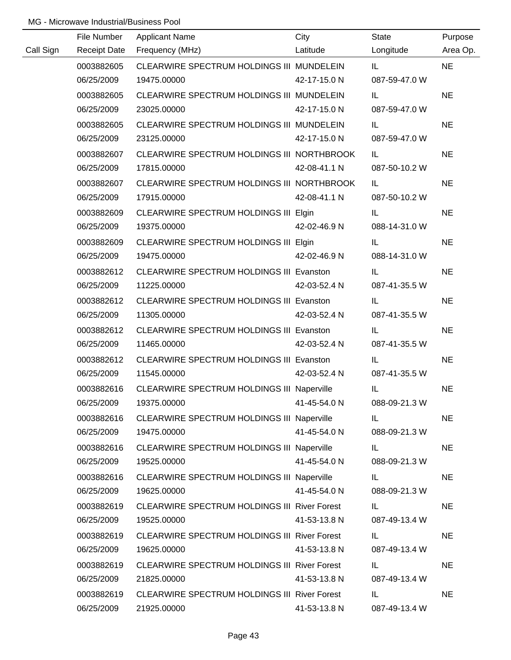|           | File Number         | <b>Applicant Name</b>                               | City         | <b>State</b>  | Purpose   |
|-----------|---------------------|-----------------------------------------------------|--------------|---------------|-----------|
| Call Sign | <b>Receipt Date</b> | Frequency (MHz)                                     | Latitude     | Longitude     | Area Op.  |
|           | 0003882605          | CLEARWIRE SPECTRUM HOLDINGS III MUNDELEIN           |              | IL.           | <b>NE</b> |
|           | 06/25/2009          | 19475.00000                                         | 42-17-15.0 N | 087-59-47.0 W |           |
|           | 0003882605          | CLEARWIRE SPECTRUM HOLDINGS III MUNDELEIN           |              | IL.           | <b>NE</b> |
|           | 06/25/2009          | 23025.00000                                         | 42-17-15.0 N | 087-59-47.0 W |           |
|           | 0003882605          | CLEARWIRE SPECTRUM HOLDINGS III MUNDELEIN           |              | IL.           | <b>NE</b> |
|           | 06/25/2009          | 23125.00000                                         | 42-17-15.0 N | 087-59-47.0 W |           |
|           | 0003882607          | CLEARWIRE SPECTRUM HOLDINGS III NORTHBROOK          |              | IL.           | <b>NE</b> |
|           | 06/25/2009          | 17815.00000                                         | 42-08-41.1 N | 087-50-10.2 W |           |
|           | 0003882607          | CLEARWIRE SPECTRUM HOLDINGS III NORTHBROOK          |              | IL.           | <b>NE</b> |
|           | 06/25/2009          | 17915.00000                                         | 42-08-41.1 N | 087-50-10.2 W |           |
|           | 0003882609          | CLEARWIRE SPECTRUM HOLDINGS III Elgin               |              | IL.           | <b>NE</b> |
|           | 06/25/2009          | 19375.00000                                         | 42-02-46.9 N | 088-14-31.0 W |           |
|           | 0003882609          | CLEARWIRE SPECTRUM HOLDINGS III Elgin               |              | IL.           | <b>NE</b> |
|           | 06/25/2009          | 19475.00000                                         | 42-02-46.9 N | 088-14-31.0 W |           |
|           | 0003882612          | CLEARWIRE SPECTRUM HOLDINGS III Evanston            |              | IL.           | <b>NE</b> |
|           | 06/25/2009          | 11225.00000                                         | 42-03-52.4 N | 087-41-35.5 W |           |
|           | 0003882612          | CLEARWIRE SPECTRUM HOLDINGS III Evanston            |              | IL.           | <b>NE</b> |
|           | 06/25/2009          | 11305.00000                                         | 42-03-52.4 N | 087-41-35.5 W |           |
|           | 0003882612          | CLEARWIRE SPECTRUM HOLDINGS III Evanston            |              | IL.           | <b>NE</b> |
|           | 06/25/2009          | 11465.00000                                         | 42-03-52.4 N | 087-41-35.5 W |           |
|           | 0003882612          | CLEARWIRE SPECTRUM HOLDINGS III Evanston            |              | IL.           | <b>NE</b> |
|           | 06/25/2009          | 11545.00000                                         | 42-03-52.4 N | 087-41-35.5 W |           |
|           | 0003882616          | CLEARWIRE SPECTRUM HOLDINGS III Naperville          |              | IL            | <b>NE</b> |
|           | 06/25/2009          | 19375.00000                                         | 41-45-54.0 N | 088-09-21.3 W |           |
|           | 0003882616          | CLEARWIRE SPECTRUM HOLDINGS III Naperville          |              | IL.           | <b>NE</b> |
|           | 06/25/2009          | 19475.00000                                         | 41-45-54.0 N | 088-09-21.3 W |           |
|           | 0003882616          | CLEARWIRE SPECTRUM HOLDINGS III Naperville          |              | IL.           | <b>NE</b> |
|           | 06/25/2009          | 19525.00000                                         | 41-45-54.0 N | 088-09-21.3 W |           |
|           | 0003882616          | CLEARWIRE SPECTRUM HOLDINGS III Naperville          |              | IL.           | <b>NE</b> |
|           | 06/25/2009          | 19625.00000                                         | 41-45-54.0 N | 088-09-21.3 W |           |
|           | 0003882619          | <b>CLEARWIRE SPECTRUM HOLDINGS III River Forest</b> |              | IL.           | <b>NE</b> |
|           | 06/25/2009          | 19525.00000                                         | 41-53-13.8 N | 087-49-13.4 W |           |
|           | 0003882619          | CLEARWIRE SPECTRUM HOLDINGS III River Forest        |              | IL            | <b>NE</b> |
|           | 06/25/2009          | 19625.00000                                         | 41-53-13.8 N | 087-49-13.4 W |           |
|           | 0003882619          | <b>CLEARWIRE SPECTRUM HOLDINGS III River Forest</b> |              | IL.           | <b>NE</b> |
|           | 06/25/2009          | 21825.00000                                         | 41-53-13.8 N | 087-49-13.4 W |           |
|           | 0003882619          | <b>CLEARWIRE SPECTRUM HOLDINGS III River Forest</b> |              | IL            | <b>NE</b> |
|           | 06/25/2009          | 21925.00000                                         | 41-53-13.8 N | 087-49-13.4 W |           |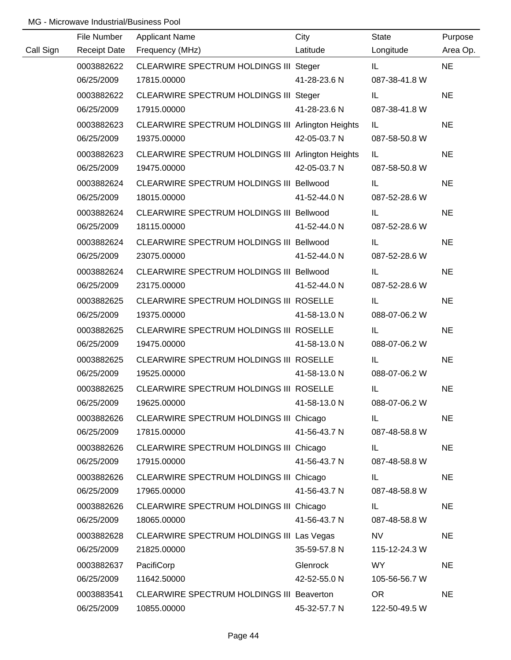|           | File Number         | <b>Applicant Name</b>                             | City         | State         | Purpose   |
|-----------|---------------------|---------------------------------------------------|--------------|---------------|-----------|
| Call Sign | <b>Receipt Date</b> | Frequency (MHz)                                   | Latitude     | Longitude     | Area Op.  |
|           | 0003882622          | CLEARWIRE SPECTRUM HOLDINGS III Steger            |              | IL.           | <b>NE</b> |
|           | 06/25/2009          | 17815.00000                                       | 41-28-23.6 N | 087-38-41.8 W |           |
|           | 0003882622          | CLEARWIRE SPECTRUM HOLDINGS III Steger            |              | IL.           | <b>NE</b> |
|           | 06/25/2009          | 17915.00000                                       | 41-28-23.6 N | 087-38-41.8 W |           |
|           | 0003882623          | CLEARWIRE SPECTRUM HOLDINGS III Arlington Heights |              | IL.           | <b>NE</b> |
|           | 06/25/2009          | 19375.00000                                       | 42-05-03.7 N | 087-58-50.8 W |           |
|           | 0003882623          | CLEARWIRE SPECTRUM HOLDINGS III Arlington Heights |              | IL.           | <b>NE</b> |
|           | 06/25/2009          | 19475.00000                                       | 42-05-03.7 N | 087-58-50.8 W |           |
|           | 0003882624          | CLEARWIRE SPECTRUM HOLDINGS III Bellwood          |              | IL.           | <b>NE</b> |
|           | 06/25/2009          | 18015.00000                                       | 41-52-44.0 N | 087-52-28.6 W |           |
|           | 0003882624          | CLEARWIRE SPECTRUM HOLDINGS III Bellwood          |              | IL.           | <b>NE</b> |
|           | 06/25/2009          | 18115.00000                                       | 41-52-44.0 N | 087-52-28.6 W |           |
|           | 0003882624          | CLEARWIRE SPECTRUM HOLDINGS III Bellwood          |              | IL.           | <b>NE</b> |
|           | 06/25/2009          | 23075.00000                                       | 41-52-44.0 N | 087-52-28.6 W |           |
|           | 0003882624          | CLEARWIRE SPECTRUM HOLDINGS III Bellwood          |              | IL            | <b>NE</b> |
|           | 06/25/2009          | 23175.00000                                       | 41-52-44.0 N | 087-52-28.6 W |           |
|           | 0003882625          | CLEARWIRE SPECTRUM HOLDINGS III ROSELLE           |              | IL.           | <b>NE</b> |
|           | 06/25/2009          | 19375.00000                                       | 41-58-13.0 N | 088-07-06.2 W |           |
|           | 0003882625          | CLEARWIRE SPECTRUM HOLDINGS III ROSELLE           |              | IL            | <b>NE</b> |
|           | 06/25/2009          | 19475.00000                                       | 41-58-13.0 N | 088-07-06.2 W |           |
|           | 0003882625          | CLEARWIRE SPECTRUM HOLDINGS III ROSELLE           |              | IL            | <b>NE</b> |
|           | 06/25/2009          | 19525.00000                                       | 41-58-13.0 N | 088-07-06.2 W |           |
|           | 0003882625          | CLEARWIRE SPECTRUM HOLDINGS III ROSELLE           |              | IL.           | <b>NE</b> |
|           | 06/25/2009          | 19625.00000                                       | 41-58-13.0 N | 088-07-06.2 W |           |
|           | 0003882626          | CLEARWIRE SPECTRUM HOLDINGS III Chicago           |              | IL.           | <b>NE</b> |
|           | 06/25/2009          | 17815.00000                                       | 41-56-43.7 N | 087-48-58.8 W |           |
|           | 0003882626          | CLEARWIRE SPECTRUM HOLDINGS III Chicago           |              | IL.           | <b>NE</b> |
|           | 06/25/2009          | 17915.00000                                       | 41-56-43.7 N | 087-48-58.8 W |           |
|           | 0003882626          | CLEARWIRE SPECTRUM HOLDINGS III Chicago           |              | IL.           | <b>NE</b> |
|           | 06/25/2009          | 17965.00000                                       | 41-56-43.7 N | 087-48-58.8 W |           |
|           | 0003882626          | CLEARWIRE SPECTRUM HOLDINGS III Chicago           |              | IL.           | <b>NE</b> |
|           | 06/25/2009          | 18065.00000                                       | 41-56-43.7 N | 087-48-58.8 W |           |
|           | 0003882628          | CLEARWIRE SPECTRUM HOLDINGS III Las Vegas         |              | <b>NV</b>     | <b>NE</b> |
|           | 06/25/2009          | 21825.00000                                       | 35-59-57.8 N | 115-12-24.3 W |           |
|           | 0003882637          | PacifiCorp                                        | Glenrock     | WY            | <b>NE</b> |
|           | 06/25/2009          | 11642.50000                                       | 42-52-55.0 N | 105-56-56.7 W |           |
|           | 0003883541          | CLEARWIRE SPECTRUM HOLDINGS III Beaverton         |              | <b>OR</b>     | <b>NE</b> |
|           | 06/25/2009          | 10855.00000                                       | 45-32-57.7 N | 122-50-49.5 W |           |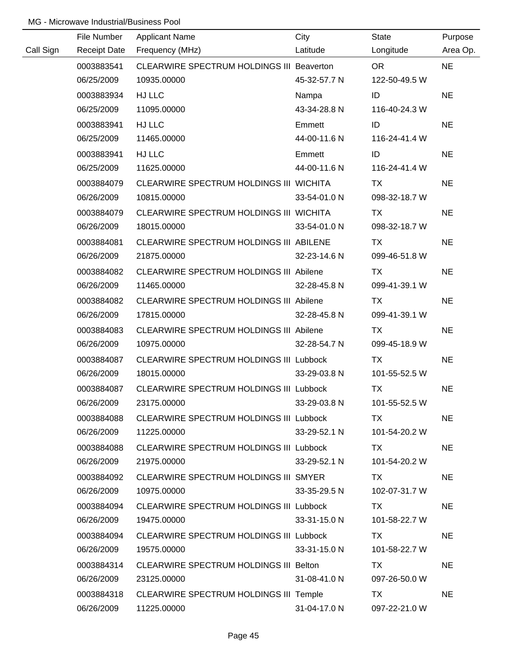|           | File Number         | <b>Applicant Name</b>                          | City         | State         | Purpose   |
|-----------|---------------------|------------------------------------------------|--------------|---------------|-----------|
| Call Sign | <b>Receipt Date</b> | Frequency (MHz)                                | Latitude     | Longitude     | Area Op.  |
|           | 0003883541          | CLEARWIRE SPECTRUM HOLDINGS III Beaverton      |              | OR.           | <b>NE</b> |
|           | 06/25/2009          | 10935.00000                                    | 45-32-57.7 N | 122-50-49.5 W |           |
|           | 0003883934          | HJ LLC                                         | Nampa        | ID            | <b>NE</b> |
|           | 06/25/2009          | 11095.00000                                    | 43-34-28.8 N | 116-40-24.3 W |           |
|           | 0003883941          | HJ LLC                                         | Emmett       | ID            | <b>NE</b> |
|           | 06/25/2009          | 11465.00000                                    | 44-00-11.6 N | 116-24-41.4 W |           |
|           | 0003883941          | HJ LLC                                         | Emmett       | ID            | <b>NE</b> |
|           | 06/25/2009          | 11625.00000                                    | 44-00-11.6 N | 116-24-41.4 W |           |
|           | 0003884079          | CLEARWIRE SPECTRUM HOLDINGS III WICHITA        |              | TX            | <b>NE</b> |
|           | 06/26/2009          | 10815.00000                                    | 33-54-01.0 N | 098-32-18.7 W |           |
|           | 0003884079          | CLEARWIRE SPECTRUM HOLDINGS III WICHITA        |              | TX            | <b>NE</b> |
|           | 06/26/2009          | 18015.00000                                    | 33-54-01.0 N | 098-32-18.7 W |           |
|           | 0003884081          | CLEARWIRE SPECTRUM HOLDINGS III ABILENE        |              | TX            | <b>NE</b> |
|           | 06/26/2009          | 21875.00000                                    | 32-23-14.6 N | 099-46-51.8 W |           |
|           | 0003884082          | CLEARWIRE SPECTRUM HOLDINGS III Abilene        |              | TX            | <b>NE</b> |
|           | 06/26/2009          | 11465.00000                                    | 32-28-45.8 N | 099-41-39.1 W |           |
|           | 0003884082          | <b>CLEARWIRE SPECTRUM HOLDINGS III Abilene</b> |              | TX            | <b>NE</b> |
|           | 06/26/2009          | 17815.00000                                    | 32-28-45.8 N | 099-41-39.1 W |           |
|           | 0003884083          | CLEARWIRE SPECTRUM HOLDINGS III Abilene        |              | <b>TX</b>     | <b>NE</b> |
|           | 06/26/2009          | 10975.00000                                    | 32-28-54.7 N | 099-45-18.9 W |           |
|           | 0003884087          | <b>CLEARWIRE SPECTRUM HOLDINGS III Lubbock</b> |              | <b>TX</b>     | <b>NE</b> |
|           | 06/26/2009          | 18015.00000                                    | 33-29-03.8 N | 101-55-52.5 W |           |
|           | 0003884087          | CLEARWIRE SPECTRUM HOLDINGS III Lubbock        |              | <b>TX</b>     | <b>NE</b> |
|           | 06/26/2009          | 23175.00000                                    | 33-29-03.8 N | 101-55-52.5 W |           |
|           | 0003884088          | CLEARWIRE SPECTRUM HOLDINGS III Lubbock        |              | TX.           | <b>NE</b> |
|           | 06/26/2009          | 11225.00000                                    | 33-29-52.1 N | 101-54-20.2 W |           |
|           | 0003884088          | CLEARWIRE SPECTRUM HOLDINGS III Lubbock        |              | TX            | <b>NE</b> |
|           | 06/26/2009          | 21975.00000                                    | 33-29-52.1 N | 101-54-20.2 W |           |
|           | 0003884092          | CLEARWIRE SPECTRUM HOLDINGS III SMYER          |              | TX.           | <b>NE</b> |
|           | 06/26/2009          | 10975.00000                                    | 33-35-29.5 N | 102-07-31.7 W |           |
|           | 0003884094          | <b>CLEARWIRE SPECTRUM HOLDINGS III Lubbock</b> |              | TX.           | <b>NE</b> |
|           | 06/26/2009          | 19475.00000                                    | 33-31-15.0 N | 101-58-22.7 W |           |
|           | 0003884094          | <b>CLEARWIRE SPECTRUM HOLDINGS III Lubbock</b> |              | TX.           | <b>NE</b> |
|           | 06/26/2009          | 19575.00000                                    | 33-31-15.0 N | 101-58-22.7 W |           |
|           | 0003884314          | CLEARWIRE SPECTRUM HOLDINGS III Belton         |              | TX            | <b>NE</b> |
|           | 06/26/2009          | 23125.00000                                    | 31-08-41.0 N | 097-26-50.0 W |           |
|           | 0003884318          | CLEARWIRE SPECTRUM HOLDINGS III Temple         |              | TX            | <b>NE</b> |
|           | 06/26/2009          | 11225.00000                                    | 31-04-17.0 N | 097-22-21.0 W |           |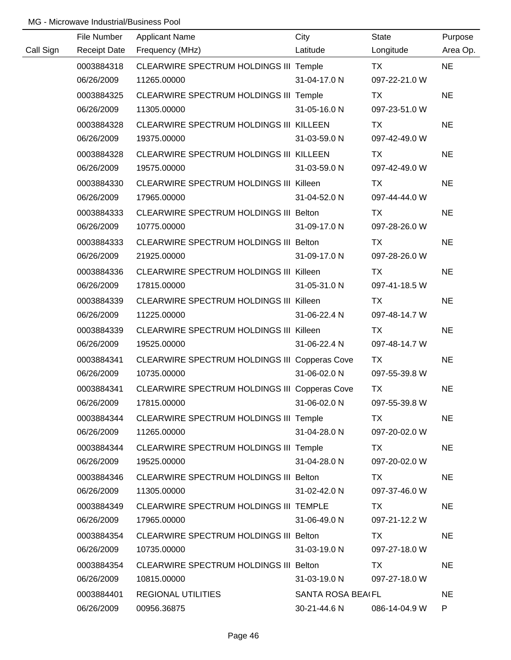|           | File Number         | <b>Applicant Name</b>                          | City                     | State         | Purpose   |
|-----------|---------------------|------------------------------------------------|--------------------------|---------------|-----------|
| Call Sign | <b>Receipt Date</b> | Frequency (MHz)                                | Latitude                 | Longitude     | Area Op.  |
|           | 0003884318          | CLEARWIRE SPECTRUM HOLDINGS III Temple         |                          | <b>TX</b>     | <b>NE</b> |
|           | 06/26/2009          | 11265.00000                                    | 31-04-17.0 N             | 097-22-21.0 W |           |
|           | 0003884325          | CLEARWIRE SPECTRUM HOLDINGS III Temple         |                          | <b>TX</b>     | <b>NE</b> |
|           | 06/26/2009          | 11305.00000                                    | 31-05-16.0 N             | 097-23-51.0 W |           |
|           | 0003884328          | CLEARWIRE SPECTRUM HOLDINGS III KILLEEN        |                          | TX            | <b>NE</b> |
|           | 06/26/2009          | 19375.00000                                    | 31-03-59.0 N             | 097-42-49.0 W |           |
|           | 0003884328          | CLEARWIRE SPECTRUM HOLDINGS III KILLEEN        |                          | TX            | <b>NE</b> |
|           | 06/26/2009          | 19575.00000                                    | 31-03-59.0 N             | 097-42-49.0 W |           |
|           | 0003884330          | CLEARWIRE SPECTRUM HOLDINGS III Killeen        |                          | TX            | <b>NE</b> |
|           | 06/26/2009          | 17965.00000                                    | 31-04-52.0 N             | 097-44-44.0 W |           |
|           | 0003884333          | CLEARWIRE SPECTRUM HOLDINGS III Belton         |                          | TX            | <b>NE</b> |
|           | 06/26/2009          | 10775.00000                                    | 31-09-17.0 N             | 097-28-26.0 W |           |
|           | 0003884333          | CLEARWIRE SPECTRUM HOLDINGS III Belton         |                          | TX            | <b>NE</b> |
|           | 06/26/2009          | 21925.00000                                    | 31-09-17.0 N             | 097-28-26.0 W |           |
|           | 0003884336          | CLEARWIRE SPECTRUM HOLDINGS III Killeen        |                          | TX            | <b>NE</b> |
|           | 06/26/2009          | 17815.00000                                    | 31-05-31.0 N             | 097-41-18.5 W |           |
|           | 0003884339          | <b>CLEARWIRE SPECTRUM HOLDINGS III Killeen</b> |                          | TX            | <b>NE</b> |
|           | 06/26/2009          | 11225.00000                                    | 31-06-22.4 N             | 097-48-14.7 W |           |
|           | 0003884339          | CLEARWIRE SPECTRUM HOLDINGS III Killeen        |                          | <b>TX</b>     | <b>NE</b> |
|           | 06/26/2009          | 19525.00000                                    | 31-06-22.4 N             | 097-48-14.7 W |           |
|           | 0003884341          | CLEARWIRE SPECTRUM HOLDINGS III Copperas Cove  |                          | <b>TX</b>     | <b>NE</b> |
|           | 06/26/2009          | 10735.00000                                    | 31-06-02.0 N             | 097-55-39.8 W |           |
|           | 0003884341          | CLEARWIRE SPECTRUM HOLDINGS III Copperas Cove  |                          | <b>TX</b>     | <b>NE</b> |
|           | 06/26/2009          | 17815.00000                                    | 31-06-02.0 N             | 097-55-39.8 W |           |
|           | 0003884344          | CLEARWIRE SPECTRUM HOLDINGS III Temple         |                          | TX.           | <b>NE</b> |
|           | 06/26/2009          | 11265.00000                                    | 31-04-28.0 N             | 097-20-02.0 W |           |
|           | 0003884344          | <b>CLEARWIRE SPECTRUM HOLDINGS III Temple</b>  |                          | TX.           | <b>NE</b> |
|           | 06/26/2009          | 19525.00000                                    | 31-04-28.0 N             | 097-20-02.0 W |           |
|           | 0003884346          | CLEARWIRE SPECTRUM HOLDINGS III Belton         |                          | TX            | <b>NE</b> |
|           | 06/26/2009          | 11305.00000                                    | 31-02-42.0 N             | 097-37-46.0 W |           |
|           | 0003884349          | CLEARWIRE SPECTRUM HOLDINGS III TEMPLE         |                          | TX.           | <b>NE</b> |
|           | 06/26/2009          | 17965.00000                                    | 31-06-49.0 N             | 097-21-12.2 W |           |
|           | 0003884354          | CLEARWIRE SPECTRUM HOLDINGS III Belton         |                          | TX.           | <b>NE</b> |
|           | 06/26/2009          | 10735.00000                                    | 31-03-19.0 N             | 097-27-18.0 W |           |
|           | 0003884354          | CLEARWIRE SPECTRUM HOLDINGS III Belton         |                          | TX            | <b>NE</b> |
|           | 06/26/2009          | 10815.00000                                    | 31-03-19.0 N             | 097-27-18.0 W |           |
|           | 0003884401          | <b>REGIONAL UTILITIES</b>                      | <b>SANTA ROSA BEAIFL</b> |               | <b>NE</b> |
|           | 06/26/2009          | 00956.36875                                    | 30-21-44.6 N             | 086-14-04.9 W | P.        |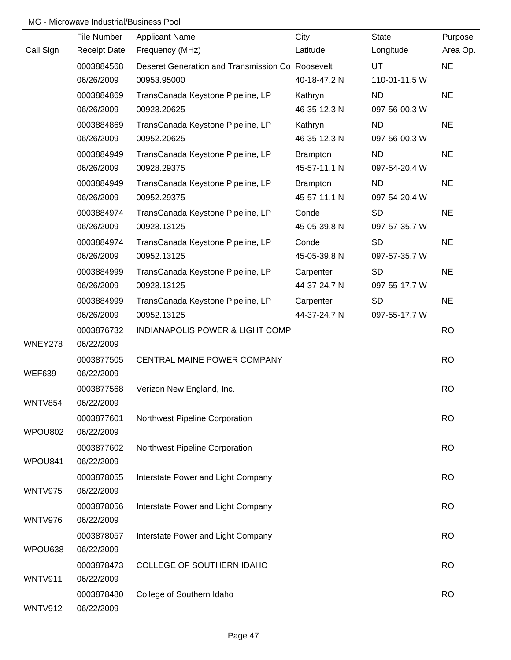|                | File Number         | <b>Applicant Name</b>                            | City            | State         | Purpose   |
|----------------|---------------------|--------------------------------------------------|-----------------|---------------|-----------|
| Call Sign      | <b>Receipt Date</b> | Frequency (MHz)                                  | Latitude        | Longitude     | Area Op.  |
|                | 0003884568          | Deseret Generation and Transmission Co Roosevelt |                 | <b>UT</b>     | <b>NE</b> |
|                | 06/26/2009          | 00953.95000                                      | 40-18-47.2 N    | 110-01-11.5 W |           |
|                | 0003884869          | TransCanada Keystone Pipeline, LP                | Kathryn         | <b>ND</b>     | <b>NE</b> |
|                | 06/26/2009          | 00928.20625                                      | 46-35-12.3 N    | 097-56-00.3 W |           |
|                | 0003884869          | TransCanada Keystone Pipeline, LP                | Kathryn         | <b>ND</b>     | <b>NE</b> |
|                | 06/26/2009          | 00952.20625                                      | 46-35-12.3 N    | 097-56-00.3 W |           |
|                | 0003884949          | TransCanada Keystone Pipeline, LP                | <b>Brampton</b> | <b>ND</b>     | <b>NE</b> |
|                | 06/26/2009          | 00928.29375                                      | 45-57-11.1 N    | 097-54-20.4 W |           |
|                | 0003884949          | TransCanada Keystone Pipeline, LP                | <b>Brampton</b> | <b>ND</b>     | <b>NE</b> |
|                | 06/26/2009          | 00952.29375                                      | 45-57-11.1 N    | 097-54-20.4 W |           |
|                | 0003884974          | TransCanada Keystone Pipeline, LP                | Conde           | <b>SD</b>     | <b>NE</b> |
|                | 06/26/2009          | 00928.13125                                      | 45-05-39.8 N    | 097-57-35.7 W |           |
|                | 0003884974          | TransCanada Keystone Pipeline, LP                | Conde           | <b>SD</b>     | <b>NE</b> |
|                | 06/26/2009          | 00952.13125                                      | 45-05-39.8 N    | 097-57-35.7 W |           |
|                | 0003884999          | TransCanada Keystone Pipeline, LP                | Carpenter       | <b>SD</b>     | <b>NE</b> |
|                | 06/26/2009          | 00928.13125                                      | 44-37-24.7 N    | 097-55-17.7 W |           |
|                | 0003884999          | TransCanada Keystone Pipeline, LP                | Carpenter       | <b>SD</b>     | <b>NE</b> |
|                | 06/26/2009          | 00952.13125                                      | 44-37-24.7 N    | 097-55-17.7 W |           |
|                | 0003876732          | <b>INDIANAPOLIS POWER &amp; LIGHT COMP</b>       |                 |               | <b>RO</b> |
| WNEY278        | 06/22/2009          |                                                  |                 |               |           |
|                | 0003877505          | CENTRAL MAINE POWER COMPANY                      |                 |               | <b>RO</b> |
| <b>WEF639</b>  | 06/22/2009          |                                                  |                 |               |           |
|                | 0003877568          | Verizon New England, Inc.                        |                 |               | <b>RO</b> |
| <b>WNTV854</b> | 06/22/2009          |                                                  |                 |               |           |
|                | 0003877601          | Northwest Pipeline Corporation                   |                 |               | <b>RO</b> |
| WPOU802        | 06/22/2009          |                                                  |                 |               |           |
|                | 0003877602          | Northwest Pipeline Corporation                   |                 |               | <b>RO</b> |
| WPOU841        | 06/22/2009          |                                                  |                 |               |           |
|                | 0003878055          | Interstate Power and Light Company               |                 |               | <b>RO</b> |
| WNTV975        | 06/22/2009          |                                                  |                 |               |           |
|                | 0003878056          | Interstate Power and Light Company               |                 |               | <b>RO</b> |
| WNTV976        | 06/22/2009          |                                                  |                 |               |           |
|                | 0003878057          | Interstate Power and Light Company               |                 |               | <b>RO</b> |
| WPOU638        | 06/22/2009          |                                                  |                 |               |           |
|                | 0003878473          | COLLEGE OF SOUTHERN IDAHO                        |                 |               | <b>RO</b> |
| <b>WNTV911</b> | 06/22/2009          |                                                  |                 |               |           |
|                | 0003878480          | College of Southern Idaho                        |                 |               | <b>RO</b> |
| <b>WNTV912</b> | 06/22/2009          |                                                  |                 |               |           |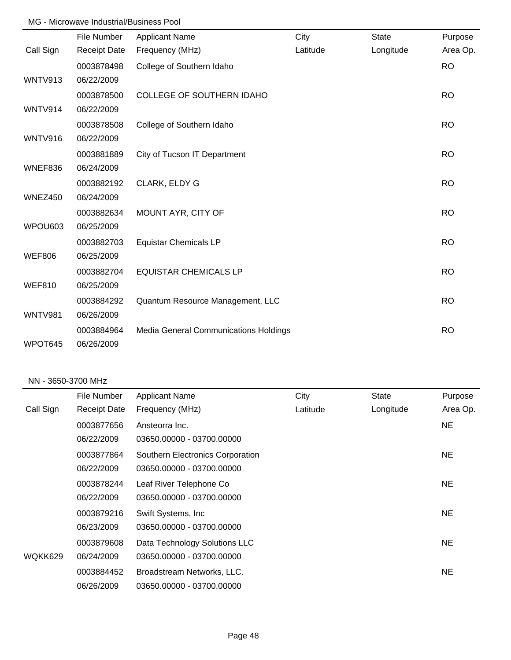|                | File Number         | <b>Applicant Name</b>                        | City     | <b>State</b> | Purpose   |
|----------------|---------------------|----------------------------------------------|----------|--------------|-----------|
| Call Sign      | <b>Receipt Date</b> | Frequency (MHz)                              | Latitude | Longitude    | Area Op.  |
|                | 0003878498          | College of Southern Idaho                    |          |              | <b>RO</b> |
| WNTV913        | 06/22/2009          |                                              |          |              |           |
|                | 0003878500          | COLLEGE OF SOUTHERN IDAHO                    |          |              | <b>RO</b> |
| WNTV914        | 06/22/2009          |                                              |          |              |           |
|                | 0003878508          | College of Southern Idaho                    |          |              | <b>RO</b> |
| <b>WNTV916</b> | 06/22/2009          |                                              |          |              |           |
|                | 0003881889          | City of Tucson IT Department                 |          |              | <b>RO</b> |
| WNEF836        | 06/24/2009          |                                              |          |              |           |
|                | 0003882192          | CLARK, ELDY G                                |          |              | <b>RO</b> |
| WNEZ450        | 06/24/2009          |                                              |          |              |           |
|                | 0003882634          | MOUNT AYR, CITY OF                           |          |              | <b>RO</b> |
| WPOU603        | 06/25/2009          |                                              |          |              |           |
|                | 0003882703          | <b>Equistar Chemicals LP</b>                 |          |              | <b>RO</b> |
| <b>WEF806</b>  | 06/25/2009          |                                              |          |              |           |
|                | 0003882704          | <b>EQUISTAR CHEMICALS LP</b>                 |          |              | <b>RO</b> |
| <b>WEF810</b>  | 06/25/2009          |                                              |          |              |           |
|                | 0003884292          | Quantum Resource Management, LLC             |          |              | <b>RO</b> |
| <b>WNTV981</b> | 06/26/2009          |                                              |          |              |           |
|                | 0003884964          | <b>Media General Communications Holdings</b> |          |              | <b>RO</b> |
| WPOT645        | 06/26/2009          |                                              |          |              |           |

#### NN - 3650-3700 MHz

|           | File Number         | <b>Applicant Name</b>            | City     | <b>State</b> | Purpose   |
|-----------|---------------------|----------------------------------|----------|--------------|-----------|
| Call Sign | <b>Receipt Date</b> | Frequency (MHz)                  | Latitude | Longitude    | Area Op.  |
|           | 0003877656          | Ansteorra Inc.                   |          |              | <b>NE</b> |
|           | 06/22/2009          | 03650.00000 - 03700.00000        |          |              |           |
|           | 0003877864          | Southern Electronics Corporation |          |              | NE.       |
|           | 06/22/2009          | 03650.00000 - 03700.00000        |          |              |           |
|           | 0003878244          | Leaf River Telephone Co          |          |              | <b>NE</b> |
|           | 06/22/2009          | 03650.00000 - 03700.00000        |          |              |           |
|           | 0003879216          | Swift Systems, Inc.              |          |              | <b>NE</b> |
|           | 06/23/2009          | 03650.00000 - 03700.00000        |          |              |           |
|           | 0003879608          | Data Technology Solutions LLC    |          |              | NE.       |
| WQKK629   | 06/24/2009          | 03650.00000 - 03700.00000        |          |              |           |
|           | 0003884452          | Broadstream Networks, LLC.       |          |              | <b>NE</b> |
|           | 06/26/2009          | 03650.00000 - 03700.00000        |          |              |           |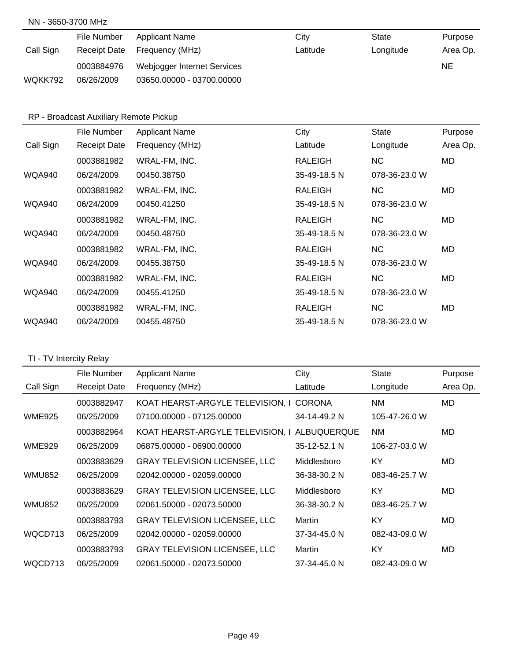#### NN - 3650-3700 MHz

|           | File Number         | <b>Applicant Name</b>       | City     | State     | Purpose  |
|-----------|---------------------|-----------------------------|----------|-----------|----------|
| Call Sign | <b>Receipt Date</b> | Frequency (MHz)             | Latitude | Longitude | Area Op. |
|           | 0003884976          | Webjogger Internet Services |          | <b>NE</b> |          |
| WQKK792   | 06/26/2009          | 03650.00000 - 03700.00000   |          |           |          |

### RP - Broadcast Auxiliary Remote Pickup

|               | File Number         | <b>Applicant Name</b> | City           | <b>State</b>  | Purpose  |
|---------------|---------------------|-----------------------|----------------|---------------|----------|
| Call Sign     | <b>Receipt Date</b> | Frequency (MHz)       | Latitude       | Longitude     | Area Op. |
|               | 0003881982          | WRAL-FM, INC.         | RALEIGH        | NC.           | MD       |
| <b>WQA940</b> | 06/24/2009          | 00450.38750           | 35-49-18.5 N   | 078-36-23.0 W |          |
|               | 0003881982          | WRAL-FM, INC.         | <b>RALEIGH</b> | <b>NC</b>     | MD       |
| <b>WQA940</b> | 06/24/2009          | 00450.41250           | 35-49-18.5 N   | 078-36-23.0 W |          |
|               | 0003881982          | WRAL-FM, INC.         | RALEIGH        | NC.           | MD       |
| <b>WQA940</b> | 06/24/2009          | 00450.48750           | 35-49-18.5 N   | 078-36-23.0 W |          |
|               | 0003881982          | WRAL-FM. INC.         | RALEIGH        | NC.           | MD       |
| <b>WQA940</b> | 06/24/2009          | 00455.38750           | 35-49-18.5 N   | 078-36-23.0 W |          |
|               | 0003881982          | WRAL-FM, INC.         | RALEIGH        | NC.           | MD       |
| <b>WQA940</b> | 06/24/2009          | 00455.41250           | 35-49-18.5 N   | 078-36-23.0 W |          |
|               | 0003881982          | WRAL-FM, INC.         | <b>RALEIGH</b> | NC.           | MD       |
| WQA940        | 06/24/2009          | 00455.48750           | 35-49-18.5 N   | 078-36-23.0 W |          |

# TI - TV Intercity Relay

|               | File Number         | <b>Applicant Name</b>                | City         | State         | Purpose  |
|---------------|---------------------|--------------------------------------|--------------|---------------|----------|
| Call Sign     | <b>Receipt Date</b> | Frequency (MHz)                      | Latitude     | Longitude     | Area Op. |
|               | 0003882947          | KOAT HEARST-ARGYLE TELEVISION, I     | CORONA       | <b>NM</b>     | MD.      |
| <b>WME925</b> | 06/25/2009          | 07100.00000 - 07125.00000            | 34-14-49.2 N | 105-47-26.0 W |          |
|               | 0003882964          | KOAT HEARST-ARGYLE TELEVISION, I     | ALBUQUERQUE  | <b>NM</b>     | MD.      |
| <b>WME929</b> | 06/25/2009          | 06875,00000 - 06900,00000            | 35-12-52.1 N | 106-27-03.0 W |          |
|               | 0003883629          | <b>GRAY TELEVISION LICENSEE, LLC</b> | Middlesboro  | KY            | MD.      |
| <b>WMU852</b> | 06/25/2009          | 02042.00000 - 02059.00000            | 36-38-30.2 N | 083-46-25.7 W |          |
|               | 0003883629          | <b>GRAY TELEVISION LICENSEE, LLC</b> | Middlesboro  | <b>KY</b>     | MD.      |
| WMU852        | 06/25/2009          | 02061.50000 - 02073.50000            | 36-38-30.2 N | 083-46-25.7 W |          |
|               | 0003883793          | <b>GRAY TELEVISION LICENSEE, LLC</b> | Martin       | KY            | MD       |
| WQCD713       | 06/25/2009          | 02042.00000 - 02059.00000            | 37-34-45.0 N | 082-43-09.0 W |          |
|               | 0003883793          | <b>GRAY TELEVISION LICENSEE, LLC</b> | Martin       | KY            | MD.      |
| WQCD713       | 06/25/2009          | 02061.50000 - 02073.50000            | 37-34-45.0 N | 082-43-09.0 W |          |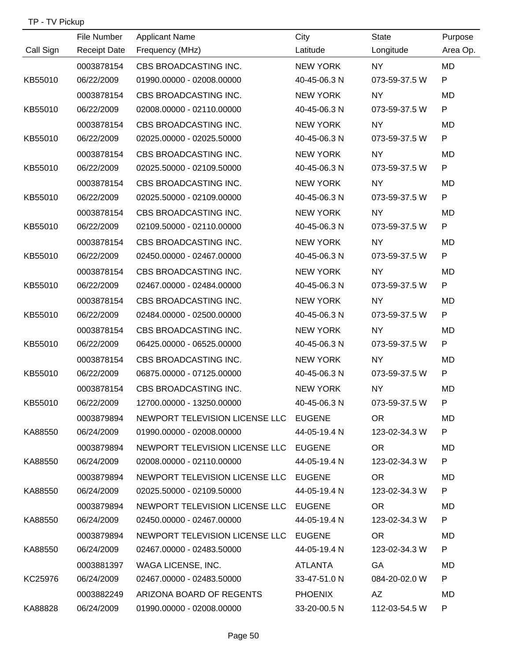| TP - TV Pickup |  |  |
|----------------|--|--|
|----------------|--|--|

|           | File Number         | <b>Applicant Name</b>                 | City            | <b>State</b>    | Purpose   |
|-----------|---------------------|---------------------------------------|-----------------|-----------------|-----------|
| Call Sign | <b>Receipt Date</b> | Frequency (MHz)                       | Latitude        | Longitude       | Area Op.  |
|           | 0003878154          | CBS BROADCASTING INC.                 | <b>NEW YORK</b> | <b>NY</b>       | <b>MD</b> |
| KB55010   | 06/22/2009          | 01990.00000 - 02008.00000             | 40-45-06.3 N    | 073-59-37.5 W   | P         |
|           | 0003878154          | CBS BROADCASTING INC.                 | <b>NEW YORK</b> | <b>NY</b>       | <b>MD</b> |
| KB55010   | 06/22/2009          | 02008.00000 - 02110.00000             | 40-45-06.3 N    | 073-59-37.5 W   | P         |
|           | 0003878154          | CBS BROADCASTING INC.                 | <b>NEW YORK</b> | <b>NY</b>       | MD        |
| KB55010   | 06/22/2009          | 02025.00000 - 02025.50000             | 40-45-06.3 N    | 073-59-37.5 W   | P         |
|           | 0003878154          | CBS BROADCASTING INC.                 | <b>NEW YORK</b> | <b>NY</b>       | <b>MD</b> |
| KB55010   | 06/22/2009          | 02025.50000 - 02109.50000             | 40-45-06.3 N    | 073-59-37.5 W   | P         |
|           | 0003878154          | CBS BROADCASTING INC.                 | NEW YORK        | <b>NY</b>       | <b>MD</b> |
| KB55010   | 06/22/2009          | 02025.50000 - 02109.00000             | 40-45-06.3 N    | 073-59-37.5 W   | P         |
|           | 0003878154          | CBS BROADCASTING INC.                 | <b>NEW YORK</b> | <b>NY</b>       | MD        |
| KB55010   | 06/22/2009          | 02109.50000 - 02110.00000             | 40-45-06.3 N    | 073-59-37.5 W   | P         |
|           | 0003878154          | CBS BROADCASTING INC.                 | <b>NEW YORK</b> | <b>NY</b>       | <b>MD</b> |
| KB55010   | 06/22/2009          | 02450.00000 - 02467.00000             | 40-45-06.3 N    | 073-59-37.5 W   | P         |
|           | 0003878154          | CBS BROADCASTING INC.                 | <b>NEW YORK</b> | NY              | <b>MD</b> |
| KB55010   | 06/22/2009          | 02467.00000 - 02484.00000             | 40-45-06.3 N    | 073-59-37.5 W   | P         |
|           | 0003878154          | CBS BROADCASTING INC.                 | <b>NEW YORK</b> | <b>NY</b>       | <b>MD</b> |
| KB55010   | 06/22/2009          | 02484.00000 - 02500.00000             | 40-45-06.3 N    | 073-59-37.5 W   | P         |
|           | 0003878154          | CBS BROADCASTING INC.                 | <b>NEW YORK</b> | <b>NY</b>       | <b>MD</b> |
| KB55010   | 06/22/2009          | 06425.00000 - 06525.00000             | 40-45-06.3 N    | 073-59-37.5 W   | P         |
|           | 0003878154          | CBS BROADCASTING INC.                 | <b>NEW YORK</b> | <b>NY</b>       | MD        |
| KB55010   | 06/22/2009          | 06875.00000 - 07125.00000             | 40-45-06.3 N    | 073-59-37.5 W   | P         |
|           | 0003878154          | CBS BROADCASTING INC.                 | <b>NEW YORK</b> | <b>NY</b>       | MD        |
| KB55010   | 06/22/2009          | 12700.00000 - 13250.00000             | 40-45-06.3 N    | 073-59-37.5 W   | P         |
|           | 0003879894          | NEWPORT TELEVISION LICENSE LLC EUGENE |                 | <b>OR</b>       | <b>MD</b> |
| KA88550   | 06/24/2009          | 01990.00000 - 02008.00000             | 44-05-19.4 N    | 123-02-34.3 W   | P         |
|           | 0003879894          | NEWPORT TELEVISION LICENSE LLC        | <b>EUGENE</b>   | OR <sub>1</sub> | MD        |
| KA88550   | 06/24/2009          | 02008.00000 - 02110.00000             | 44-05-19.4 N    | 123-02-34.3 W   | P         |
|           | 0003879894          | NEWPORT TELEVISION LICENSE LLC        | <b>EUGENE</b>   | OR.             | MD        |
| KA88550   | 06/24/2009          | 02025.50000 - 02109.50000             | 44-05-19.4 N    | 123-02-34.3 W   | P         |
|           | 0003879894          | NEWPORT TELEVISION LICENSE LLC        | <b>EUGENE</b>   | OR <sub>1</sub> | MD        |
| KA88550   | 06/24/2009          | 02450.00000 - 02467.00000             | 44-05-19.4 N    | 123-02-34.3 W   | P         |
|           | 0003879894          | NEWPORT TELEVISION LICENSE LLC        | <b>EUGENE</b>   | OR.             | MD        |
| KA88550   | 06/24/2009          | 02467.00000 - 02483.50000             | 44-05-19.4 N    | 123-02-34.3 W   | P         |
|           | 0003881397          | WAGA LICENSE, INC.                    | ATLANTA         | GA              | MD        |
| KC25976   | 06/24/2009          | 02467.00000 - 02483.50000             | 33-47-51.0 N    | 084-20-02.0 W   | P         |
|           | 0003882249          | ARIZONA BOARD OF REGENTS              | <b>PHOENIX</b>  | AZ              | MD        |
| KA88828   | 06/24/2009          | 01990.00000 - 02008.00000             | 33-20-00.5 N    | 112-03-54.5 W   | P         |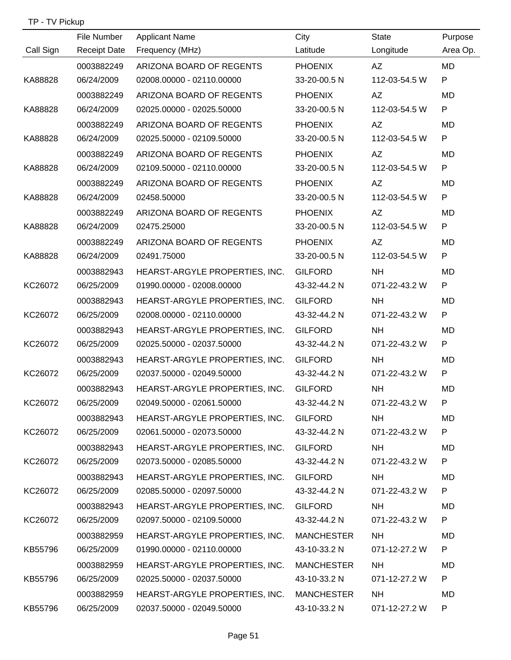| TP - TV Pickup |  |
|----------------|--|
|----------------|--|

|           | File Number         | <b>Applicant Name</b>                     | City           | <b>State</b>  | Purpose   |
|-----------|---------------------|-------------------------------------------|----------------|---------------|-----------|
| Call Sign | <b>Receipt Date</b> | Frequency (MHz)                           | Latitude       | Longitude     | Area Op.  |
|           | 0003882249          | ARIZONA BOARD OF REGENTS                  | <b>PHOENIX</b> | AZ            | <b>MD</b> |
| KA88828   | 06/24/2009          | 02008.00000 - 02110.00000                 | 33-20-00.5 N   | 112-03-54.5 W | P         |
|           | 0003882249          | ARIZONA BOARD OF REGENTS                  | <b>PHOENIX</b> | AZ            | MD.       |
| KA88828   | 06/24/2009          | 02025.00000 - 02025.50000                 | 33-20-00.5 N   | 112-03-54.5 W | P         |
|           | 0003882249          | ARIZONA BOARD OF REGENTS                  | <b>PHOENIX</b> | AZ            | <b>MD</b> |
| KA88828   | 06/24/2009          | 02025.50000 - 02109.50000                 | 33-20-00.5 N   | 112-03-54.5 W | P         |
|           | 0003882249          | ARIZONA BOARD OF REGENTS                  | <b>PHOENIX</b> | AZ            | <b>MD</b> |
| KA88828   | 06/24/2009          | 02109.50000 - 02110.00000                 | 33-20-00.5 N   | 112-03-54.5 W | P         |
|           | 0003882249          | ARIZONA BOARD OF REGENTS                  | <b>PHOENIX</b> | AZ            | <b>MD</b> |
| KA88828   | 06/24/2009          | 02458.50000                               | 33-20-00.5 N   | 112-03-54.5 W | P         |
|           | 0003882249          | ARIZONA BOARD OF REGENTS                  | <b>PHOENIX</b> | AZ            | <b>MD</b> |
| KA88828   | 06/24/2009          | 02475.25000                               | 33-20-00.5 N   | 112-03-54.5 W | P         |
|           | 0003882249          | ARIZONA BOARD OF REGENTS                  | <b>PHOENIX</b> | AZ            | <b>MD</b> |
| KA88828   | 06/24/2009          | 02491.75000                               | 33-20-00.5 N   | 112-03-54.5 W | P         |
|           | 0003882943          | HEARST-ARGYLE PROPERTIES, INC.            | <b>GILFORD</b> | <b>NH</b>     | <b>MD</b> |
| KC26072   | 06/25/2009          | 01990.00000 - 02008.00000                 | 43-32-44.2 N   | 071-22-43.2 W | P         |
|           | 0003882943          | HEARST-ARGYLE PROPERTIES, INC.            | <b>GILFORD</b> | <b>NH</b>     | <b>MD</b> |
| KC26072   | 06/25/2009          | 02008.00000 - 02110.00000                 | 43-32-44.2 N   | 071-22-43.2 W | P         |
|           | 0003882943          | HEARST-ARGYLE PROPERTIES, INC.            | <b>GILFORD</b> | <b>NH</b>     | MD        |
| KC26072   | 06/25/2009          | 02025.50000 - 02037.50000                 | 43-32-44.2 N   | 071-22-43.2 W | P         |
|           | 0003882943          | HEARST-ARGYLE PROPERTIES, INC.            | <b>GILFORD</b> | <b>NH</b>     | MD        |
| KC26072   | 06/25/2009          | 02037.50000 - 02049.50000                 | 43-32-44.2 N   | 071-22-43.2 W | P         |
|           | 0003882943          | HEARST-ARGYLE PROPERTIES, INC. GILFORD    |                | <b>NH</b>     | MD        |
| KC26072   | 06/25/2009          | 02049.50000 - 02061.50000                 | 43-32-44.2 N   | 071-22-43.2 W | P         |
|           | 0003882943          | HEARST-ARGYLE PROPERTIES, INC. GILFORD    |                | <b>NH</b>     | MD        |
| KC26072   | 06/25/2009          | 02061.50000 - 02073.50000                 | 43-32-44.2 N   | 071-22-43.2 W | P.        |
|           | 0003882943          | HEARST-ARGYLE PROPERTIES, INC.            | <b>GILFORD</b> | NH .          | MD        |
| KC26072   | 06/25/2009          | 02073.50000 - 02085.50000                 | 43-32-44.2 N   | 071-22-43.2 W | P         |
|           | 0003882943          | HEARST-ARGYLE PROPERTIES, INC.            | <b>GILFORD</b> | NH .          | MD        |
| KC26072   | 06/25/2009          | 02085.50000 - 02097.50000                 | 43-32-44.2 N   | 071-22-43.2 W | P.        |
|           | 0003882943          | HEARST-ARGYLE PROPERTIES, INC.            | <b>GILFORD</b> | NH.           | MD.       |
| KC26072   | 06/25/2009          | 02097.50000 - 02109.50000                 | 43-32-44.2 N   | 071-22-43.2 W | P.        |
|           | 0003882959          | HEARST-ARGYLE PROPERTIES, INC. MANCHESTER |                | NH.           | MD.       |
| KB55796   | 06/25/2009          | 01990.00000 - 02110.00000                 | 43-10-33.2 N   | 071-12-27.2 W | P         |
|           | 0003882959          | HEARST-ARGYLE PROPERTIES, INC. MANCHESTER |                | NH            | MD        |
| KB55796   | 06/25/2009          | 02025.50000 - 02037.50000                 | 43-10-33.2 N   | 071-12-27.2 W | P         |
|           | 0003882959          | HEARST-ARGYLE PROPERTIES, INC. MANCHESTER |                | <b>NH</b>     | MD        |
| KB55796   | 06/25/2009          | 02037.50000 - 02049.50000                 | 43-10-33.2 N   | 071-12-27.2 W | P         |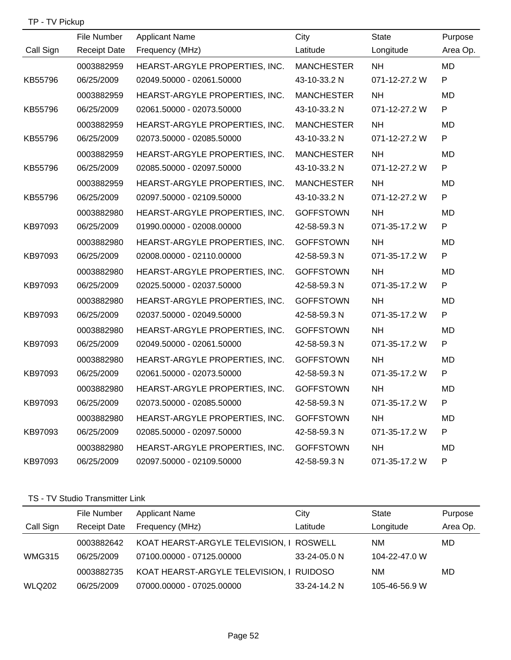| TP - TV Pickup |  |
|----------------|--|
|----------------|--|

|           | File Number         | <b>Applicant Name</b>          | City              | <b>State</b>  | Purpose      |
|-----------|---------------------|--------------------------------|-------------------|---------------|--------------|
| Call Sign | <b>Receipt Date</b> | Frequency (MHz)                | Latitude          | Longitude     | Area Op.     |
|           | 0003882959          | HEARST-ARGYLE PROPERTIES, INC. | <b>MANCHESTER</b> | <b>NH</b>     | <b>MD</b>    |
| KB55796   | 06/25/2009          | 02049.50000 - 02061.50000      | 43-10-33.2 N      | 071-12-27.2 W | P            |
|           | 0003882959          | HEARST-ARGYLE PROPERTIES, INC. | <b>MANCHESTER</b> | <b>NH</b>     | <b>MD</b>    |
| KB55796   | 06/25/2009          | 02061.50000 - 02073.50000      | 43-10-33.2 N      | 071-12-27.2 W | $\mathsf{P}$ |
|           | 0003882959          | HEARST-ARGYLE PROPERTIES, INC. | <b>MANCHESTER</b> | <b>NH</b>     | <b>MD</b>    |
| KB55796   | 06/25/2009          | 02073.50000 - 02085.50000      | 43-10-33.2 N      | 071-12-27.2 W | P            |
|           | 0003882959          | HEARST-ARGYLE PROPERTIES, INC. | <b>MANCHESTER</b> | <b>NH</b>     | <b>MD</b>    |
| KB55796   | 06/25/2009          | 02085.50000 - 02097.50000      | 43-10-33.2 N      | 071-12-27.2 W | P            |
|           | 0003882959          | HEARST-ARGYLE PROPERTIES, INC. | <b>MANCHESTER</b> | <b>NH</b>     | <b>MD</b>    |
| KB55796   | 06/25/2009          | 02097.50000 - 02109.50000      | 43-10-33.2 N      | 071-12-27.2 W | P            |
|           | 0003882980          | HEARST-ARGYLE PROPERTIES, INC. | <b>GOFFSTOWN</b>  | <b>NH</b>     | <b>MD</b>    |
| KB97093   | 06/25/2009          | 01990.00000 - 02008.00000      | 42-58-59.3 N      | 071-35-17.2 W | P            |
|           | 0003882980          | HEARST-ARGYLE PROPERTIES, INC. | <b>GOFFSTOWN</b>  | <b>NH</b>     | <b>MD</b>    |
| KB97093   | 06/25/2009          | 02008.00000 - 02110.00000      | 42-58-59.3 N      | 071-35-17.2 W | P            |
|           | 0003882980          | HEARST-ARGYLE PROPERTIES, INC. | <b>GOFFSTOWN</b>  | <b>NH</b>     | <b>MD</b>    |
| KB97093   | 06/25/2009          | 02025.50000 - 02037.50000      | 42-58-59.3 N      | 071-35-17.2 W | P            |
|           | 0003882980          | HEARST-ARGYLE PROPERTIES, INC. | <b>GOFFSTOWN</b>  | <b>NH</b>     | MD           |
| KB97093   | 06/25/2009          | 02037.50000 - 02049.50000      | 42-58-59.3 N      | 071-35-17.2 W | P            |
|           | 0003882980          | HEARST-ARGYLE PROPERTIES, INC. | <b>GOFFSTOWN</b>  | <b>NH</b>     | <b>MD</b>    |
| KB97093   | 06/25/2009          | 02049.50000 - 02061.50000      | 42-58-59.3 N      | 071-35-17.2 W | P            |
|           | 0003882980          | HEARST-ARGYLE PROPERTIES, INC. | <b>GOFFSTOWN</b>  | <b>NH</b>     | MD           |
| KB97093   | 06/25/2009          | 02061.50000 - 02073.50000      | 42-58-59.3 N      | 071-35-17.2 W | P            |
|           | 0003882980          | HEARST-ARGYLE PROPERTIES, INC. | <b>GOFFSTOWN</b>  | <b>NH</b>     | MD           |
| KB97093   | 06/25/2009          | 02073.50000 - 02085.50000      | 42-58-59.3 N      | 071-35-17.2 W | P            |
|           | 0003882980          | HEARST-ARGYLE PROPERTIES, INC. | <b>GOFFSTOWN</b>  | <b>NH</b>     | MD           |
| KB97093   | 06/25/2009          | 02085.50000 - 02097.50000      | 42-58-59.3 N      | 071-35-17.2 W | P            |
|           | 0003882980          | HEARST-ARGYLE PROPERTIES, INC. | <b>GOFFSTOWN</b>  | <b>NH</b>     | MD           |
| KB97093   | 06/25/2009          | 02097.50000 - 02109.50000      | 42-58-59.3 N      | 071-35-17.2 W | P            |

### TS - TV Studio Transmitter Link

|               | File Number         | <b>Applicant Name</b>                    | City         | <b>State</b>  | Purpose  |
|---------------|---------------------|------------------------------------------|--------------|---------------|----------|
| Call Sign     | <b>Receipt Date</b> | Frequency (MHz)                          | Latitude     | Longitude     | Area Op. |
|               | 0003882642          | KOAT HEARST-ARGYLE TELEVISION, I ROSWELL |              | NM            | MD       |
| <b>WMG315</b> | 06/25/2009          | 07100.00000 - 07125.00000                | 33-24-05.0 N | 104-22-47.0 W |          |
|               | 0003882735          | KOAT HEARST-ARGYLE TELEVISION, I RUIDOSO |              | NΜ            | MD       |
| <b>WLQ202</b> | 06/25/2009          | 07000.00000 - 07025.00000                | 33-24-14.2 N | 105-46-56.9 W |          |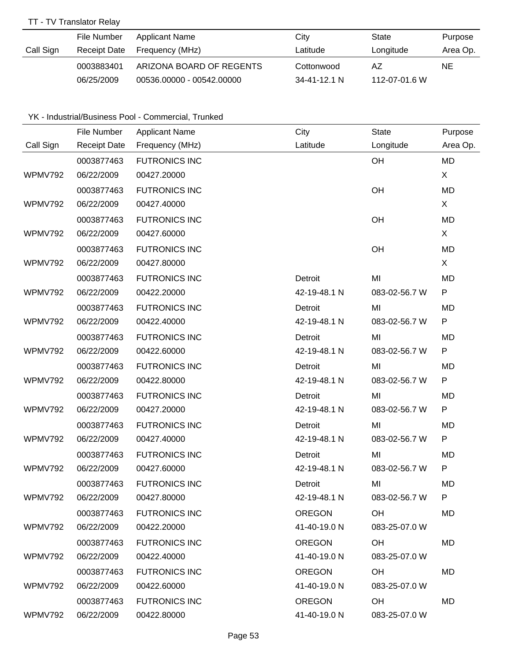### TT - TV Translator Relay

|           | File Number  | Applicant Name            | City              | State         | Purpose  |
|-----------|--------------|---------------------------|-------------------|---------------|----------|
| Call Sign | Receipt Date | Frequency (MHz)           | Latitude          | Longitude     | Area Op. |
|           | 0003883401   | ARIZONA BOARD OF REGENTS  | Cottonwood        | AZ            | NE.      |
|           | 06/25/2009   | 00536.00000 - 00542.00000 | $34 - 41 - 121$ N | 112-07-01.6 W |          |

# YK - Industrial/Business Pool - Commercial, Trunked

|                | File Number         | <b>Applicant Name</b> | City          | <b>State</b>  | Purpose   |
|----------------|---------------------|-----------------------|---------------|---------------|-----------|
| Call Sign      | <b>Receipt Date</b> | Frequency (MHz)       | Latitude      | Longitude     | Area Op.  |
|                | 0003877463          | <b>FUTRONICS INC</b>  |               | OH            | <b>MD</b> |
| WPMV792        | 06/22/2009          | 00427.20000           |               |               | X         |
|                | 0003877463          | <b>FUTRONICS INC</b>  |               | OH            | <b>MD</b> |
| WPMV792        | 06/22/2009          | 00427.40000           |               |               | X         |
|                | 0003877463          | <b>FUTRONICS INC</b>  |               | OH            | <b>MD</b> |
| <b>WPMV792</b> | 06/22/2009          | 00427.60000           |               |               | X         |
|                | 0003877463          | <b>FUTRONICS INC</b>  |               | OH            | <b>MD</b> |
| WPMV792        | 06/22/2009          | 00427.80000           |               |               | X         |
|                | 0003877463          | <b>FUTRONICS INC</b>  | Detroit       | MI            | <b>MD</b> |
| <b>WPMV792</b> | 06/22/2009          | 00422.20000           | 42-19-48.1 N  | 083-02-56.7 W | P         |
|                | 0003877463          | <b>FUTRONICS INC</b>  | Detroit       | MI            | MD        |
| WPMV792        | 06/22/2009          | 00422.40000           | 42-19-48.1 N  | 083-02-56.7 W | P         |
|                | 0003877463          | <b>FUTRONICS INC</b>  | Detroit       | MI            | MD        |
| WPMV792        | 06/22/2009          | 00422.60000           | 42-19-48.1 N  | 083-02-56.7 W | P         |
|                | 0003877463          | <b>FUTRONICS INC</b>  | Detroit       | MI            | MD        |
| WPMV792        | 06/22/2009          | 00422.80000           | 42-19-48.1 N  | 083-02-56.7 W | P         |
|                | 0003877463          | <b>FUTRONICS INC</b>  | Detroit       | MI            | MD        |
| WPMV792        | 06/22/2009          | 00427.20000           | 42-19-48.1 N  | 083-02-56.7 W | P         |
|                | 0003877463          | <b>FUTRONICS INC</b>  | Detroit       | MI            | MD        |
| WPMV792        | 06/22/2009          | 00427.40000           | 42-19-48.1 N  | 083-02-56.7 W | P         |
|                | 0003877463          | <b>FUTRONICS INC</b>  | Detroit       | MI            | MD        |
| WPMV792        | 06/22/2009          | 00427.60000           | 42-19-48.1 N  | 083-02-56.7 W | P         |
|                | 0003877463          | <b>FUTRONICS INC</b>  | Detroit       | MI            | MD        |
| WPMV792        | 06/22/2009          | 00427.80000           | 42-19-48.1 N  | 083-02-56.7 W | P         |
|                | 0003877463          | <b>FUTRONICS INC</b>  | <b>OREGON</b> | <b>OH</b>     | MD        |
| WPMV792        | 06/22/2009          | 00422.20000           | 41-40-19.0 N  | 083-25-07.0 W |           |
|                | 0003877463          | <b>FUTRONICS INC</b>  | <b>OREGON</b> | OH            | MD        |
| WPMV792        | 06/22/2009          | 00422.40000           | 41-40-19.0 N  | 083-25-07.0 W |           |
|                | 0003877463          | <b>FUTRONICS INC</b>  | <b>OREGON</b> | OH.           | MD        |
| WPMV792        | 06/22/2009          | 00422.60000           | 41-40-19.0 N  | 083-25-07.0 W |           |
|                | 0003877463          | <b>FUTRONICS INC</b>  | <b>OREGON</b> | OH            | MD        |
| WPMV792        | 06/22/2009          | 00422.80000           | 41-40-19.0 N  | 083-25-07.0 W |           |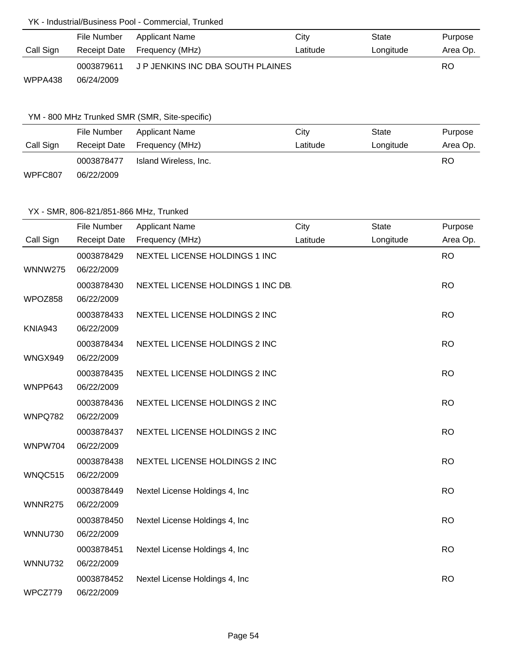### YK - Industrial/Business Pool - Commercial, Trunked

|           | File Number | Applicant Name                    | City     | State     | Purpose  |
|-----------|-------------|-----------------------------------|----------|-----------|----------|
| Call Sign |             | Receipt Date Frequency (MHz)      | Latitude | Longitude | Area Op. |
|           | 0003879611  | J P JENKINS INC DBA SOUTH PLAINES |          |           | RO       |
| WPPA438   | 06/24/2009  |                                   |          |           |          |

### YM - 800 MHz Trunked SMR (SMR, Site-specific)

|           | File Number  | Applicant Name        | City     | State     | Purpose  |
|-----------|--------------|-----------------------|----------|-----------|----------|
| Call Sign | Receipt Date | Frequency (MHz)       | Latitude | Longitude | Area Op. |
|           | 0003878477   | Island Wireless, Inc. |          |           | RO       |
| WPFC807   | 06/22/2009   |                       |          |           |          |

### YX - SMR, 806-821/851-866 MHz, Trunked

|                | File Number              | <b>Applicant Name</b>             | City     | <b>State</b> | Purpose   |
|----------------|--------------------------|-----------------------------------|----------|--------------|-----------|
| Call Sign      | <b>Receipt Date</b>      | Frequency (MHz)                   | Latitude | Longitude    | Area Op.  |
| <b>WNNW275</b> | 0003878429<br>06/22/2009 | NEXTEL LICENSE HOLDINGS 1 INC     |          |              | <b>RO</b> |
| WPOZ858        | 0003878430<br>06/22/2009 | NEXTEL LICENSE HOLDINGS 1 INC DB. |          |              | <b>RO</b> |
| KNIA943        | 0003878433<br>06/22/2009 | NEXTEL LICENSE HOLDINGS 2 INC     |          |              | <b>RO</b> |
| WNGX949        | 0003878434<br>06/22/2009 | NEXTEL LICENSE HOLDINGS 2 INC     |          |              | <b>RO</b> |
| WNPP643        | 0003878435<br>06/22/2009 | NEXTEL LICENSE HOLDINGS 2 INC     |          |              | <b>RO</b> |
| WNPQ782        | 0003878436<br>06/22/2009 | NEXTEL LICENSE HOLDINGS 2 INC     |          |              | <b>RO</b> |
| WNPW704        | 0003878437<br>06/22/2009 | NEXTEL LICENSE HOLDINGS 2 INC     |          |              | <b>RO</b> |
| WNQC515        | 0003878438<br>06/22/2009 | NEXTEL LICENSE HOLDINGS 2 INC     |          |              | <b>RO</b> |
| <b>WNNR275</b> | 0003878449<br>06/22/2009 | Nextel License Holdings 4, Inc.   |          |              | <b>RO</b> |
|                | 0003878450               | Nextel License Holdings 4, Inc    |          |              | <b>RO</b> |
| <b>WNNU730</b> | 06/22/2009<br>0003878451 | Nextel License Holdings 4, Inc    |          |              | <b>RO</b> |
| <b>WNNU732</b> | 06/22/2009<br>0003878452 | Nextel License Holdings 4, Inc    |          |              | <b>RO</b> |
| WPCZ779        | 06/22/2009               |                                   |          |              |           |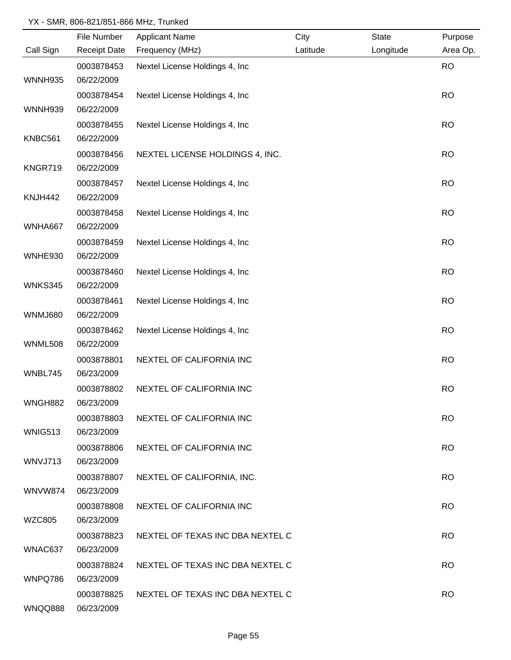### YX - SMR, 806-821/851-866 MHz, Trunked

|                | File Number         | <b>Applicant Name</b>            | City     | <b>State</b> | Purpose   |
|----------------|---------------------|----------------------------------|----------|--------------|-----------|
| Call Sign      | <b>Receipt Date</b> | Frequency (MHz)                  | Latitude | Longitude    | Area Op.  |
|                | 0003878453          | Nextel License Holdings 4, Inc   |          |              | <b>RO</b> |
| <b>WNNH935</b> | 06/22/2009          |                                  |          |              |           |
|                | 0003878454          | Nextel License Holdings 4, Inc.  |          |              | <b>RO</b> |
| <b>WNNH939</b> | 06/22/2009          |                                  |          |              |           |
|                | 0003878455          | Nextel License Holdings 4, Inc.  |          |              | <b>RO</b> |
| KNBC561        | 06/22/2009          |                                  |          |              |           |
|                | 0003878456          | NEXTEL LICENSE HOLDINGS 4, INC.  |          |              | <b>RO</b> |
| KNGR719        | 06/22/2009          |                                  |          |              |           |
|                | 0003878457          | Nextel License Holdings 4, Inc   |          |              | <b>RO</b> |
| KNJH442        | 06/22/2009          |                                  |          |              |           |
|                | 0003878458          | Nextel License Holdings 4, Inc   |          |              | <b>RO</b> |
| WNHA667        | 06/22/2009          |                                  |          |              |           |
|                | 0003878459          | Nextel License Holdings 4, Inc   |          |              | <b>RO</b> |
| WNHE930        | 06/22/2009          |                                  |          |              |           |
|                | 0003878460          | Nextel License Holdings 4, Inc   |          |              | <b>RO</b> |
| WNKS345        | 06/22/2009          |                                  |          |              |           |
|                | 0003878461          | Nextel License Holdings 4, Inc   |          |              | <b>RO</b> |
| <b>WNMJ680</b> | 06/22/2009          |                                  |          |              |           |
|                | 0003878462          | Nextel License Holdings 4, Inc   |          |              | <b>RO</b> |
| <b>WNML508</b> | 06/22/2009          |                                  |          |              |           |
|                | 0003878801          | NEXTEL OF CALIFORNIA INC         |          |              | <b>RO</b> |
| WNBL745        | 06/23/2009          |                                  |          |              |           |
|                | 0003878802          | NEXTEL OF CALIFORNIA INC         |          |              | <b>RO</b> |
| <b>WNGH882</b> | 06/23/2009          |                                  |          |              |           |
|                | 0003878803          | NEXTEL OF CALIFORNIA INC         |          |              | <b>RO</b> |
| <b>WNIG513</b> | 06/23/2009          |                                  |          |              |           |
|                | 0003878806          | NEXTEL OF CALIFORNIA INC         |          |              | <b>RO</b> |
| WNVJ713        | 06/23/2009          |                                  |          |              |           |
|                | 0003878807          | NEXTEL OF CALIFORNIA, INC.       |          |              | <b>RO</b> |
| <b>WNVW874</b> | 06/23/2009          |                                  |          |              |           |
|                | 0003878808          | NEXTEL OF CALIFORNIA INC         |          |              | <b>RO</b> |
| WZC805         | 06/23/2009          |                                  |          |              |           |
|                | 0003878823          | NEXTEL OF TEXAS INC DBA NEXTEL C |          |              | <b>RO</b> |
| WNAC637        | 06/23/2009          |                                  |          |              |           |
|                | 0003878824          | NEXTEL OF TEXAS INC DBA NEXTEL C |          |              | <b>RO</b> |
| WNPQ786        | 06/23/2009          |                                  |          |              |           |
|                | 0003878825          | NEXTEL OF TEXAS INC DBA NEXTEL C |          |              | <b>RO</b> |
| WNQQ888        | 06/23/2009          |                                  |          |              |           |